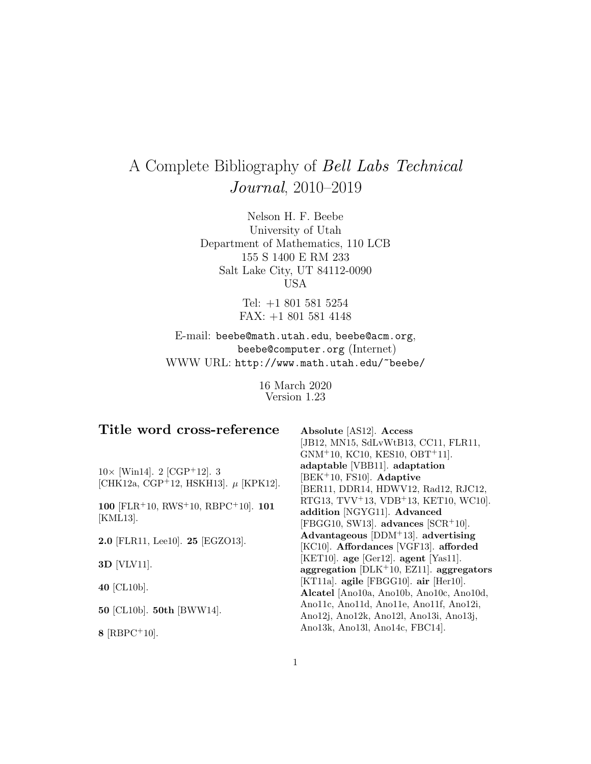# A Complete Bibliography of Bell Labs Technical Journal, 2010–2019

Nelson H. F. Beebe University of Utah Department of Mathematics, 110 LCB 155 S 1400 E RM 233 Salt Lake City, UT 84112-0090 USA

> Tel: +1 801 581 5254 FAX: +1 801 581 4148

E-mail: beebe@math.utah.edu, beebe@acm.org, beebe@computer.org (Internet) WWW URL: http://www.math.utah.edu/~beebe/

> 16 March 2020 Version 1.23

| Title word cross-reference                            | Absolute [AS12]. Access                                       |
|-------------------------------------------------------|---------------------------------------------------------------|
|                                                       | [JB12, MN15, SdLvWtB13, CC11, FLR11,                          |
|                                                       | $GNM+10$ , KC10, KES10, OBT <sup>+</sup> 11].                 |
| $10 \times$ [Win14]. 2 [CGP <sup>+</sup> 12]. 3       | adaptable [VBB11]. adaptation                                 |
| [CHK12a, CGP <sup>+</sup> 12, HSKH13]. $\mu$ [KPK12]. | $ BEK^+10, FS10 $ . Adaptive                                  |
|                                                       | [BER11, DDR14, HDWV12, Rad12, RJC12,                          |
| 100 [FLR+10, RWS+10, RBPC+10]. $101$                  | RTG13, TVV <sup>+</sup> 13, VDB <sup>+</sup> 13, KET10, WC10. |
|                                                       | addition [NGYG11]. Advanced                                   |
| [KML13].                                              | $[FBGG10, SW13]$ . advances $[SCR+10]$ .                      |
| 2.0 [FLR11, Lee10]. 25 [EGZO13].                      | Advantageous $[DDM+13]$ . advertising                         |
|                                                       | [KC10]. Affordances [VGF13]. afforded                         |
| $3D$ [VLV11].                                         | $[KET10]$ . age $[Ger12]$ . agent $[Yas11]$ .                 |
|                                                       | aggregation $[DLK^+10, EZ11]$ . aggregators                   |
| 40 [CL10b].                                           | [KT11a]. agile [FBGG10]. air [Her10].                         |
|                                                       | Alcatel [Ano10a, Ano10b, Ano10c, Ano10d,                      |
| 50 [CL10b]. 50th [BWW14].                             | Ano11c, Ano11d, Ano11e, Ano11f, Ano12i,                       |
|                                                       | Ano12j, Ano12k, Ano12l, Ano13i, Ano13j,                       |
|                                                       | Ano13k, Ano13l, Ano14c, FBC14.                                |
| 8 $[{\rm RBPC^+10}]$ .                                |                                                               |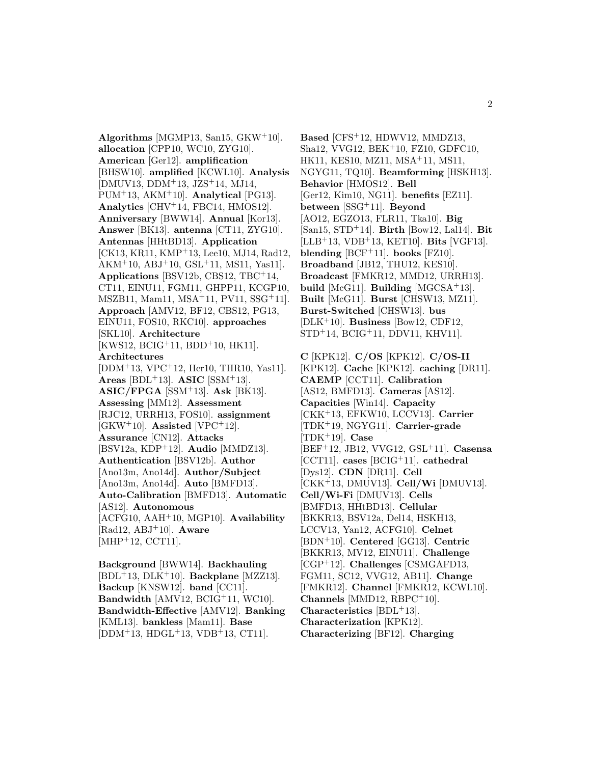**Algorithms** [MGMP13, San15, GKW<sup>+</sup>10]. **allocation** [CPP10, WC10, ZYG10]. **American** [Ger12]. **amplification** [BHSW10]. **amplified** [KCWL10]. **Analysis** [DMUV13, DDM<sup>+</sup>13, JZS<sup>+</sup>14, MJ14, PUM<sup>+</sup>13, AKM<sup>+</sup>10]. **Analytical** [PG13]. **Analytics** [CHV<sup>+</sup>14, FBC14, HMOS12]. **Anniversary** [BWW14]. **Annual** [Kor13]. **Answer** [BK13]. **antenna** [CT11, ZYG10]. **Antennas** [HHtBD13]. **Application** [CK13, KR11, KMP<sup>+</sup>13, Lee10, MJ14, Rad12, AKM<sup>+</sup>10, ABJ<sup>+</sup>10, GSL<sup>+</sup>11, MS11, Yas11]. **Applications** [BSV12b, CBS12, TBC<sup>+</sup>14, CT11, EINU11, FGM11, GHPP11, KCGP10, MSZB11, Mam11, MSA<sup>+</sup>11, PV11, SSG<sup>+</sup>11]. **Approach** [AMV12, BF12, CBS12, PG13, EINU11, FOS10, RKC10]. **approaches** [SKL10]. **Architecture**  $[KWS12, BCIG<sup>+</sup>11, BDD<sup>+</sup>10, HK11].$ **Architectures** [DDM<sup>+</sup>13, VPC<sup>+</sup>12, Her10, THR10, Yas11].  $Areas$  [BDL<sup>+</sup>13].  **[SSM<sup>+</sup>13]. ASIC/FPGA** [SSM<sup>+</sup>13]. **Ask** [BK13]. **Assessing** [MM12]. **Assessment** [RJC12, URRH13, FOS10]. **assignment**  $[GKW^+10]$ . **Assisted**  $[VPC^+12]$ . **Assurance** [CN12]. **Attacks** [BSV12a, KDP<sup>+</sup>12]. **Audio** [MMDZ13]. **Authentication** [BSV12b]. **Author** [Ano13m, Ano14d]. **Author/Subject** [Ano13m, Ano14d]. **Auto** [BMFD13]. **Auto-Calibration** [BMFD13]. **Automatic** [AS12]. **Autonomous** [ACFG10, AAH<sup>+</sup>10, MGP10]. **Availability** [Rad12, ABJ<sup>+</sup>10]. **Aware** [MHP<sup>+</sup>12, CCT11].

**Background** [BWW14]. **Backhauling** [BDL<sup>+</sup>13, DLK<sup>+</sup>10]. **Backplane** [MZZ13]. **Backup** [KNSW12]. **band** [CC11]. **Bandwidth** [AMV12, BCIG<sup>+</sup>11, WC10]. **Bandwidth-Effective** [AMV12]. **Banking** [KML13]. **bankless** [Mam11]. **Base** [DDM<sup>+</sup>13, HDGL<sup>+</sup>13, VDB<sup>+</sup>13, CT11].

**Based** [CFS<sup>+</sup>12, HDWV12, MMDZ13, Sha12, VVG12, BEK<sup>+</sup>10, FZ10, GDFC10, HK11, KES10, MZ11, MSA<sup>+</sup>11, MS11, NGYG11, TQ10]. **Beamforming** [HSKH13]. **Behavior** [HMOS12]. **Bell** [Ger12, Kim10, NG11]. **benefits** [EZ11]. **between** [SSG<sup>+</sup>11]. **Beyond** [AO12, EGZO13, FLR11, Tka10]. **Big** [San15, STD<sup>+</sup>14]. **Birth** [Bow12, Lal14]. **Bit** [LLB<sup>+</sup>13, VDB<sup>+</sup>13, KET10]. **Bits** [VGF13]. **blending** [BCF<sup>+</sup>11]. **books** [FZ10]. **Broadband** [JB12, THU12, KES10]. **Broadcast** [FMKR12, MMD12, URRH13]. **build** [McG11]. **Building** [MGCSA<sup>+</sup>13]. **Built** [McG11]. **Burst** [CHSW13, MZ11]. **Burst-Switched** [CHSW13]. **bus** [DLK<sup>+</sup>10]. **Business** [Bow12, CDF12, STD<sup>+</sup>14, BCIG<sup>+</sup>11, DDV11, KHV11].

**C** [KPK12]. **C/OS** [KPK12]. **C/OS-II** [KPK12]. **Cache** [KPK12]. **caching** [DR11]. **CAEMP** [CCT11]. **Calibration** [AS12, BMFD13]. **Cameras** [AS12]. **Capacities** [Win14]. **Capacity** [CKK<sup>+</sup>13, EFKW10, LCCV13]. **Carrier** [TDK<sup>+</sup>19, NGYG11]. **Carrier-grade** [TDK<sup>+</sup>19]. **Case** [BEF<sup>+</sup>12, JB12, VVG12, GSL<sup>+</sup>11]. **Casensa** [CCT11]. **cases** [BCIG<sup>+</sup>11]. **cathedral** [Dys12]. **CDN** [DR11]. **Cell** [CKK<sup>+</sup>13, DMUV13]. **Cell/Wi** [DMUV13]. **Cell/Wi-Fi** [DMUV13]. **Cells** [BMFD13, HHtBD13]. **Cellular** [BKKR13, BSV12a, Del14, HSKH13, LCCV13, Yan12, ACFG10]. **Celnet** [BDN<sup>+</sup>10]. **Centered** [GG13]. **Centric** [BKKR13, MV12, EINU11]. **Challenge** [CGP<sup>+</sup>12]. **Challenges** [CSMGAFD13, FGM11, SC12, VVG12, AB11]. **Change** [FMKR12]. **Channel** [FMKR12, KCWL10]. **Channels** [MMD12, RBPC<sup>+</sup>10]. **Characteristics** [BDL<sup>+</sup>13]. **Characterization** [KPK12]. **Characterizing** [BF12]. **Charging**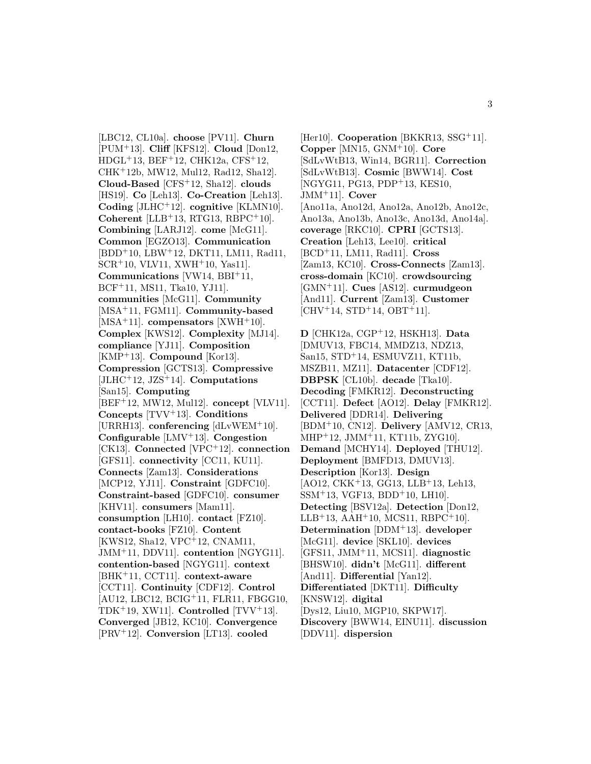[LBC12, CL10a]. **choose** [PV11]. **Churn** [PUM<sup>+</sup>13]. **Cliff** [KFS12]. **Cloud** [Don12,  $HDGL<sup>+</sup>13, BEF<sup>+</sup>12, CHK12a, CFS<sup>+</sup>12,$ CHK<sup>+</sup>12b, MW12, Mul12, Rad12, Sha12]. **Cloud-Based** [CFS<sup>+</sup>12, Sha12]. **clouds** [HS19]. **Co** [Leh13]. **Co-Creation** [Leh13]. **Coding** [JLHC<sup>+</sup>12]. **cognitive** [KLMN10]. **Coherent** [LLB<sup>+</sup>13, RTG13, RBPC<sup>+</sup>10]. **Combining** [LARJ12]. **come** [McG11]. **Common** [EGZO13]. **Communication** [BDD<sup>+</sup>10, LBW<sup>+</sup>12, DKT11, LM11, Rad11, SCR<sup>+</sup>10, VLV11, XWH<sup>+</sup>10, Yas11]. **Communications** [VW14, BBI<sup>+</sup>11, BCF<sup>+</sup>11, MS11, Tka10, YJ11]. **communities** [McG11]. **Community** [MSA<sup>+</sup>11, FGM11]. **Community-based** [MSA<sup>+</sup>11]. **compensators** [XWH<sup>+</sup>10]. **Complex** [KWS12]. **Complexity** [MJ14]. **compliance** [YJ11]. **Composition** [KMP<sup>+</sup>13]. **Compound** [Kor13]. **Compression** [GCTS13]. **Compressive** [JLHC<sup>+</sup>12, JZS<sup>+</sup>14]. **Computations** [San15]. **Computing** [BEF<sup>+</sup>12, MW12, Mul12]. **concept** [VLV11]. **Concepts** [TVV<sup>+</sup>13]. **Conditions** [URRH13]. **conferencing** [dLvWEM<sup>+</sup>10]. **Configurable** [LMV<sup>+</sup>13]. **Congestion** [CK13]. **Connected** [VPC<sup>+</sup>12]. **connection** [GFS11]. **connectivity** [CC11, KU11]. **Connects** [Zam13]. **Considerations** [MCP12, YJ11]. **Constraint** [GDFC10]. **Constraint-based** [GDFC10]. **consumer** [KHV11]. **consumers** [Mam11]. **consumption** [LH10]. **contact** [FZ10]. **contact-books** [FZ10]. **Content** [KWS12, Sha12, VPC<sup>+</sup>12, CNAM11, JMM<sup>+</sup>11, DDV11]. **contention** [NGYG11]. **contention-based** [NGYG11]. **context** [BHK<sup>+</sup>11, CCT11]. **context-aware** [CCT11]. **Continuity** [CDF12]. **Control** [AU12, LBC12, BCIG<sup>+</sup>11, FLR11, FBGG10, TDK<sup>+</sup>19, XW11]. **Controlled** [TVV<sup>+</sup>13]. **Converged** [JB12, KC10]. **Convergence** [PRV<sup>+</sup>12]. **Conversion** [LT13]. **cooled**

[Her10]. **Cooperation** [BKKR13, SSG<sup>+</sup>11]. **Copper** [MN15, GNM<sup>+</sup>10]. **Core** [SdLvWtB13, Win14, BGR11]. **Correction** [SdLvWtB13]. **Cosmic** [BWW14]. **Cost** [NGYG11, PG13, PDP<sup>+</sup>13, KES10, JMM<sup>+</sup>11]. **Cover** [Ano11a, Ano12d, Ano12a, Ano12b, Ano12c, Ano13a, Ano13b, Ano13c, Ano13d, Ano14a]. **coverage** [RKC10]. **CPRI** [GCTS13]. **Creation** [Leh13, Lee10]. **critical** [BCD<sup>+</sup>11, LM11, Rad11]. **Cross** [Zam13, KC10]. **Cross-Connects** [Zam13]. **cross-domain** [KC10]. **crowdsourcing** [GMN<sup>+</sup>11]. **Cues** [AS12]. **curmudgeon** [And11]. **Current** [Zam13]. **Customer**  $[CHV^+14, STD^+14, OBT^+11].$ 

**D** [CHK12a, CGP<sup>+</sup>12, HSKH13]. **Data** [DMUV13, FBC14, MMDZ13, NDZ13, San15, STD<sup>+</sup>14, ESMUVZ11, KT11b, MSZB11, MZ11]. **Datacenter** [CDF12]. **DBPSK** [CL10b]. **decade** [Tka10]. **Decoding** [FMKR12]. **Deconstructing** [CCT11]. **Defect** [AO12]. **Delay** [FMKR12]. **Delivered** [DDR14]. **Delivering** [BDM<sup>+</sup>10, CN12]. **Delivery** [AMV12, CR13, MHP<sup>+</sup>12, JMM<sup>+</sup>11, KT11b, ZYG10]. **Demand** [MCHY14]. **Deployed** [THU12]. **Deployment** [BMFD13, DMUV13]. **Description** [Kor13]. **Design**  $[AO12, CKK<sup>+</sup>13, GG13, LLB<sup>+</sup>13, Leh13,$  $SSM<sup>+</sup>13$ , VGF13, BDD<sup>+</sup>10, LH10. **Detecting** [BSV12a]. **Detection** [Don12, LLB<sup>+</sup>13, AAH<sup>+</sup>10, MCS11, RBPC<sup>+</sup>10. **Determination** [DDM<sup>+</sup>13]. **developer** [McG11]. **device** [SKL10]. **devices** [GFS11, JMM<sup>+</sup>11, MCS11]. **diagnostic** [BHSW10]. **didn't** [McG11]. **different** [And11]. **Differential** [Yan12]. **Differentiated** [DKT11]. **Difficulty** [KNSW12]. **digital** [Dys12, Liu10, MGP10, SKPW17]. **Discovery** [BWW14, EINU11]. **discussion** [DDV11]. **dispersion**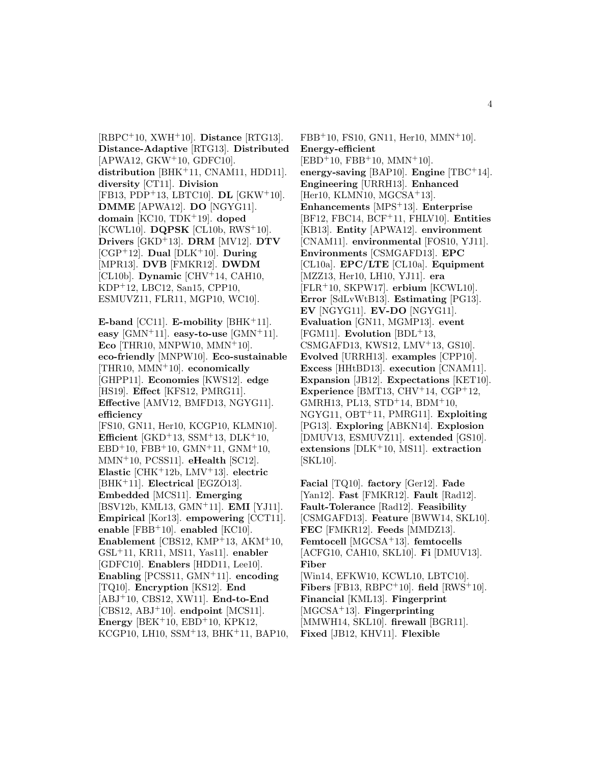[RBPC<sup>+</sup>10, XWH<sup>+</sup>10]. **Distance** [RTG13]. **Distance-Adaptive** [RTG13]. **Distributed**  $[APWA12, GKW<sup>+</sup>10, GDFC10].$ **distribution** [BHK<sup>+</sup>11, CNAM11, HDD11]. **diversity** [CT11]. **Division** [FB13, PDP<sup>+</sup>13, LBTC10]. **DL** [GKW<sup>+</sup>10]. **DMME** [APWA12]. **DO** [NGYG11]. **domain** [KC10, TDK<sup>+</sup>19]. **doped** [KCWL10]. **DQPSK** [CL10b, RWS<sup>+</sup>10]. **Drivers** [GKD<sup>+</sup>13]. **DRM** [MV12]. **DTV** [CGP<sup>+</sup>12]. **Dual** [DLK<sup>+</sup>10]. **During** [MPR13]. **DVB** [FMKR12]. **DWDM** [CL10b]. **Dynamic** [CHV<sup>+</sup>14, CAH10, KDP<sup>+</sup>12, LBC12, San15, CPP10, ESMUVZ11, FLR11, MGP10, WC10].

**E-band** [CC11]. **E-mobility** [BHK<sup>+</sup>11]. **easy**  $\text{[GMN+11]}$ . **easy-to-use**  $\text{[GMN+11]}$ . **Eco** [THR10, MNPW10, MMN<sup>+</sup>10]. **eco-friendly** [MNPW10]. **Eco-sustainable** [THR10, MMN<sup>+</sup>10]. **economically** [GHPP11]. **Economies** [KWS12]. **edge** [HS19]. **Effect** [KFS12, PMRG11]. **Effective** [AMV12, BMFD13, NGYG11]. **efficiency**

[FS10, GN11, Her10, KCGP10, KLMN10]. **Efficient** [GKD<sup>+</sup>13, SSM<sup>+</sup>13, DLK<sup>+</sup>10, EBD<sup>+</sup>10, FBB<sup>+</sup>10, GMN<sup>+</sup>11, GNM<sup>+</sup>10, MMN<sup>+</sup>10, PCSS11]. **eHealth** [SC12]. **Elastic** [CHK<sup>+</sup>12b, LMV<sup>+</sup>13]. **electric** [BHK<sup>+</sup>11]. **Electrical** [EGZO13]. **Embedded** [MCS11]. **Emerging** [BSV12b, KML13, GMN<sup>+</sup>11]. **EMI** [YJ11]. **Empirical** [Kor13]. **empowering** [CCT11]. **enable** [FBB<sup>+</sup>10]. **enabled** [KC10]. **Enablement** [CBS12, KMP<sup>+</sup>13, AKM<sup>+</sup>10, GSL<sup>+</sup>11, KR11, MS11, Yas11]. **enabler** [GDFC10]. **Enablers** [HDD11, Lee10]. **Enabling** [PCSS11, GMN<sup>+</sup>11]. **encoding** [TQ10]. **Encryption** [KS12]. **End** [ABJ<sup>+</sup>10, CBS12, XW11]. **End-to-End** [CBS12, ABJ<sup>+</sup>10]. **endpoint** [MCS11]. **Energy** [BEK<sup>+</sup>10, EBD<sup>+</sup>10, KPK12, KCGP10, LH10, SSM<sup>+</sup>13, BHK<sup>+</sup>11, BAP10,

FBB<sup>+</sup>10, FS10, GN11, Her10, MMN<sup>+</sup>10]. **Energy-efficient**  $[EBD+10, FBB+10, MMN+10].$ **energy-saving** [BAP10]. **Engine** [TBC<sup>+</sup>14]. **Engineering** [URRH13]. **Enhanced** [Her10, KLMN10, MGCSA+13]. **Enhancements** [MPS<sup>+</sup>13]. **Enterprise** [BF12, FBC14, BCF<sup>+</sup>11, FHLV10]. **Entities** [KB13]. **Entity** [APWA12]. **environment** [CNAM11]. **environmental** [FOS10, YJ11]. **Environments** [CSMGAFD13]. **EPC** [CL10a]. **EPC/LTE** [CL10a]. **Equipment** [MZZ13, Her10, LH10, YJ11]. **era** [FLR<sup>+</sup>10, SKPW17]. **erbium** [KCWL10]. **Error** [SdLvWtB13]. **Estimating** [PG13]. **EV** [NGYG11]. **EV-DO** [NGYG11]. **Evaluation** [GN11, MGMP13]. **event** [FGM11]. **Evolution** [BDL<sup>+</sup>13, CSMGAFD13, KWS12, LMV<sup>+</sup>13, GS10]. **Evolved** [URRH13]. **examples** [CPP10]. **Excess** [HHtBD13]. **execution** [CNAM11]. **Expansion** [JB12]. **Expectations** [KET10]. **Experience** [BMT13, CHV<sup>+</sup>14, CGP<sup>+</sup>12, GMRH13, PL13, STD<sup>+</sup>14, BDM<sup>+</sup>10, NGYG11, OBT<sup>+</sup>11, PMRG11]. **Exploiting** [PG13]. **Exploring** [ABKN14]. **Explosion** [DMUV13, ESMUVZ11]. **extended** [GS10]. **extensions** [DLK<sup>+</sup>10, MS11]. **extraction** [SKL10].

**Facial** [TQ10]. **factory** [Ger12]. **Fade** [Yan12]. **Fast** [FMKR12]. **Fault** [Rad12]. **Fault-Tolerance** [Rad12]. **Feasibility** [CSMGAFD13]. **Feature** [BWW14, SKL10]. **FEC** [FMKR12]. **Feeds** [MMDZ13]. **Femtocell** [MGCSA<sup>+</sup>13]. **femtocells** [ACFG10, CAH10, SKL10]. **Fi** [DMUV13]. **Fiber** [Win14, EFKW10, KCWL10, LBTC10]. **Fibers** [FB13, RBPC+10]. **field**  $[RWS^+10]$ . **Financial** [KML13]. **Fingerprint** [MGCSA<sup>+</sup>13]. **Fingerprinting** [MMWH14, SKL10]. **firewall** [BGR11]. **Fixed** [JB12, KHV11]. **Flexible**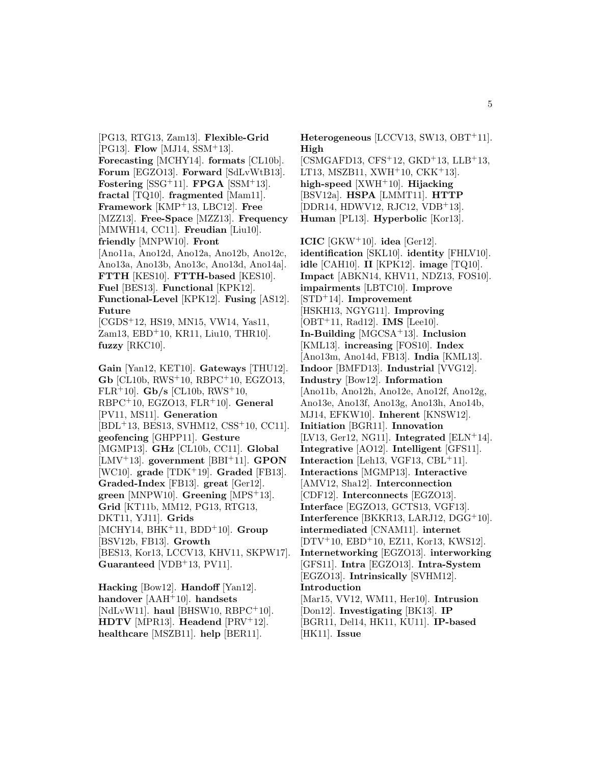[PG13, RTG13, Zam13]. **Flexible-Grid** [PG13]. **Flow** [MJ14, SSM<sup>+</sup>13]. **Forecasting** [MCHY14]. **formats** [CL10b]. **Forum** [EGZO13]. **Forward** [SdLvWtB13]. **Fostering**  $[SSG+11]$ . **FPGA**  $[SSM+13]$ . **fractal** [TQ10]. **fragmented** [Mam11]. **Framework** [KMP<sup>+</sup>13, LBC12]. **Free** [MZZ13]. **Free-Space** [MZZ13]. **Frequency** [MMWH14, CC11]. **Freudian** [Liu10]. **friendly** [MNPW10]. **Front** [Ano11a, Ano12d, Ano12a, Ano12b, Ano12c, Ano13a, Ano13b, Ano13c, Ano13d, Ano14a]. **FTTH** [KES10]. **FTTH-based** [KES10]. **Fuel** [BES13]. **Functional** [KPK12]. **Functional-Level** [KPK12]. **Fusing** [AS12]. **Future** [CGDS<sup>+</sup>12, HS19, MN15, VW14, Yas11, Zam13, EBD<sup>+</sup>10, KR11, Liu10, THR10]. **fuzzy** [RKC10]. **Gain** [Yan12, KET10]. **Gateways** [THU12]. **Gb** [CL10b, RWS<sup>+</sup>10, RBPC<sup>+</sup>10, EGZO13, FLR<sup>+</sup>10]. **Gb/s** [CL10b, RWS<sup>+</sup>10, RBPC<sup>+</sup>10, EGZO13, FLR<sup>+</sup>10]. **General** [PV11, MS11]. **Generation** [BDL<sup>+</sup>13, BES13, SVHM12, CSS<sup>+</sup>10, CC11]. **geofencing** [GHPP11]. **Gesture** [MGMP13]. **GHz** [CL10b, CC11]. **Global** [LMV<sup>+</sup>13]. **government** [BBI<sup>+</sup>11]. **GPON** [WC10]. **grade** [TDK<sup>+</sup>19]. **Graded** [FB13]. **Graded-Index** [FB13]. **great** [Ger12]. **green** [MNPW10]. **Greening** [MPS<sup>+</sup>13]. **Grid** [KT11b, MM12, PG13, RTG13, DKT11, YJ11]. **Grids**

[MCHY14, BHK<sup>+</sup>11, BDD<sup>+</sup>10]. **Group** [BSV12b, FB13]. **Growth** [BES13, Kor13, LCCV13, KHV11, SKPW17]. **Guaranteed** [VDB<sup>+</sup>13, PV11].

**Hacking** [Bow12]. **Handoff** [Yan12]. **handover** [AAH<sup>+</sup>10]. **handsets** [NdLvW11]. **haul** [BHSW10, RBPC<sup>+</sup>10]. **HDTV** [MPR13]. **Headend** [PRV<sup>+</sup>12]. **healthcare** [MSZB11]. **help** [BER11].

**Heterogeneous** [LCCV13, SW13, OBT<sup>+</sup>11]. **High**  $[CSMGAFD13, CFS<sup>+</sup>12, GKD<sup>+</sup>13, LLB<sup>+</sup>13,$ LT13, MSZB11, XWH<sup>+</sup>10, CKK<sup>+</sup>13. **high-speed** [XWH<sup>+</sup>10]. **Hijacking** [BSV12a]. **HSPA** [LMMT11]. **HTTP** [DDR14, HDWV12, RJC12, VDB<sup>+</sup>13]. **Human** [PL13]. **Hyperbolic** [Kor13]. **ICIC** [GKW<sup>+</sup>10]. **idea** [Ger12]. **identification** [SKL10]. **identity** [FHLV10]. **idle** [CAH10]. **II** [KPK12]. **image** [TQ10]. **Impact** [ABKN14, KHV11, NDZ13, FOS10]. **impairments** [LBTC10]. **Improve** [STD<sup>+</sup>14]. **Improvement** [HSKH13, NGYG11]. **Improving** [OBT<sup>+</sup>11, Rad12]. **IMS** [Lee10]. **In-Building** [MGCSA<sup>+</sup>13]. **Inclusion** [KML13]. **increasing** [FOS10]. **Index** [Ano13m, Ano14d, FB13]. **India** [KML13]. **Indoor** [BMFD13]. **Industrial** [VVG12]. **Industry** [Bow12]. **Information** [Ano11b, Ano12h, Ano12e, Ano12f, Ano12g, Ano13e, Ano13f, Ano13g, Ano13h, Ano14b, MJ14, EFKW10]. **Inherent** [KNSW12]. **Initiation** [BGR11]. **Innovation** [LV13, Ger12, NG11]. **Integrated** [ELN<sup>+</sup>14]. **Integrative** [AO12]. **Intelligent** [GFS11]. **Interaction** [Leh13, VGF13, CBL<sup>+</sup>11]. **Interactions** [MGMP13]. **Interactive** [AMV12, Sha12]. **Interconnection** [CDF12]. **Interconnects** [EGZO13]. **Interface** [EGZO13, GCTS13, VGF13]. **Interference** [BKKR13, LARJ12, DGG<sup>+</sup>10]. **intermediated** [CNAM11]. **internet** [DTV<sup>+</sup>10, EBD<sup>+</sup>10, EZ11, Kor13, KWS12]. **Internetworking** [EGZO13]. **interworking** [GFS11]. **Intra** [EGZO13]. **Intra-System** [EGZO13]. **Intrinsically** [SVHM12]. **Introduction** [Mar15, VV12, WM11, Her10]. **Intrusion** [Don12]. **Investigating** [BK13]. **IP**

[BGR11, Del14, HK11, KU11]. **IP-based** [HK11]. **Issue**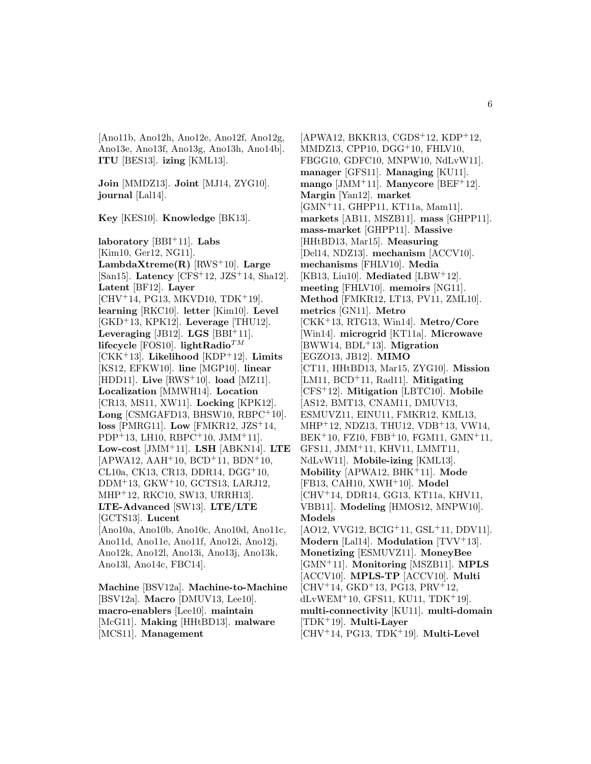[Ano11b, Ano12h, Ano12e, Ano12f, Ano12g, Ano13e, Ano13f, Ano13g, Ano13h, Ano14b]. **ITU** [BES13]. **izing** [KML13].

**Join** [MMDZ13]. **Joint** [MJ14, ZYG10]. **journal** [Lal14].

**Key** [KES10]. **Knowledge** [BK13].

**laboratory** [BBI<sup>+</sup>11]. **Labs** [Kim10, Ger12, NG11]. **LambdaXtreme(R)** [RWS<sup>+</sup>10]. **Large** [San15]. **Latency** [CFS<sup>+</sup>12, JZS<sup>+</sup>14, Sha12]. **Latent** [BF12]. **Layer**  $[CHV<sup>+</sup>14, PG13, MKVD10, TDK<sup>+</sup>19].$ **learning** [RKC10]. **letter** [Kim10]. **Level** [GKD<sup>+</sup>13, KPK12]. **Leverage** [THU12]. Leveraging [JB12].  $\text{LGS}$  [BBI<sup>+</sup>11]. **lifecycle** [FOS10]. **lightRadio**TM [CKK<sup>+</sup>13]. **Likelihood** [KDP<sup>+</sup>12]. **Limits** [KS12, EFKW10]. **line** [MGP10]. **linear** [HDD11]. **Live** [RWS<sup>+</sup>10]. **load** [MZ11]. **Localization** [MMWH14]. **Location** [CR13, MS11, XW11]. **Locking** [KPK12]. **Long** [CSMGAFD13, BHSW10, RBPC<sup>+</sup>10]. **loss** [PMRG11]. **Low** [FMKR12, JZS<sup>+</sup>14,  $PDP+13$ , LH10, RBPC<sup>+</sup>10, JMM<sup>+</sup>11. **Low-cost** [JMM<sup>+</sup>11]. **LSH** [ABKN14]. **LTE**  $[APWA12, AAH<sup>+</sup>10, BCD<sup>+</sup>11, BDN<sup>+</sup>10,$ CL10a, CK13, CR13, DDR14, DGG<sup>+</sup>10, DDM<sup>+</sup>13, GKW<sup>+</sup>10, GCTS13, LARJ12, MHP<sup>+</sup>12, RKC10, SW13, URRH13]. **LTE-Advanced** [SW13]. **LTE/LTE** [GCTS13]. **Lucent** [Ano10a, Ano10b, Ano10c, Ano10d, Ano11c, Ano11d, Ano11e, Ano11f, Ano12i, Ano12j, Ano12k, Ano12l, Ano13i, Ano13j, Ano13k, Ano13l, Ano14c, FBC14].

**Machine** [BSV12a]. **Machine-to-Machine** [BSV12a]. **Macro** [DMUV13, Lee10]. **macro-enablers** [Lee10]. **maintain** [McG11]. **Making** [HHtBD13]. **malware** [MCS11]. **Management**

 $[APWA12, BKKR13, CGDS<sup>+</sup>12, KDP<sup>+</sup>12,$ MMDZ13, CPP10, DGG<sup>+</sup>10, FHLV10, FBGG10, GDFC10, MNPW10, NdLvW11]. **manager** [GFS11]. **Managing** [KU11]. **mango** [JMM<sup>+</sup>11]. **Manycore** [BEF<sup>+</sup>12]. **Margin** [Yan12]. **market** [GMN<sup>+</sup>11, GHPP11, KT11a, Mam11]. **markets** [AB11, MSZB11]. **mass** [GHPP11]. **mass-market** [GHPP11]. **Massive** [HHtBD13, Mar15]. **Measuring** [Del14, NDZ13]. **mechanism** [ACCV10]. **mechanisms** [FHLV10]. **Media** [KB13, Liu10]. **Mediated** [LBW<sup>+</sup>12]. **meeting** [FHLV10]. **memoirs** [NG11]. **Method** [FMKR12, LT13, PV11, ZML10]. **metrics** [GN11]. **Metro** [CKK<sup>+</sup>13, RTG13, Win14]. **Metro/Core** [Win14]. **microgrid** [KT11a]. **Microwave** [BWW14, BDL<sup>+</sup>13]. **Migration** [EGZO13, JB12]. **MIMO** [CT11, HHtBD13, Mar15, ZYG10]. **Mission** [LM11, BCD<sup>+</sup>11, Rad11]. **Mitigating** [CFS<sup>+</sup>12]. **Mitigation** [LBTC10]. **Mobile** [AS12, BMT13, CNAM11, DMUV13, ESMUVZ11, EINU11, FMKR12, KML13, MHP<sup>+</sup>12, NDZ13, THU12, VDB<sup>+</sup>13, VW14, BEK<sup>+</sup>10, FZ10, FBB<sup>+</sup>10, FGM11, GMN<sup>+</sup>11, GFS11, JMM<sup>+</sup>11, KHV11, LMMT11, NdLvW11]. **Mobile-izing** [KML13]. **Mobility** [APWA12, BHK<sup>+</sup>11]. **Mode** [FB13, CAH10, XWH<sup>+</sup>10]. **Model** [CHV<sup>+</sup>14, DDR14, GG13, KT11a, KHV11, VBB11]. **Modeling** [HMOS12, MNPW10]. **Models** [AO12, VVG12, BCIG<sup>+</sup>11, GSL<sup>+</sup>11, DDV11]. **Modern** [Lal14]. **Modulation** [TVV<sup>+</sup>13]. **Monetizing** [ESMUVZ11]. **MoneyBee** [GMN<sup>+</sup>11]. **Monitoring** [MSZB11]. **MPLS** [ACCV10]. **MPLS-TP** [ACCV10]. **Multi**  $[CHV+14, \text{GKD}+13, \text{PG13}, \text{PRV}+12,$  $dLvWEM<sup>+</sup>10, GFS11, KU11, TDK<sup>+</sup>19].$ **multi-connectivity** [KU11]. **multi-domain** [TDK<sup>+</sup>19]. **Multi-Layer** [CHV<sup>+</sup>14, PG13, TDK<sup>+</sup>19]. **Multi-Level**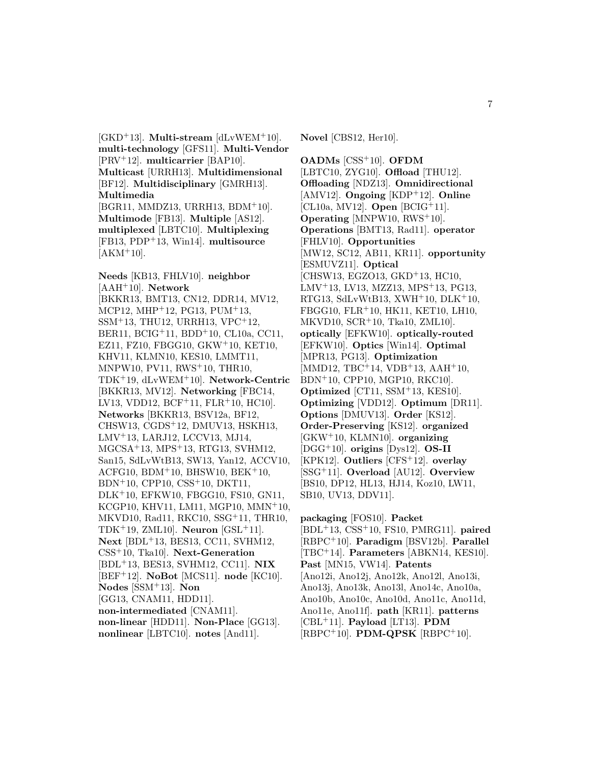[GKD<sup>+</sup>13]. **Multi-stream** [dLvWEM<sup>+</sup>10]. **multi-technology** [GFS11]. **Multi-Vendor** [PRV<sup>+</sup>12]. **multicarrier** [BAP10]. **Multicast** [URRH13]. **Multidimensional** [BF12]. **Multidisciplinary** [GMRH13]. **Multimedia** [BGR11, MMDZ13, URRH13, BDM<sup>+</sup>10]. **Multimode** [FB13]. **Multiple** [AS12]. **multiplexed** [LBTC10]. **Multiplexing** [FB13, PDP<sup>+</sup>13, Win14]. **multisource**  $[AKM+10]$ .

**Needs** [KB13, FHLV10]. **neighbor** [AAH<sup>+</sup>10]. **Network** [BKKR13, BMT13, CN12, DDR14, MV12, MCP12, MHP<sup>+</sup>12, PG13, PUM<sup>+</sup>13, SSM<sup>+</sup>13, THU12, URRH13, VPC<sup>+</sup>12, BER11, BCIG<sup>+</sup>11, BDD<sup>+</sup>10, CL10a, CC11, EZ11, FZ10, FBGG10, GKW<sup>+</sup>10, KET10, KHV11, KLMN10, KES10, LMMT11, MNPW10, PV11, RWS<sup>+</sup>10, THR10, TDK<sup>+</sup>19, dLvWEM<sup>+</sup>10]. **Network-Centric** [BKKR13, MV12]. **Networking** [FBC14, LV13, VDD12, BCF<sup>+</sup>11, FLR<sup>+</sup>10, HC10]. **Networks** [BKKR13, BSV12a, BF12, CHSW13, CGDS<sup>+</sup>12, DMUV13, HSKH13, LMV<sup>+</sup>13, LARJ12, LCCV13, MJ14, MGCSA<sup>+</sup>13, MPS<sup>+</sup>13, RTG13, SVHM12, San15, SdLvWtB13, SW13, Yan12, ACCV10,  $ACFG10$ ,  $BDM<sup>+</sup>10$ ,  $BHSW10$ ,  $BEK<sup>+</sup>10$ , BDN<sup>+</sup>10, CPP10, CSS<sup>+</sup>10, DKT11, DLK<sup>+</sup>10, EFKW10, FBGG10, FS10, GN11, KCGP10, KHV11, LM11, MGP10, MMN<sup>+</sup>10, MKVD10, Rad11, RKC10, SSG<sup>+</sup>11, THR10, TDK<sup>+</sup>19, ZML10]. **Neuron** [GSL<sup>+</sup>11]. **Next** [BDL<sup>+</sup>13, BES13, CC11, SVHM12, CSS<sup>+</sup>10, Tka10]. **Next-Generation** [BDL<sup>+</sup>13, BES13, SVHM12, CC11]. **NIX** [BEF<sup>+</sup>12]. **NoBot** [MCS11]. **node** [KC10]. **Nodes** [SSM<sup>+</sup>13]. **Non** [GG13, CNAM11, HDD11]. **non-intermediated** [CNAM11]. **non-linear** [HDD11]. **Non-Place** [GG13]. **nonlinear** [LBTC10]. **notes** [And11].

**Novel** [CBS12, Her10].

**OADMs** [CSS<sup>+</sup>10]. **OFDM** [LBTC10, ZYG10]. **Offload** [THU12]. **Offloading** [NDZ13]. **Omnidirectional** [AMV12]. **Ongoing** [KDP<sup>+</sup>12]. **Online** [CL10a, MV12]. **Open** [BCIG<sup>+</sup>11]. **Operating** [MNPW10, RWS<sup>+</sup>10]. **Operations** [BMT13, Rad11]. **operator** [FHLV10]. **Opportunities** [MW12, SC12, AB11, KR11]. **opportunity** [ESMUVZ11]. **Optical** [CHSW13, EGZO13, GKD<sup>+</sup>13, HC10, LMV<sup>+</sup>13, LV13, MZZ13, MPS<sup>+</sup>13, PG13, RTG13, SdLvWtB13,  $XWH<sup>+</sup>10$ ,  $DLK<sup>+</sup>10$ , FBGG10, FLR<sup>+</sup>10, HK11, KET10, LH10, MKVD10, SCR<sup>+</sup>10, Tka10, ZML10]. **optically** [EFKW10]. **optically-routed** [EFKW10]. **Optics** [Win14]. **Optimal** [MPR13, PG13]. **Optimization** [MMD12, TBC<sup>+</sup>14, VDB<sup>+</sup>13, AAH<sup>+</sup>10, BDN<sup>+</sup>10, CPP10, MGP10, RKC10]. **Optimized** [CT11, SSM<sup>+</sup>13, KES10]. **Optimizing** [VDD12]. **Optimum** [DR11]. **Options** [DMUV13]. **Order** [KS12]. **Order-Preserving** [KS12]. **organized** [GKW<sup>+</sup>10, KLMN10]. **organizing** [DGG<sup>+</sup>10]. **origins** [Dys12]. **OS-II** [KPK12]. **Outliers** [CFS<sup>+</sup>12]. **overlay** [SSG<sup>+</sup>11]. **Overload** [AU12]. **Overview** [BS10, DP12, HL13, HJ14, Koz10, LW11, SB10, UV13, DDV11].

**packaging** [FOS10]. **Packet** [BDL<sup>+</sup>13, CSS<sup>+</sup>10, FS10, PMRG11]. **paired** [RBPC<sup>+</sup>10]. **Paradigm** [BSV12b]. **Parallel** [TBC<sup>+</sup>14]. **Parameters** [ABKN14, KES10]. **Past** [MN15, VW14]. **Patents** [Ano12i, Ano12j, Ano12k, Ano12l, Ano13i, Ano13j, Ano13k, Ano13l, Ano14c, Ano10a, Ano10b, Ano10c, Ano10d, Ano11c, Ano11d, Ano11e, Ano11f]. **path** [KR11]. **patterns** [CBL<sup>+</sup>11]. **Payload** [LT13]. **PDM** [RBPC<sup>+</sup>10]. **PDM-QPSK** [RBPC<sup>+</sup>10].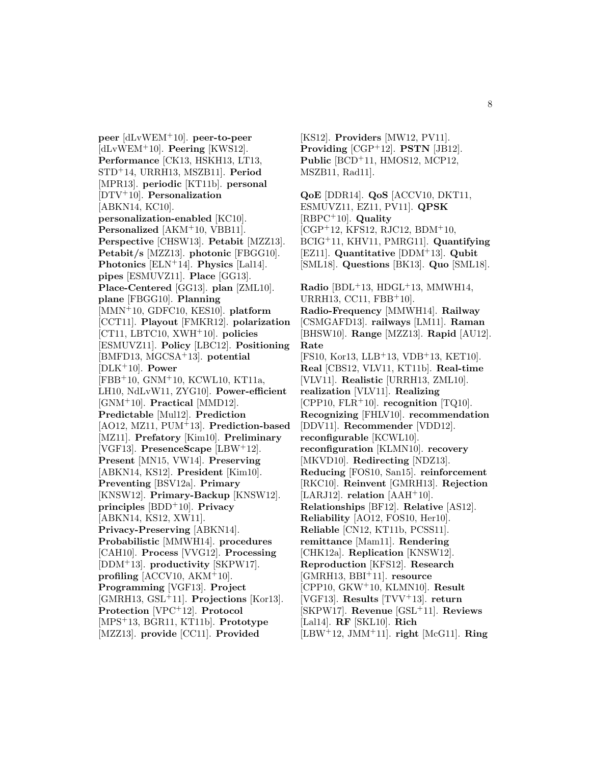**peer** [dLvWEM<sup>+</sup>10]. **peer-to-peer** [dLvWEM<sup>+</sup>10]. **Peering** [KWS12]. **Performance** [CK13, HSKH13, LT13, STD<sup>+</sup>14, URRH13, MSZB11]. **Period** [MPR13]. **periodic** [KT11b]. **personal** [DTV<sup>+</sup>10]. **Personalization** [ABKN14, KC10]. **personalization-enabled** [KC10]. **Personalized** [AKM<sup>+</sup>10, VBB11]. **Perspective** [CHSW13]. **Petabit** [MZZ13]. **Petabit/s** [MZZ13]. **photonic** [FBGG10]. **Photonics** [ELN<sup>+</sup>14]. **Physics** [Lal14]. **pipes** [ESMUVZ11]. **Place** [GG13]. **Place-Centered** [GG13]. **plan** [ZML10]. **plane** [FBGG10]. **Planning** [MMN<sup>+</sup>10, GDFC10, KES10]. **platform** [CCT11]. **Playout** [FMKR12]. **polarization** [CT11, LBTC10, XWH<sup>+</sup>10]. **policies** [ESMUVZ11]. **Policy** [LBC12]. **Positioning** [BMFD13, MGCSA<sup>+</sup>13]. **potential** [DLK<sup>+</sup>10]. **Power** [FBB<sup>+</sup>10, GNM<sup>+</sup>10, KCWL10, KT11a, LH10, NdLvW11, ZYG10]. **Power-efficient** [GNM<sup>+</sup>10]. **Practical** [MMD12]. **Predictable** [Mul12]. **Prediction** [AO12, MZ11, PUM<sup>+</sup>13]. **Prediction-based** [MZ11]. **Prefatory** [Kim10]. **Preliminary** [VGF13]. **PresenceScape** [LBW<sup>+</sup>12]. **Present** [MN15, VW14]. **Preserving** [ABKN14, KS12]. **President** [Kim10]. **Preventing** [BSV12a]. **Primary** [KNSW12]. **Primary-Backup** [KNSW12]. **principles** [BDD<sup>+</sup>10]. **Privacy** [ABKN14, KS12, XW11]. **Privacy-Preserving** [ABKN14]. **Probabilistic** [MMWH14]. **procedures** [CAH10]. **Process** [VVG12]. **Processing** [DDM<sup>+</sup>13]. **productivity** [SKPW17]. **profiling** [ACCV10, AKM<sup>+</sup>10]. **Programming** [VGF13]. **Project** [GMRH13, GSL<sup>+</sup>11]. **Projections** [Kor13]. **Protection** [VPC<sup>+</sup>12]. **Protocol** [MPS<sup>+</sup>13, BGR11, KT11b]. **Prototype** [MZZ13]. **provide** [CC11]. **Provided**

[KS12]. **Providers** [MW12, PV11]. **Providing** [CGP<sup>+</sup>12]. **PSTN** [JB12]. **Public** [BCD<sup>+</sup>11, HMOS12, MCP12, MSZB11, Rad11].

**QoE** [DDR14]. **QoS** [ACCV10, DKT11, ESMUVZ11, EZ11, PV11]. **QPSK** [RBPC<sup>+</sup>10]. **Quality** [CGP<sup>+</sup>12, KFS12, RJC12, BDM<sup>+</sup>10, BCIG<sup>+</sup>11, KHV11, PMRG11]. **Quantifying** [EZ11]. **Quantitative** [DDM<sup>+</sup>13]. **Qubit** [SML18]. **Questions** [BK13]. **Quo** [SML18]. **Radio** [BDL<sup>+</sup>13, HDGL<sup>+</sup>13, MMWH14, URRH13, CC11, FBB<sup>+</sup>10]. **Radio-Frequency** [MMWH14]. **Railway** [CSMGAFD13]. **railways** [LM11]. **Raman** [BHSW10]. **Range** [MZZ13]. **Rapid** [AU12]. **Rate** [FS10, Kor13, LLB<sup>+</sup>13, VDB<sup>+</sup>13, KET10]. **Real** [CBS12, VLV11, KT11b]. **Real-time** [VLV11]. **Realistic** [URRH13, ZML10]. **realization** [VLV11]. **Realizing** [CPP10, FLR<sup>+</sup>10]. **recognition** [TQ10]. **Recognizing** [FHLV10]. **recommendation** [DDV11]. **Recommender** [VDD12]. **reconfigurable** [KCWL10]. **reconfiguration** [KLMN10]. **recovery** [MKVD10]. **Redirecting** [NDZ13]. **Reducing** [FOS10, San15]. **reinforcement** [RKC10]. **Reinvent** [GMRH13]. **Rejection** [LARJ12]. **relation**  $[AAH^+10]$ . **Relationships** [BF12]. **Relative** [AS12]. **Reliability** [AO12, FOS10, Her10]. **Reliable** [CN12, KT11b, PCSS11]. **remittance** [Mam11]. **Rendering** [CHK12a]. **Replication** [KNSW12]. **Reproduction** [KFS12]. **Research** [GMRH13, BBI<sup>+</sup>11]. **resource** [CPP10, GKW<sup>+</sup>10, KLMN10]. **Result** [VGF13]. **Results** [TVV<sup>+</sup>13]. **return** [SKPW17]. **Revenue** [GSL<sup>+</sup>11]. **Reviews** [Lal14]. **RF** [SKL10]. **Rich** [LBW<sup>+</sup>12, JMM<sup>+</sup>11]. **right** [McG11]. **Ring**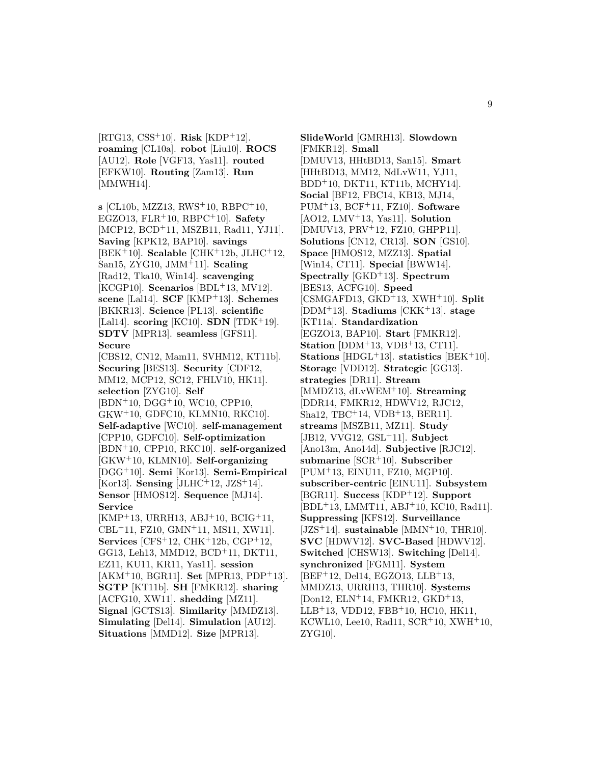[RTG13, CSS<sup>+</sup>10]. **Risk** [KDP<sup>+</sup>12]. **roaming** [CL10a]. **robot** [Liu10]. **ROCS** [AU12]. **Role** [VGF13, Yas11]. **routed** [EFKW10]. **Routing** [Zam13]. **Run** [MMWH14].

**s** [CL10b, MZZ13, RWS<sup>+</sup>10, RBPC<sup>+</sup>10, EGZO13, FLR<sup>+</sup>10, RBPC<sup>+</sup>10]. **Safety** [MCP12, BCD<sup>+</sup>11, MSZB11, Rad11, YJ11]. **Saving** [KPK12, BAP10]. **savings** [BEK<sup>+</sup>10]. **Scalable** [CHK<sup>+</sup>12b, JLHC<sup>+</sup>12, San15, ZYG10, JMM<sup>+</sup>11]. **Scaling** [Rad12, Tka10, Win14]. **scavenging** [KCGP10]. **Scenarios** [BDL<sup>+</sup>13, MV12]. **scene** [Lal14]. **SCF** [KMP<sup>+</sup>13]. **Schemes** [BKKR13]. **Science** [PL13]. **scientific** [Lal14]. **scoring** [KC10]. **SDN** [TDK<sup>+</sup>19]. **SDTV** [MPR13]. **seamless** [GFS11]. **Secure** [CBS12, CN12, Mam11, SVHM12, KT11b].

**Securing** [BES13]. **Security** [CDF12, MM12, MCP12, SC12, FHLV10, HK11]. **selection** [ZYG10]. **Self** [BDN<sup>+</sup>10, DGG<sup>+</sup>10, WC10, CPP10, GKW<sup>+</sup>10, GDFC10, KLMN10, RKC10]. **Self-adaptive** [WC10]. **self-management** [CPP10, GDFC10]. **Self-optimization** [BDN<sup>+</sup>10, CPP10, RKC10]. **self-organized** [GKW<sup>+</sup>10, KLMN10]. **Self-organizing** [DGG<sup>+</sup>10]. **Semi** [Kor13]. **Semi-Empirical** [Kor13]. **Sensing** [JLHC<sup>+</sup>12, JZS<sup>+</sup>14]. **Sensor** [HMOS12]. **Sequence** [MJ14]. **Service**

 $[KMP<sup>+</sup>13, URRH13, ABJ<sup>+</sup>10, BCIG<sup>+</sup>11,$ CBL<sup>+</sup>11, FZ10, GMN<sup>+</sup>11, MS11, XW11]. **Services** [CFS<sup>+</sup>12, CHK<sup>+</sup>12b, CGP<sup>+</sup>12, GG13, Leh13, MMD12, BCD<sup>+</sup>11, DKT11, EZ11, KU11, KR11, Yas11]. **session** [AKM<sup>+</sup>10, BGR11]. **Set** [MPR13, PDP<sup>+</sup>13]. **SGTP** [KT11b]. **SH** [FMKR12]. **sharing** [ACFG10, XW11]. **shedding** [MZ11]. **Signal** [GCTS13]. **Similarity** [MMDZ13]. **Simulating** [Del14]. **Simulation** [AU12]. **Situations** [MMD12]. **Size** [MPR13].

**SlideWorld** [GMRH13]. **Slowdown** [FMKR12]. **Small** [DMUV13, HHtBD13, San15]. **Smart** [HHtBD13, MM12, NdLvW11, YJ11, BDD<sup>+</sup>10, DKT11, KT11b, MCHY14]. **Social** [BF12, FBC14, KB13, MJ14, PUM<sup>+</sup>13, BCF<sup>+</sup>11, FZ10]. **Software** [AO12, LMV<sup>+</sup>13, Yas11]. **Solution** [DMUV13, PRV<sup>+</sup>12, FZ10, GHPP11]. **Solutions** [CN12, CR13]. **SON** [GS10]. **Space** [HMOS12, MZZ13]. **Spatial** [Win14, CT11]. **Special** [BWW14]. **Spectrally** [GKD<sup>+</sup>13]. **Spectrum** [BES13, ACFG10]. **Speed** [CSMGAFD13, GKD<sup>+</sup>13, XWH<sup>+</sup>10]. **Split** [DDM<sup>+</sup>13]. **Stadiums** [CKK<sup>+</sup>13]. **stage** [KT11a]. **Standardization** [EGZO13, BAP10]. **Start** [FMKR12]. **Station** [DDM<sup>+</sup>13, VDB<sup>+</sup>13, CT11]. **Stations** [HDGL<sup>+</sup>13]. **statistics** [BEK<sup>+</sup>10]. **Storage** [VDD12]. **Strategic** [GG13]. **strategies** [DR11]. **Stream** [MMDZ13, dLvWEM<sup>+</sup>10]. **Streaming** [DDR14, FMKR12, HDWV12, RJC12, Sha12, TBC<sup>+</sup>14, VDB<sup>+</sup>13, BER11]. **streams** [MSZB11, MZ11]. **Study** [JB12, VVG12, GSL<sup>+</sup>11]. **Subject** [Ano13m, Ano14d]. **Subjective** [RJC12]. **submarine** [SCR<sup>+</sup>10]. **Subscriber** [PUM<sup>+</sup>13, EINU11, FZ10, MGP10]. **subscriber-centric** [EINU11]. **Subsystem** [BGR11]. **Success** [KDP<sup>+</sup>12]. **Support** [BDL<sup>+</sup>13, LMMT11, ABJ<sup>+</sup>10, KC10, Rad11]. **Suppressing** [KFS12]. **Surveillance** [JZS<sup>+</sup>14]. **sustainable** [MMN<sup>+</sup>10, THR10]. **SVC** [HDWV12]. **SVC-Based** [HDWV12]. **Switched** [CHSW13]. **Switching** [Del14]. **synchronized** [FGM11]. **System**  $[BEF+12, Del14, EGZO13, LLB+13, ]$ MMDZ13, URRH13, THR10]. **Systems** [Don12, ELN<sup>+</sup>14, FMKR12, GKD<sup>+</sup>13, LLB<sup>+</sup>13, VDD12, FBB<sup>+</sup>10, HC10, HK11, KCWL10, Lee10, Rad11,  $SCR<sup>+</sup>10$ ,  $XWH<sup>+</sup>10$ , ZYG10].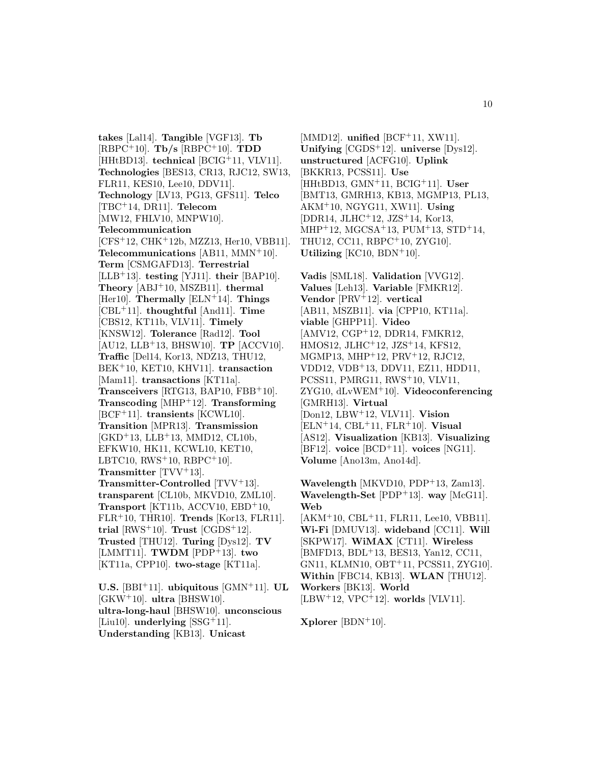**takes** [Lal14]. **Tangible** [VGF13]. **Tb** [RBPC<sup>+</sup>10]. **Tb/s** [RBPC<sup>+</sup>10]. **TDD** [HHtBD13]. **technical** [BCIG<sup>+</sup>11, VLV11]. **Technologies** [BES13, CR13, RJC12, SW13, FLR11, KES10, Lee10, DDV11]. **Technology** [LV13, PG13, GFS11]. **Telco** [TBC<sup>+</sup>14, DR11]. **Telecom** [MW12, FHLV10, MNPW10]. **Telecommunication** [CFS<sup>+</sup>12, CHK<sup>+</sup>12b, MZZ13, Her10, VBB11]. **Telecommunications** [AB11, MMN<sup>+</sup>10]. **Term** [CSMGAFD13]. **Terrestrial** [LLB<sup>+</sup>13]. **testing** [YJ11]. **their** [BAP10]. **Theory** [ABJ<sup>+</sup>10, MSZB11]. **thermal** [Her10]. **Thermally** [ELN<sup>+</sup>14]. **Things** [CBL<sup>+</sup>11]. **thoughtful** [And11]. **Time** [CBS12, KT11b, VLV11]. **Timely** [KNSW12]. **Tolerance** [Rad12]. **Tool** [AU12, LLB<sup>+</sup>13, BHSW10]. **TP** [ACCV10]. **Traffic** [Del14, Kor13, NDZ13, THU12, BEK<sup>+</sup>10, KET10, KHV11]. **transaction** [Mam11]. **transactions** [KT11a]. **Transceivers** [RTG13, BAP10, FBB<sup>+</sup>10]. **Transcoding** [MHP<sup>+</sup>12]. **Transforming** [BCF<sup>+</sup>11]. **transients** [KCWL10]. **Transition** [MPR13]. **Transmission**  $[GKD+13, LLB+13, MMD12, CL10b,$ EFKW10, HK11, KCWL10, KET10, LBTC10,  $RWS+10$ ,  $RBPC+10$ . **Transmitter** [TVV<sup>+</sup>13]. **Transmitter-Controlled** [TVV+13]. **transparent** [CL10b, MKVD10, ZML10]. **Transport** [KT11b, ACCV10, EBD<sup>+</sup>10, FLR<sup>+</sup>10, THR10]. **Trends** [Kor13, FLR11].  $\text{trial}$  [RWS<sup>+</sup>10]. **Trust** [CGDS<sup>+</sup>12]. **Trusted** [THU12]. **Turing** [Dys12]. **TV** [LMMT11]. **TWDM** [PDP<sup>+</sup>13]. **two** [KT11a, CPP10]. **two-stage** [KT11a].

**U.S.** [BBI<sup>+</sup>11]. **ubiquitous** [GMN<sup>+</sup>11]. **UL** [GKW<sup>+</sup>10]. **ultra** [BHSW10]. **ultra-long-haul** [BHSW10]. **unconscious** [Liu10]. **underlying** [SSG<sup>+</sup>11]. **Understanding** [KB13]. **Unicast**

[MMD12]. **unified** [BCF<sup>+</sup>11, XW11]. **Unifying** [CGDS<sup>+</sup>12]. **universe** [Dys12]. **unstructured** [ACFG10]. **Uplink** [BKKR13, PCSS11]. **Use** [HHtBD13, GMN<sup>+</sup>11, BCIG<sup>+</sup>11]. **User** [BMT13, GMRH13, KB13, MGMP13, PL13, AKM<sup>+</sup>10, NGYG11, XW11]. **Using** [DDR14, JLHC<sup>+</sup>12, JZS<sup>+</sup>14, Kor13, MHP<sup>+</sup>12, MGCSA<sup>+</sup>13, PUM<sup>+</sup>13, STD<sup>+</sup>14, THU12, CC11, RBPC<sup>+</sup>10, ZYG10]. **Utilizing** [KC10, BDN<sup>+</sup>10].

**Vadis** [SML18]. **Validation** [VVG12]. **Values** [Leh13]. **Variable** [FMKR12]. **Vendor** [PRV<sup>+</sup>12]. **vertical** [AB11, MSZB11]. **via** [CPP10, KT11a]. **viable** [GHPP11]. **Video** [AMV12, CGP<sup>+</sup>12, DDR14, FMKR12, HMOS12, JLHC<sup>+</sup>12, JZS<sup>+</sup>14, KFS12, MGMP13, MHP<sup>+</sup>12, PRV<sup>+</sup>12, RJC12, VDD12, VDB<sup>+</sup>13, DDV11, EZ11, HDD11, PCSS11, PMRG11, RWS<sup>+</sup>10, VLV11, ZYG10, dLvWEM<sup>+</sup>10]. **Videoconferencing** [GMRH13]. **Virtual** [Don12, LBW<sup>+</sup>12, VLV11]. **Vision** [ELN<sup>+</sup>14, CBL<sup>+</sup>11, FLR<sup>+</sup>10]. **Visual** [AS12]. **Visualization** [KB13]. **Visualizing** [BF12]. **voice** [BCD<sup>+</sup>11]. **voices** [NG11]. **Volume** [Ano13m, Ano14d].

**Wavelength** [MKVD10, PDP<sup>+</sup>13, Zam13]. **Wavelength-Set** [PDP<sup>+</sup>13]. **way** [McG11]. **Web** [AKM<sup>+</sup>10, CBL<sup>+</sup>11, FLR11, Lee10, VBB11]. **Wi-Fi** [DMUV13]. **wideband** [CC11]. **Will** [SKPW17]. **WiMAX** [CT11]. **Wireless** [BMFD13, BDL<sup>+</sup>13, BES13, Yan12, CC11, GN11, KLMN10, OBT<sup>+</sup>11, PCSS11, ZYG10]. **Within** [FBC14, KB13]. **WLAN** [THU12]. **Workers** [BK13]. **World** [LBW<sup>+</sup>12, VPC<sup>+</sup>12]. **worlds** [VLV11].

**Xplorer** [BDN<sup>+</sup>10].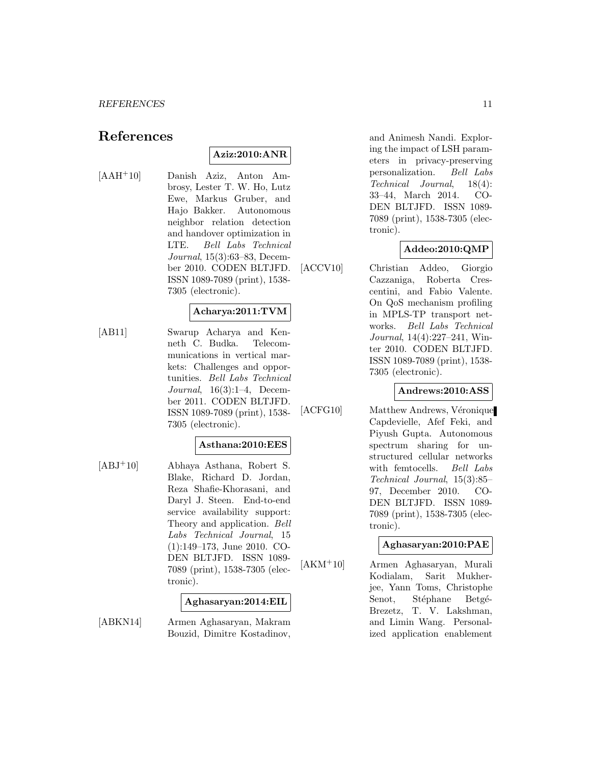## **References**

## **Aziz:2010:ANR**

[AAH<sup>+</sup>10] Danish Aziz, Anton Ambrosy, Lester T. W. Ho, Lutz Ewe, Markus Gruber, and Hajo Bakker. Autonomous neighbor relation detection and handover optimization in LTE. Bell Labs Technical Journal, 15(3):63–83, December 2010. CODEN BLTJFD. ISSN 1089-7089 (print), 1538- 7305 (electronic).

#### **Acharya:2011:TVM**

[AB11] Swarup Acharya and Kenneth C. Budka. Telecommunications in vertical markets: Challenges and opportunities. Bell Labs Technical Journal, 16(3):1–4, December 2011. CODEN BLTJFD. ISSN 1089-7089 (print), 1538- 7305 (electronic).

#### **Asthana:2010:EES**

[ABJ<sup>+</sup>10] Abhaya Asthana, Robert S. Blake, Richard D. Jordan, Reza Shafie-Khorasani, and Daryl J. Steen. End-to-end service availability support: Theory and application. Bell Labs Technical Journal, 15 (1):149–173, June 2010. CO-DEN BLTJFD. ISSN 1089- 7089 (print), 1538-7305 (electronic).

#### **Aghasaryan:2014:EIL**

[ABKN14] Armen Aghasaryan, Makram Bouzid, Dimitre Kostadinov,

and Animesh Nandi. Exploring the impact of LSH parameters in privacy-preserving personalization. Bell Labs Technical Journal, 18(4): 33–44, March 2014. CO-DEN BLTJFD. ISSN 1089- 7089 (print), 1538-7305 (electronic).

## **Addeo:2010:QMP**

[ACCV10] Christian Addeo, Giorgio Cazzaniga, Roberta Crescentini, and Fabio Valente. On QoS mechanism profiling in MPLS-TP transport networks. Bell Labs Technical Journal, 14(4):227–241, Winter 2010. CODEN BLTJFD. ISSN 1089-7089 (print), 1538- 7305 (electronic).

#### **Andrews:2010:ASS**

[ACFG10] Matthew Andrews, Véronique Capdevielle, Afef Feki, and Piyush Gupta. Autonomous spectrum sharing for unstructured cellular networks with femtocells. Bell Labs Technical Journal, 15(3):85– 97, December 2010. CO-DEN BLTJFD. ISSN 1089- 7089 (print), 1538-7305 (electronic).

## **Aghasaryan:2010:PAE**

[AKM<sup>+</sup>10] Armen Aghasaryan, Murali Kodialam, Sarit Mukherjee, Yann Toms, Christophe Senot, Stéphane Betgé-Brezetz, T. V. Lakshman, and Limin Wang. Personalized application enablement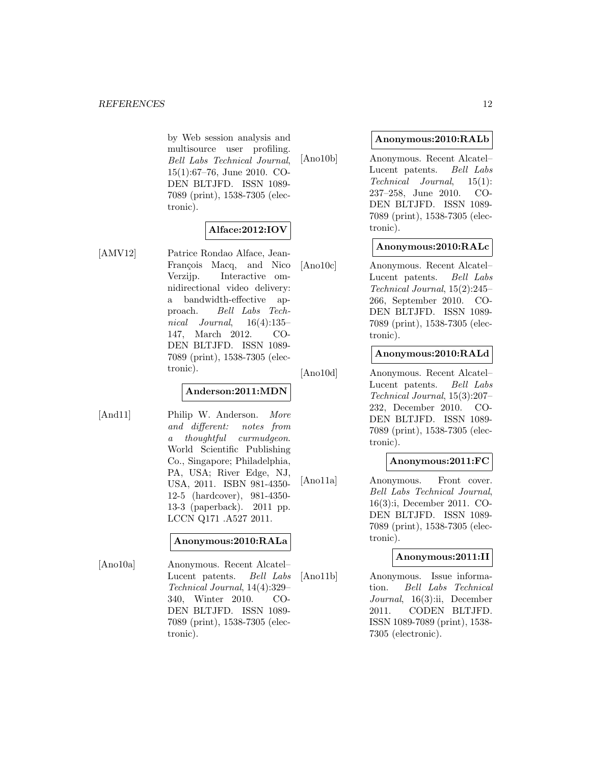by Web session analysis and multisource user profiling. Bell Labs Technical Journal, 15(1):67–76, June 2010. CO-DEN BLTJFD. ISSN 1089- 7089 (print), 1538-7305 (electronic).

## **Alface:2012:IOV**

[AMV12] Patrice Rondao Alface, Jean-François Macq, and Nico Verzijp. Interactive omnidirectional video delivery: a bandwidth-effective approach. Bell Labs Technical Journal, 16(4):135– 147, March 2012. CO-DEN BLTJFD. ISSN 1089- 7089 (print), 1538-7305 (electronic).

## **Anderson:2011:MDN**

[And11] Philip W. Anderson. More and different: notes from a thoughtful curmudgeon. World Scientific Publishing Co., Singapore; Philadelphia, PA, USA; River Edge, NJ, USA, 2011. ISBN 981-4350- 12-5 (hardcover), 981-4350- 13-3 (paperback). 2011 pp. LCCN Q171 .A527 2011.

#### **Anonymous:2010:RALa**

[Ano10a] Anonymous. Recent Alcatel– Lucent patents. Bell Labs Technical Journal, 14(4):329– 340, Winter 2010. CO-DEN BLTJFD. ISSN 1089- 7089 (print), 1538-7305 (electronic).

#### **Anonymous:2010:RALb**

[Ano10b] Anonymous. Recent Alcatel– Lucent patents. Bell Labs Technical Journal, 15(1): 237–258, June 2010. CO-DEN BLTJFD. ISSN 1089- 7089 (print), 1538-7305 (electronic).

## **Anonymous:2010:RALc**

[Ano10c] Anonymous. Recent Alcatel– Lucent patents. Bell Labs Technical Journal, 15(2):245– 266, September 2010. CO-DEN BLTJFD. ISSN 1089- 7089 (print), 1538-7305 (electronic).

## **Anonymous:2010:RALd**

[Ano10d] Anonymous. Recent Alcatel– Lucent patents. Bell Labs Technical Journal, 15(3):207– 232, December 2010. CO-DEN BLTJFD. ISSN 1089- 7089 (print), 1538-7305 (electronic).

## **Anonymous:2011:FC**

[Ano11a] Anonymous. Front cover. Bell Labs Technical Journal, 16(3):i, December 2011. CO-DEN BLTJFD. ISSN 1089- 7089 (print), 1538-7305 (electronic).

## **Anonymous:2011:II**

[Ano11b] Anonymous. Issue information. Bell Labs Technical Journal, 16(3):ii, December 2011. CODEN BLTJFD. ISSN 1089-7089 (print), 1538- 7305 (electronic).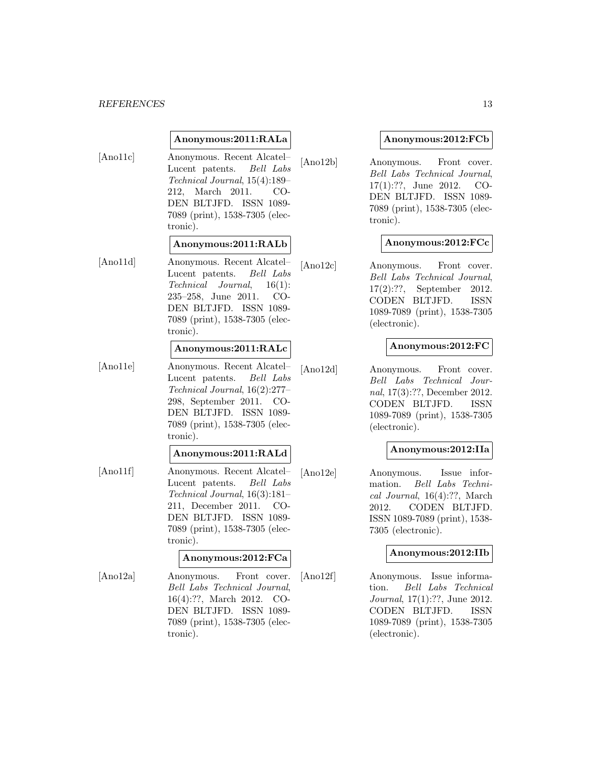#### *REFERENCES* 13

#### **Anonymous:2011:RALa**

[Ano11c] Anonymous. Recent Alcatel– Lucent patents. Bell Labs Technical Journal, 15(4):189– 212, March 2011. CO-DEN BLTJFD. ISSN 1089- 7089 (print), 1538-7305 (electronic).

#### **Anonymous:2011:RALb**

[Ano11d] Anonymous. Recent Alcatel– Lucent patents. Bell Labs Technical Journal, 16(1): 235–258, June 2011. CO-DEN BLTJFD. ISSN 1089- 7089 (print), 1538-7305 (electronic).

#### **Anonymous:2011:RALc**

[Ano11e] Anonymous. Recent Alcatel– Lucent patents. Bell Labs Technical Journal, 16(2):277– 298, September 2011. CO-DEN BLTJFD. ISSN 1089- 7089 (print), 1538-7305 (electronic).

#### **Anonymous:2011:RALd**

[Ano11f] Anonymous. Recent Alcatel– Lucent patents. Bell Labs Technical Journal, 16(3):181– 211, December 2011. CO-DEN BLTJFD. ISSN 1089- 7089 (print), 1538-7305 (electronic).

#### **Anonymous:2012:FCa**

[Ano12a] Anonymous. Front cover. Bell Labs Technical Journal, 16(4):??, March 2012. CO-DEN BLTJFD. ISSN 1089- 7089 (print), 1538-7305 (electronic).

#### **Anonymous:2012:FCb**

[Ano12b] Anonymous. Front cover. Bell Labs Technical Journal, 17(1):??, June 2012. CO-DEN BLTJFD. ISSN 1089- 7089 (print), 1538-7305 (electronic).

#### **Anonymous:2012:FCc**

[Ano12c] Anonymous. Front cover. Bell Labs Technical Journal, 17(2):??, September 2012. CODEN BLTJFD. ISSN 1089-7089 (print), 1538-7305 (electronic).

#### **Anonymous:2012:FC**

[Ano12d] Anonymous. Front cover. Bell Labs Technical Journal, 17(3):??, December 2012. CODEN BLTJFD. ISSN 1089-7089 (print), 1538-7305 (electronic).

#### **Anonymous:2012:IIa**

[Ano12e] Anonymous. Issue information. Bell Labs Technical Journal, 16(4):??, March 2012. CODEN BLTJFD. ISSN 1089-7089 (print), 1538- 7305 (electronic).

## **Anonymous:2012:IIb**

[Ano12f] Anonymous. Issue information. Bell Labs Technical Journal, 17(1):??, June 2012. CODEN BLTJFD. ISSN 1089-7089 (print), 1538-7305 (electronic).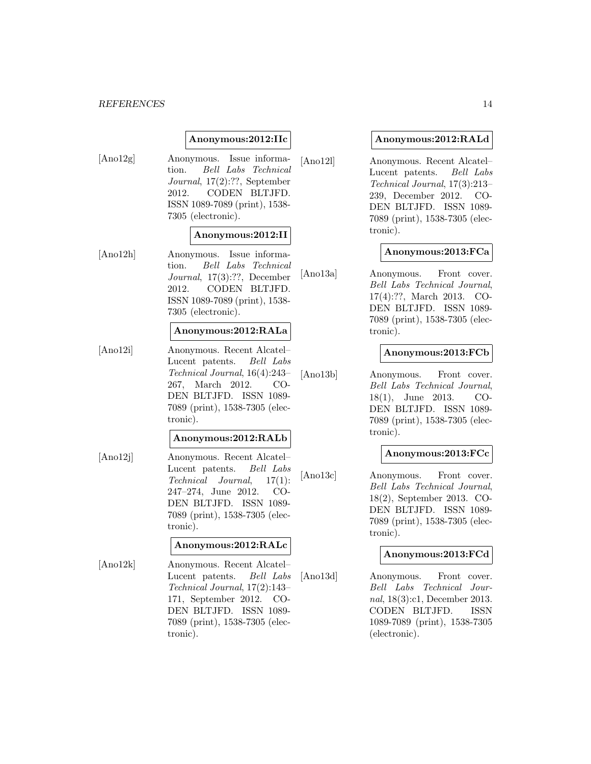#### **Anonymous:2012:IIc**

[Ano12g] Anonymous. Issue information. Bell Labs Technical Journal, 17(2):??, September 2012. CODEN BLTJFD. ISSN 1089-7089 (print), 1538- 7305 (electronic).

#### **Anonymous:2012:II**

[Ano12h] Anonymous. Issue information. Bell Labs Technical Journal, 17(3):??, December 2012. CODEN BLTJFD. ISSN 1089-7089 (print), 1538- 7305 (electronic).

#### **Anonymous:2012:RALa**

[Ano12i] Anonymous. Recent Alcatel– Lucent patents. Bell Labs Technical Journal, 16(4):243– 267, March 2012. CO-DEN BLTJFD. ISSN 1089- 7089 (print), 1538-7305 (electronic).

#### **Anonymous:2012:RALb**

[Ano12j] Anonymous. Recent Alcatel– Lucent patents. Bell Labs Technical Journal, 17(1): 247–274, June 2012. CO-DEN BLTJFD. ISSN 1089- 7089 (print), 1538-7305 (electronic).

#### **Anonymous:2012:RALc**

[Ano12k] Anonymous. Recent Alcatel– Lucent patents. Bell Labs Technical Journal, 17(2):143– 171, September 2012. CO-DEN BLTJFD. ISSN 1089- 7089 (print), 1538-7305 (electronic).

#### **Anonymous:2012:RALd**

[Ano12l] Anonymous. Recent Alcatel– Lucent patents. Bell Labs Technical Journal, 17(3):213– 239, December 2012. CO-DEN BLTJFD. ISSN 1089- 7089 (print), 1538-7305 (electronic).

#### **Anonymous:2013:FCa**

[Ano13a] Anonymous. Front cover. Bell Labs Technical Journal, 17(4):??, March 2013. CO-DEN BLTJFD. ISSN 1089- 7089 (print), 1538-7305 (electronic).

#### **Anonymous:2013:FCb**

[Ano13b] Anonymous. Front cover. Bell Labs Technical Journal, 18(1), June 2013. CO-DEN BLTJFD. ISSN 1089- 7089 (print), 1538-7305 (electronic).

#### **Anonymous:2013:FCc**

[Ano13c] Anonymous. Front cover. Bell Labs Technical Journal, 18(2), September 2013. CO-DEN BLTJFD. ISSN 1089- 7089 (print), 1538-7305 (electronic).

#### **Anonymous:2013:FCd**

[Ano13d] Anonymous. Front cover. Bell Labs Technical Journal, 18(3):c1, December 2013. CODEN BLTJFD. ISSN 1089-7089 (print), 1538-7305 (electronic).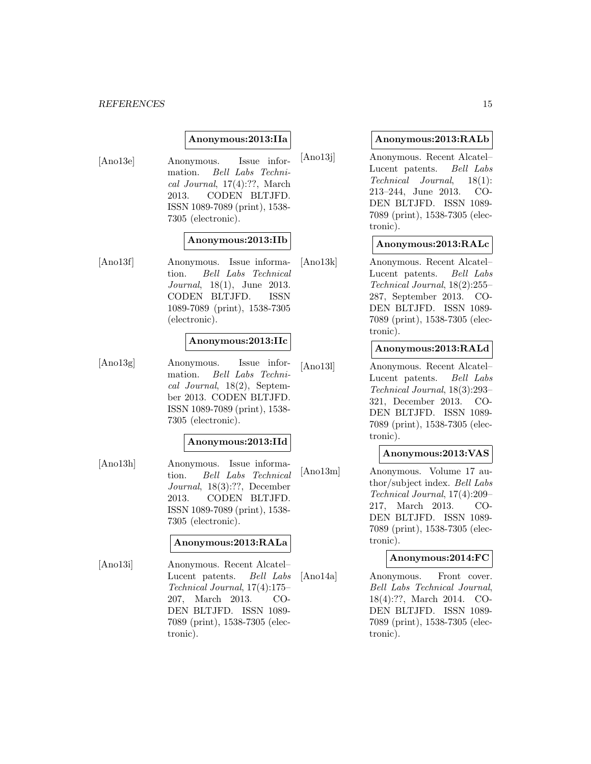#### *REFERENCES* 15

#### **Anonymous:2013:IIa**

[Ano13e] Anonymous. Issue information. Bell Labs Technical Journal, 17(4):??, March 2013. CODEN BLTJFD. ISSN 1089-7089 (print), 1538- 7305 (electronic).

#### **Anonymous:2013:IIb**

[Ano13f] Anonymous. Issue information. Bell Labs Technical Journal, 18(1), June 2013. CODEN BLTJFD. ISSN 1089-7089 (print), 1538-7305 (electronic).

#### **Anonymous:2013:IIc**

[Ano13g] Anonymous. Issue information. Bell Labs Technical Journal, 18(2), September 2013. CODEN BLTJFD. ISSN 1089-7089 (print), 1538- 7305 (electronic).

#### **Anonymous:2013:IId**

[Ano13h] Anonymous. Issue information. Bell Labs Technical Journal, 18(3):??, December 2013. CODEN BLTJFD. ISSN 1089-7089 (print), 1538- 7305 (electronic).

#### **Anonymous:2013:RALa**

[Ano13i] Anonymous. Recent Alcatel– Lucent patents. Bell Labs Technical Journal, 17(4):175– 207, March 2013. CO-DEN BLTJFD. ISSN 1089- 7089 (print), 1538-7305 (electronic).

#### **Anonymous:2013:RALb**

[Ano13j] Anonymous. Recent Alcatel– Lucent patents. Bell Labs Technical Journal, 18(1): 213–244, June 2013. CO-DEN BLTJFD. ISSN 1089- 7089 (print), 1538-7305 (electronic).

#### **Anonymous:2013:RALc**

[Ano13k] Anonymous. Recent Alcatel– Lucent patents. Bell Labs Technical Journal, 18(2):255– 287, September 2013. CO-DEN BLTJFD. ISSN 1089- 7089 (print), 1538-7305 (electronic).

#### **Anonymous:2013:RALd**

[Ano13l] Anonymous. Recent Alcatel– Lucent patents. Bell Labs Technical Journal, 18(3):293– 321, December 2013. CO-DEN BLTJFD. ISSN 1089- 7089 (print), 1538-7305 (electronic).

#### **Anonymous:2013:VAS**

[Ano13m] Anonymous. Volume 17 author/subject index. Bell Labs Technical Journal, 17(4):209– 217, March 2013. CO-DEN BLTJFD. ISSN 1089- 7089 (print), 1538-7305 (electronic).

#### **Anonymous:2014:FC**

[Ano14a] Anonymous. Front cover. Bell Labs Technical Journal, 18(4):??, March 2014. CO-DEN BLTJFD. ISSN 1089- 7089 (print), 1538-7305 (electronic).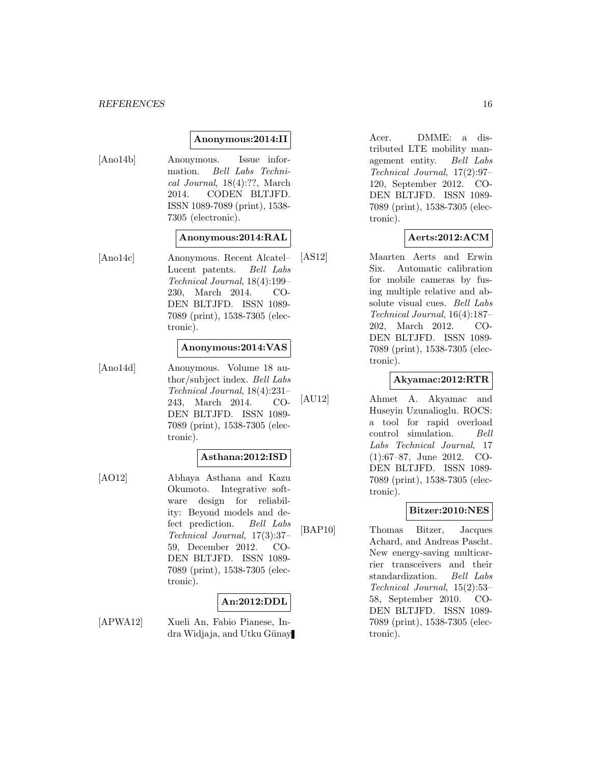#### *REFERENCES* 16

#### **Anonymous:2014:II**

[Ano14b] Anonymous. Issue information. Bell Labs Technical Journal, 18(4):??, March 2014. CODEN BLTJFD. ISSN 1089-7089 (print), 1538- 7305 (electronic).

## **Anonymous:2014:RAL**

[Ano14c] Anonymous. Recent Alcatel– Lucent patents. Bell Labs Technical Journal, 18(4):199– 230, March 2014. CO-DEN BLTJFD. ISSN 1089- 7089 (print), 1538-7305 (electronic).

#### **Anonymous:2014:VAS**

[Ano14d] Anonymous. Volume 18 author/subject index. Bell Labs Technical Journal, 18(4):231– 243, March 2014. CO-DEN BLTJFD. ISSN 1089- 7089 (print), 1538-7305 (electronic).

#### **Asthana:2012:ISD**

[AO12] Abhaya Asthana and Kazu Okumoto. Integrative software design for reliability: Beyond models and defect prediction. Bell Labs Technical Journal, 17(3):37– 59, December 2012. CO-DEN BLTJFD. ISSN 1089- 7089 (print), 1538-7305 (electronic).

## **An:2012:DDL**

[APWA12] Xueli An, Fabio Pianese, Indra Widjaja, and Utku Günay

Acer. DMME: a distributed LTE mobility management entity. Bell Labs Technical Journal, 17(2):97– 120, September 2012. CO-DEN BLTJFD. ISSN 1089- 7089 (print), 1538-7305 (electronic).

## **Aerts:2012:ACM**

[AS12] Maarten Aerts and Erwin Six. Automatic calibration for mobile cameras by fusing multiple relative and absolute visual cues. Bell Labs Technical Journal, 16(4):187– 202, March 2012. CO-DEN BLTJFD. ISSN 1089- 7089 (print), 1538-7305 (electronic).

#### **Akyamac:2012:RTR**

[AU12] Ahmet A. Akyamac and Huseyin Uzunalioglu. ROCS: a tool for rapid overload control simulation. Bell Labs Technical Journal, 17 (1):67–87, June 2012. CO-DEN BLTJFD. ISSN 1089- 7089 (print), 1538-7305 (electronic).

#### **Bitzer:2010:NES**

[BAP10] Thomas Bitzer, Jacques Achard, and Andreas Pascht. New energy-saving multicarrier transceivers and their standardization. Bell Labs Technical Journal, 15(2):53– 58, September 2010. CO-DEN BLTJFD. ISSN 1089- 7089 (print), 1538-7305 (electronic).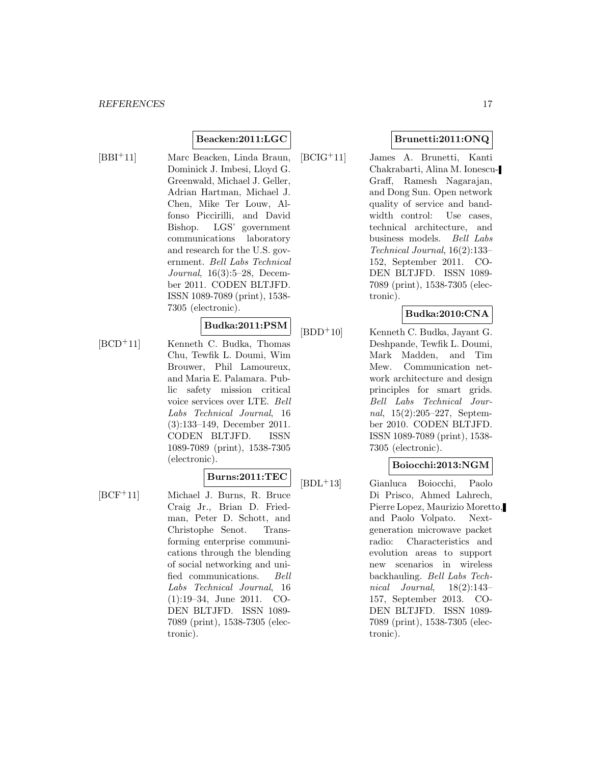## **Beacken:2011:LGC**

- 
- [BBI<sup>+</sup>11] Marc Beacken, Linda Braun, Dominick J. Imbesi, Lloyd G. Greenwald, Michael J. Geller, Adrian Hartman, Michael J. Chen, Mike Ter Louw, Alfonso Piccirilli, and David Bishop. LGS' government communications laboratory and research for the U.S. government. Bell Labs Technical Journal, 16(3):5–28, December 2011. CODEN BLTJFD. ISSN 1089-7089 (print), 1538- 7305 (electronic).

#### **Budka:2011:PSM**

[BCD<sup>+</sup>11] Kenneth C. Budka, Thomas Chu, Tewfik L. Doumi, Wim Brouwer, Phil Lamoureux, and Maria E. Palamara. Public safety mission critical voice services over LTE. Bell Labs Technical Journal, 16 (3):133–149, December 2011. CODEN BLTJFD. ISSN 1089-7089 (print), 1538-7305 (electronic).

## **Burns:2011:TEC**

[BCF<sup>+</sup>11] Michael J. Burns, R. Bruce Craig Jr., Brian D. Friedman, Peter D. Schott, and Christophe Senot. Transforming enterprise communications through the blending of social networking and unified communications. Bell Labs Technical Journal, 16 (1):19–34, June 2011. CO-DEN BLTJFD. ISSN 1089- 7089 (print), 1538-7305 (electronic).

## **Brunetti:2011:ONQ**

[BCIG<sup>+</sup>11] James A. Brunetti, Kanti Chakrabarti, Alina M. Ionescu-Graff, Ramesh Nagarajan, and Dong Sun. Open network quality of service and bandwidth control: Use cases, technical architecture, and business models. Bell Labs Technical Journal, 16(2):133– 152, September 2011. CO-DEN BLTJFD. ISSN 1089- 7089 (print), 1538-7305 (electronic).

## **Budka:2010:CNA**

[BDD<sup>+</sup>10] Kenneth C. Budka, Jayant G. Deshpande, Tewfik L. Doumi, Mark Madden, and Tim Mew. Communication network architecture and design principles for smart grids. Bell Labs Technical Journal, 15(2):205–227, September 2010. CODEN BLTJFD. ISSN 1089-7089 (print), 1538- 7305 (electronic).

## **Boiocchi:2013:NGM**

[BDL<sup>+</sup>13] Gianluca Boiocchi, Paolo Di Prisco, Ahmed Lahrech, Pierre Lopez, Maurizio Moretto, and Paolo Volpato. Nextgeneration microwave packet radio: Characteristics and evolution areas to support new scenarios in wireless backhauling. Bell Labs Technical Journal, 18(2):143– 157, September 2013. CO-DEN BLTJFD. ISSN 1089- 7089 (print), 1538-7305 (electronic).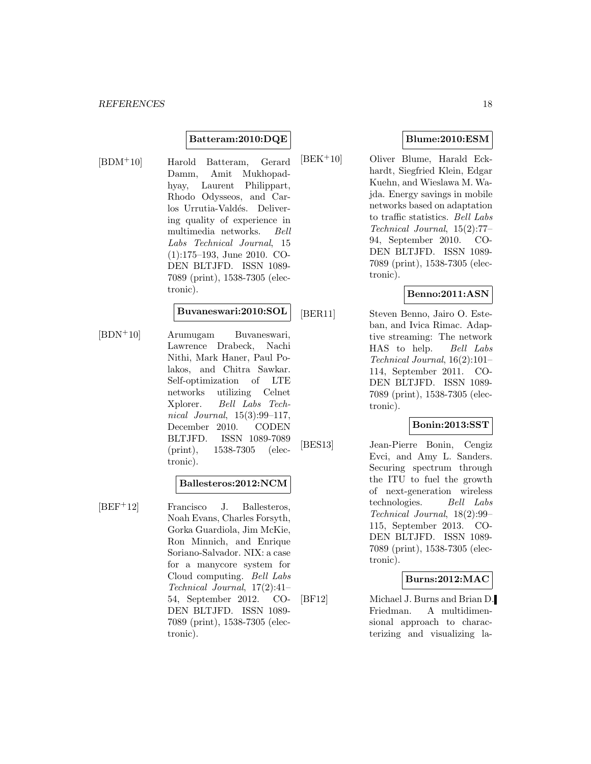#### **Batteram:2010:DQE**

[BDM<sup>+</sup>10] Harold Batteram, Gerard Damm, Amit Mukhopadhyay, Laurent Philippart, Rhodo Odysseos, and Carlos Urrutia-Valdés. Delivering quality of experience in multimedia networks. Bell Labs Technical Journal, 15 (1):175–193, June 2010. CO-DEN BLTJFD. ISSN 1089- 7089 (print), 1538-7305 (electronic).

#### **Buvaneswari:2010:SOL**

[BDN<sup>+</sup>10] Arumugam Buvaneswari, Lawrence Drabeck, Nachi Nithi, Mark Haner, Paul Polakos, and Chitra Sawkar. Self-optimization of LTE networks utilizing Celnet Xplorer. Bell Labs Technical Journal, 15(3):99–117, December 2010. CODEN BLTJFD. ISSN 1089-7089 (print), 1538-7305 (electronic).

#### **Ballesteros:2012:NCM**

[BEF<sup>+</sup>12] Francisco J. Ballesteros, Noah Evans, Charles Forsyth, Gorka Guardiola, Jim McKie, Ron Minnich, and Enrique Soriano-Salvador. NIX: a case for a manycore system for Cloud computing. Bell Labs Technical Journal, 17(2):41– 54, September 2012. CO-DEN BLTJFD. ISSN 1089- 7089 (print), 1538-7305 (electronic).

## **Blume:2010:ESM**

[BEK<sup>+</sup>10] Oliver Blume, Harald Eckhardt, Siegfried Klein, Edgar Kuehn, and Wieslawa M. Wajda. Energy savings in mobile networks based on adaptation to traffic statistics. Bell Labs Technical Journal, 15(2):77– 94, September 2010. CO-DEN BLTJFD. ISSN 1089- 7089 (print), 1538-7305 (electronic).

#### **Benno:2011:ASN**

[BER11] Steven Benno, Jairo O. Esteban, and Ivica Rimac. Adaptive streaming: The network HAS to help. Bell Labs Technical Journal, 16(2):101– 114, September 2011. CO-DEN BLTJFD. ISSN 1089- 7089 (print), 1538-7305 (electronic).

## **Bonin:2013:SST**

[BES13] Jean-Pierre Bonin, Cengiz Evci, and Amy L. Sanders. Securing spectrum through the ITU to fuel the growth of next-generation wireless technologies. Bell Labs Technical Journal, 18(2):99– 115, September 2013. CO-DEN BLTJFD. ISSN 1089- 7089 (print), 1538-7305 (electronic).

## **Burns:2012:MAC**

[BF12] Michael J. Burns and Brian D. Friedman. A multidimensional approach to characterizing and visualizing la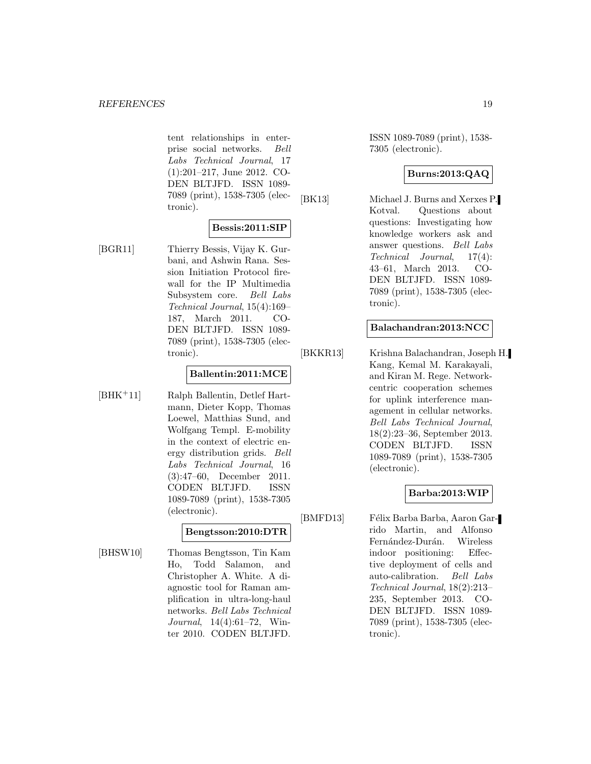tent relationships in enterprise social networks. Bell Labs Technical Journal, 17 (1):201–217, June 2012. CO-DEN BLTJFD. ISSN 1089- 7089 (print), 1538-7305 (electronic).

#### **Bessis:2011:SIP**

[BGR11] Thierry Bessis, Vijay K. Gurbani, and Ashwin Rana. Session Initiation Protocol firewall for the IP Multimedia Subsystem core. Bell Labs Technical Journal, 15(4):169– 187, March 2011. CO-DEN BLTJFD. ISSN 1089- 7089 (print), 1538-7305 (electronic).

#### **Ballentin:2011:MCE**

[BHK<sup>+</sup>11] Ralph Ballentin, Detlef Hartmann, Dieter Kopp, Thomas Loewel, Matthias Sund, and Wolfgang Templ. E-mobility in the context of electric energy distribution grids. Bell Labs Technical Journal, 16 (3):47–60, December 2011. CODEN BLTJFD. ISSN 1089-7089 (print), 1538-7305 (electronic).

#### **Bengtsson:2010:DTR**

[BHSW10] Thomas Bengtsson, Tin Kam Ho, Todd Salamon, and Christopher A. White. A diagnostic tool for Raman amplification in ultra-long-haul networks. Bell Labs Technical Journal, 14(4):61–72, Winter 2010. CODEN BLTJFD.

ISSN 1089-7089 (print), 1538- 7305 (electronic).

#### **Burns:2013:QAQ**

[BK13] Michael J. Burns and Xerxes P. Kotval. Questions about questions: Investigating how knowledge workers ask and answer questions. Bell Labs Technical Journal, 17(4): 43–61, March 2013. CO-DEN BLTJFD. ISSN 1089- 7089 (print), 1538-7305 (electronic).

#### **Balachandran:2013:NCC**

[BKKR13] Krishna Balachandran, Joseph H. Kang, Kemal M. Karakayali, and Kiran M. Rege. Networkcentric cooperation schemes for uplink interference management in cellular networks. Bell Labs Technical Journal, 18(2):23–36, September 2013. CODEN BLTJFD. ISSN 1089-7089 (print), 1538-7305 (electronic).

## **Barba:2013:WIP**

[BMFD13] Félix Barba Barba, Aaron Garrido Martin, and Alfonso Fernández-Durán. Wireless indoor positioning: Effective deployment of cells and auto-calibration. Bell Labs Technical Journal, 18(2):213– 235, September 2013. CO-DEN BLTJFD. ISSN 1089- 7089 (print), 1538-7305 (electronic).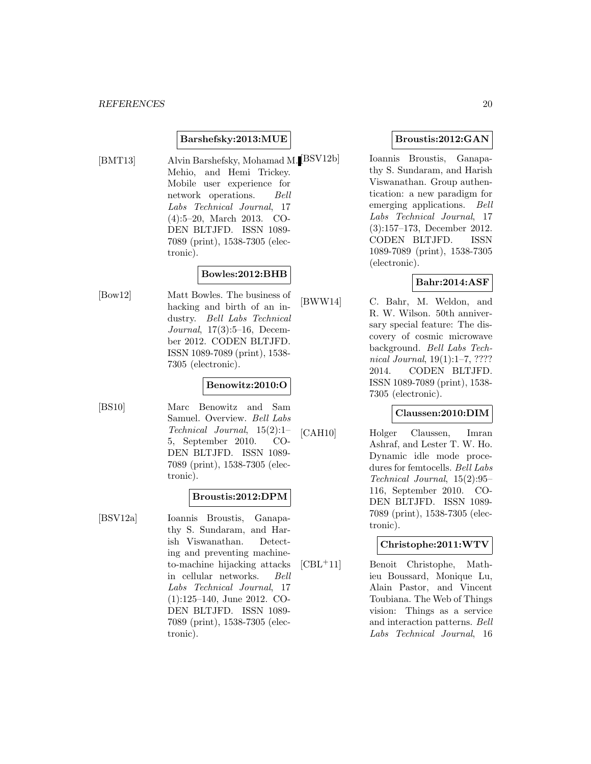#### **Barshefsky:2013:MUE**

[BMT13] Alvin Barshefsky, Mohamad M. [BSV12b] Mehio, and Hemi Trickey. Mobile user experience for network operations. Bell Labs Technical Journal, 17 (4):5–20, March 2013. CO-DEN BLTJFD. ISSN 1089- 7089 (print), 1538-7305 (electronic).

## **Bowles:2012:BHB**

[Bow12] Matt Bowles. The business of hacking and birth of an industry. Bell Labs Technical Journal, 17(3):5–16, December 2012. CODEN BLTJFD. ISSN 1089-7089 (print), 1538- 7305 (electronic).

#### **Benowitz:2010:O**

[BS10] Marc Benowitz and Sam Samuel. Overview. Bell Labs Technical Journal, 15(2):1– 5, September 2010. CO-DEN BLTJFD. ISSN 1089- 7089 (print), 1538-7305 (electronic).

#### **Broustis:2012:DPM**

[BSV12a] Ioannis Broustis, Ganapathy S. Sundaram, and Harish Viswanathan. Detecting and preventing machineto-machine hijacking attacks in cellular networks. Bell Labs Technical Journal, 17 (1):125–140, June 2012. CO-DEN BLTJFD. ISSN 1089- 7089 (print), 1538-7305 (electronic).

#### **Broustis:2012:GAN**

Ioannis Broustis, Ganapathy S. Sundaram, and Harish Viswanathan. Group authentication: a new paradigm for emerging applications. Bell Labs Technical Journal, 17 (3):157–173, December 2012. CODEN BLTJFD. ISSN 1089-7089 (print), 1538-7305 (electronic).

## **Bahr:2014:ASF**

[BWW14] C. Bahr, M. Weldon, and R. W. Wilson. 50th anniversary special feature: The discovery of cosmic microwave background. Bell Labs Technical Journal, 19(1):1–7, ???? 2014. CODEN BLTJFD. ISSN 1089-7089 (print), 1538- 7305 (electronic).

## **Claussen:2010:DIM**

[CAH10] Holger Claussen, Imran Ashraf, and Lester T. W. Ho. Dynamic idle mode procedures for femtocells. Bell Labs Technical Journal, 15(2):95– 116, September 2010. CO-DEN BLTJFD. ISSN 1089- 7089 (print), 1538-7305 (electronic).

#### **Christophe:2011:WTV**

[CBL<sup>+</sup>11] Benoit Christophe, Mathieu Boussard, Monique Lu, Alain Pastor, and Vincent Toubiana. The Web of Things vision: Things as a service and interaction patterns. Bell Labs Technical Journal, 16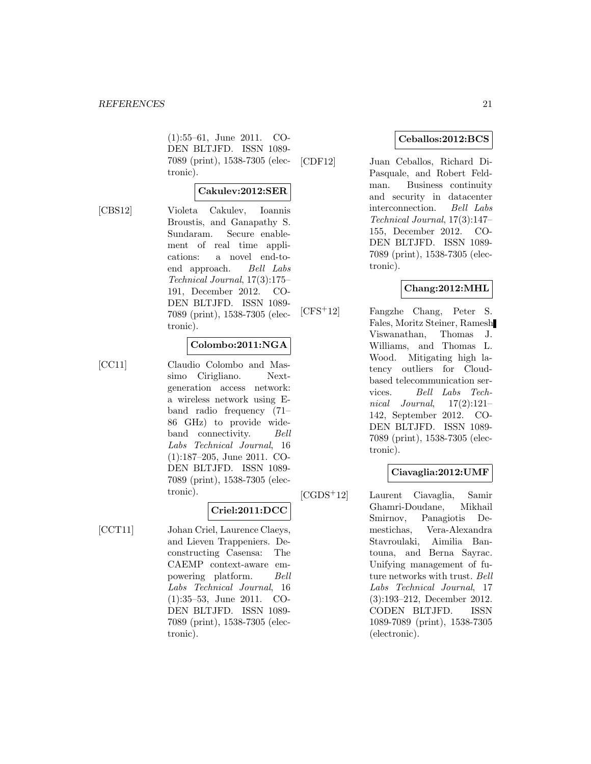(1):55–61, June 2011. CO-DEN BLTJFD. ISSN 1089- 7089 (print), 1538-7305 (electronic).

#### **Cakulev:2012:SER**

[CBS12] Violeta Cakulev, Ioannis Broustis, and Ganapathy S. Sundaram. Secure enablement of real time applications: a novel end-toend approach. Bell Labs Technical Journal, 17(3):175– 191, December 2012. CO-DEN BLTJFD. ISSN 1089- 7089 (print), 1538-7305 (electronic).

#### **Colombo:2011:NGA**

- 
- [CC11] Claudio Colombo and Massimo Cirigliano. Nextgeneration access network: a wireless network using Eband radio frequency (71– 86 GHz) to provide wideband connectivity. Bell Labs Technical Journal, 16 (1):187–205, June 2011. CO-DEN BLTJFD. ISSN 1089- 7089 (print), 1538-7305 (electronic).

## **Criel:2011:DCC**

[CCT11] Johan Criel, Laurence Claeys, and Lieven Trappeniers. Deconstructing Casensa: The CAEMP context-aware empowering platform. Bell Labs Technical Journal, 16 (1):35–53, June 2011. CO-DEN BLTJFD. ISSN 1089- 7089 (print), 1538-7305 (electronic).

#### **Ceballos:2012:BCS**

[CDF12] Juan Ceballos, Richard Di-Pasquale, and Robert Feldman. Business continuity and security in datacenter interconnection. Bell Labs Technical Journal, 17(3):147– 155, December 2012. CO-DEN BLTJFD. ISSN 1089- 7089 (print), 1538-7305 (electronic).

## **Chang:2012:MHL**

[CFS<sup>+</sup>12] Fangzhe Chang, Peter S. Fales, Moritz Steiner, Ramesh Viswanathan, Thomas J. Williams, and Thomas L. Wood. Mitigating high latency outliers for Cloudbased telecommunication services. Bell Labs Technical Journal,  $17(2):121-$ 142, September 2012. CO-DEN BLTJFD. ISSN 1089- 7089 (print), 1538-7305 (electronic).

## **Ciavaglia:2012:UMF**

[CGDS<sup>+</sup>12] Laurent Ciavaglia, Samir Ghamri-Doudane, Mikhail Smirnov, Panagiotis Demestichas, Vera-Alexandra Stavroulaki, Aimilia Bantouna, and Berna Sayrac. Unifying management of future networks with trust. Bell Labs Technical Journal, 17 (3):193–212, December 2012. CODEN BLTJFD. ISSN 1089-7089 (print), 1538-7305 (electronic).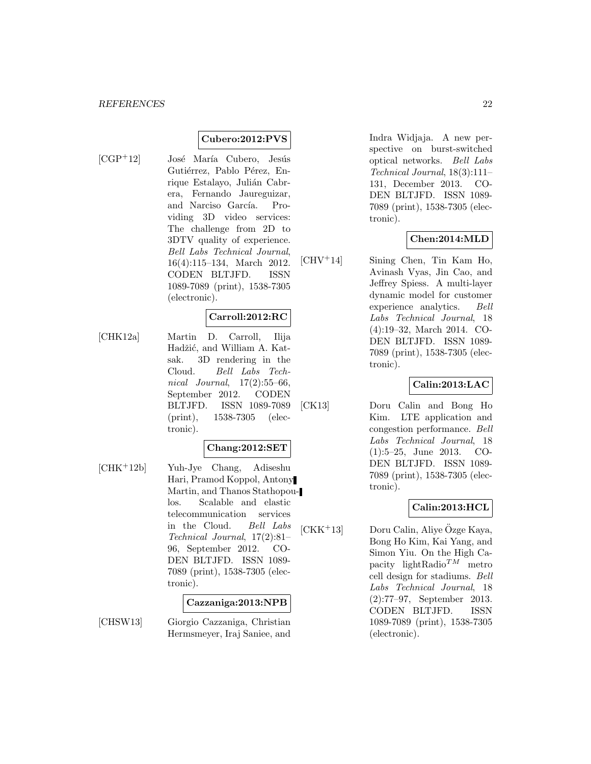## **Cubero:2012:PVS**

- 
- $[CGP<sup>+</sup>12]$  José María Cubero, Jesús Gutiérrez, Pablo Pérez, Enrique Estalayo, Julián Cabrera, Fernando Jaureguizar, and Narciso García. Providing 3D video services: The challenge from 2D to 3DTV quality of experience. Bell Labs Technical Journal, 16(4):115–134, March 2012. CODEN BLTJFD. ISSN 1089-7089 (print), 1538-7305 (electronic).

## **Carroll:2012:RC**

[CHK12a] Martin D. Carroll, Ilija Hadžić, and William A. Katsak. 3D rendering in the Cloud. Bell Labs Technical Journal, 17(2):55–66, September 2012. CODEN BLTJFD. ISSN 1089-7089 (print), 1538-7305 (electronic).

#### **Chang:2012:SET**

[CHK<sup>+</sup>12b] Yuh-Jye Chang, Adiseshu Hari, Pramod Koppol, Antony Martin, and Thanos Stathopoulos. Scalable and elastic telecommunication services in the Cloud. Bell Labs Technical Journal, 17(2):81– 96, September 2012. CO-DEN BLTJFD. ISSN 1089- 7089 (print), 1538-7305 (electronic).

#### **Cazzaniga:2013:NPB**

[CHSW13] Giorgio Cazzaniga, Christian Hermsmeyer, Iraj Saniee, and

Indra Widjaja. A new perspective on burst-switched optical networks. Bell Labs Technical Journal, 18(3):111– 131, December 2013. CO-DEN BLTJFD. ISSN 1089- 7089 (print), 1538-7305 (electronic).

#### **Chen:2014:MLD**

[CHV<sup>+</sup>14] Sining Chen, Tin Kam Ho, Avinash Vyas, Jin Cao, and Jeffrey Spiess. A multi-layer dynamic model for customer experience analytics. Bell Labs Technical Journal, 18 (4):19–32, March 2014. CO-DEN BLTJFD. ISSN 1089- 7089 (print), 1538-7305 (electronic).

#### **Calin:2013:LAC**

[CK13] Doru Calin and Bong Ho Kim. LTE application and congestion performance. Bell Labs Technical Journal, 18 (1):5–25, June 2013. CO-DEN BLTJFD. ISSN 1089- 7089 (print), 1538-7305 (electronic).

## **Calin:2013:HCL**

 $[CKK<sup>+</sup>13]$  Doru Calin, Aliye Özge Kaya, Bong Ho Kim, Kai Yang, and Simon Yiu. On the High Capacity lightRadio $^{TM}$  metro cell design for stadiums. Bell Labs Technical Journal, 18 (2):77–97, September 2013. CODEN BLTJFD. ISSN 1089-7089 (print), 1538-7305 (electronic).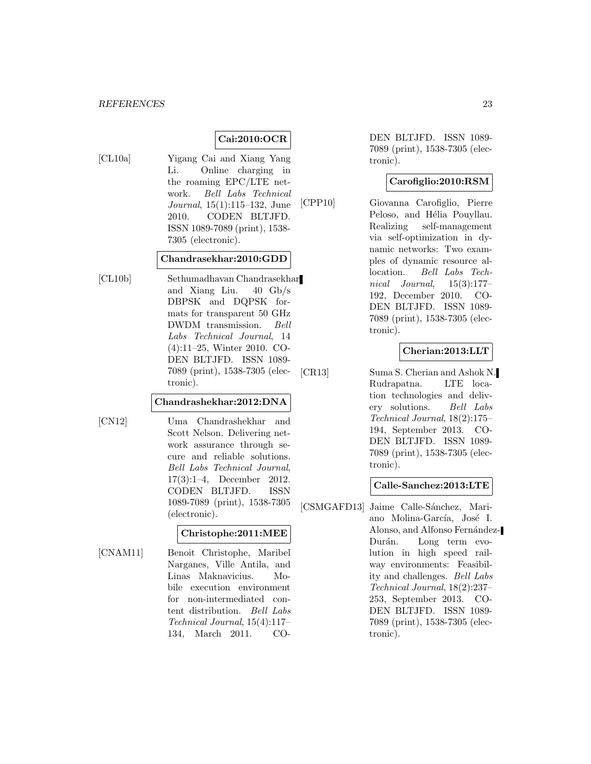## **Cai:2010:OCR**

[CL10a] Yigang Cai and Xiang Yang Li. Online charging in the roaming EPC/LTE network. Bell Labs Technical Journal, 15(1):115–132, June 2010. CODEN BLTJFD. ISSN 1089-7089 (print), 1538- 7305 (electronic).

#### **Chandrasekhar:2010:GDD**

[CL10b] Sethumadhavan Chandrasekhar and Xiang Liu. 40 Gb/s DBPSK and DQPSK formats for transparent 50 GHz DWDM transmission. Bell Labs Technical Journal, 14 (4):11–25, Winter 2010. CO-DEN BLTJFD. ISSN 1089- 7089 (print), 1538-7305 (electronic).

#### **Chandrashekhar:2012:DNA**

[CN12] Uma Chandrashekhar and Scott Nelson. Delivering network assurance through secure and reliable solutions. Bell Labs Technical Journal, 17(3):1–4, December 2012.

> CODEN BLTJFD. ISSN 1089-7089 (print), 1538-7305 (electronic).

## **Christophe:2011:MEE**

[CNAM11] Benoit Christophe, Maribel Narganes, Ville Antila, and Linas Maknavicius. Mobile execution environment for non-intermediated content distribution. Bell Labs Technical Journal, 15(4):117– 134, March 2011. CO-

DEN BLTJFD. ISSN 1089- 7089 (print), 1538-7305 (electronic).

#### **Carofiglio:2010:RSM**

[CPP10] Giovanna Carofiglio, Pierre Peloso, and Hélia Pouyllau. Realizing self-management via self-optimization in dynamic networks: Two examples of dynamic resource allocation. Bell Labs Technical Journal, 15(3):177– 192, December 2010. CO-DEN BLTJFD. ISSN 1089- 7089 (print), 1538-7305 (electronic).

#### **Cherian:2013:LLT**

[CR13] Suma S. Cherian and Ashok N. Rudrapatna. LTE location technologies and delivery solutions. Bell Labs Technical Journal, 18(2):175– 194, September 2013. CO-DEN BLTJFD. ISSN 1089- 7089 (print), 1538-7305 (electronic).

#### **Calle-Sanchez:2013:LTE**

[CSMGAFD13] Jaime Calle-Sánchez, Mariano Molina-García, José I. Alonso, and Alfonso Fernández-Durán. Long term evolution in high speed railway environments: Feasibility and challenges. Bell Labs Technical Journal, 18(2):237– 253, September 2013. CO-DEN BLTJFD. ISSN 1089- 7089 (print), 1538-7305 (electronic).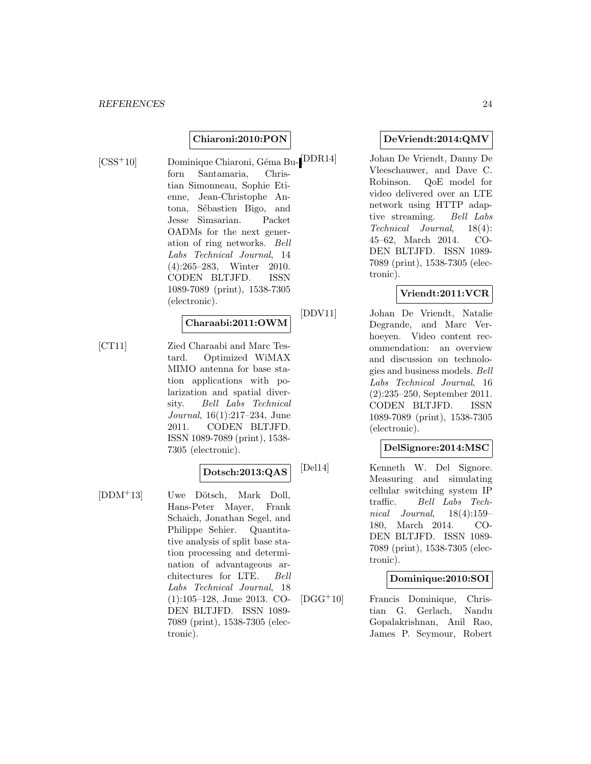#### **Chiaroni:2010:PON**

[CSS<sup>+</sup>10] Dominique Chiaroni, Géma Bu- $\begin{bmatrix} \text{DDR14} \end{bmatrix}$ forn Santamaria, Christian Simonneau, Sophie Etienne, Jean-Christophe Antona, Sébastien Bigo, and Jesse Simsarian. Packet OADMs for the next generation of ring networks. Bell Labs Technical Journal, 14 (4):265–283, Winter 2010. CODEN BLTJFD. ISSN 1089-7089 (print), 1538-7305 (electronic).

#### **Charaabi:2011:OWM**

[CT11] Zied Charaabi and Marc Testard. Optimized WiMAX MIMO antenna for base station applications with polarization and spatial diversity. Bell Labs Technical Journal, 16(1):217–234, June 2011. CODEN BLTJFD. ISSN 1089-7089 (print), 1538- 7305 (electronic).

## **Dotsch:2013:QAS**

[DDM<sup>+</sup>13] Uwe Dötsch, Mark Doll, Hans-Peter Mayer, Frank Schaich, Jonathan Segel, and Philippe Sehier. Quantitative analysis of split base station processing and determination of advantageous architectures for LTE. Bell Labs Technical Journal, 18 (1):105–128, June 2013. CO-DEN BLTJFD. ISSN 1089- 7089 (print), 1538-7305 (electronic).

#### **DeVriendt:2014:QMV**

Johan De Vriendt, Danny De Vleeschauwer, and Dave C. Robinson. QoE model for video delivered over an LTE network using HTTP adaptive streaming. Bell Labs Technical Journal, 18(4): 45–62, March 2014. CO-DEN BLTJFD. ISSN 1089- 7089 (print), 1538-7305 (electronic).

#### **Vriendt:2011:VCR**

[DDV11] Johan De Vriendt, Natalie Degrande, and Marc Verhoeyen. Video content recommendation: an overview and discussion on technologies and business models. Bell Labs Technical Journal, 16 (2):235–250, September 2011. CODEN BLTJFD. ISSN 1089-7089 (print), 1538-7305 (electronic).

## **DelSignore:2014:MSC**

[Del14] Kenneth W. Del Signore. Measuring and simulating cellular switching system IP traffic. Bell Labs Technical Journal, 18(4):159– 180, March 2014. CO-DEN BLTJFD. ISSN 1089- 7089 (print), 1538-7305 (electronic).

#### **Dominique:2010:SOI**

[DGG<sup>+</sup>10] Francis Dominique, Christian G. Gerlach, Nandu Gopalakrishnan, Anil Rao, James P. Seymour, Robert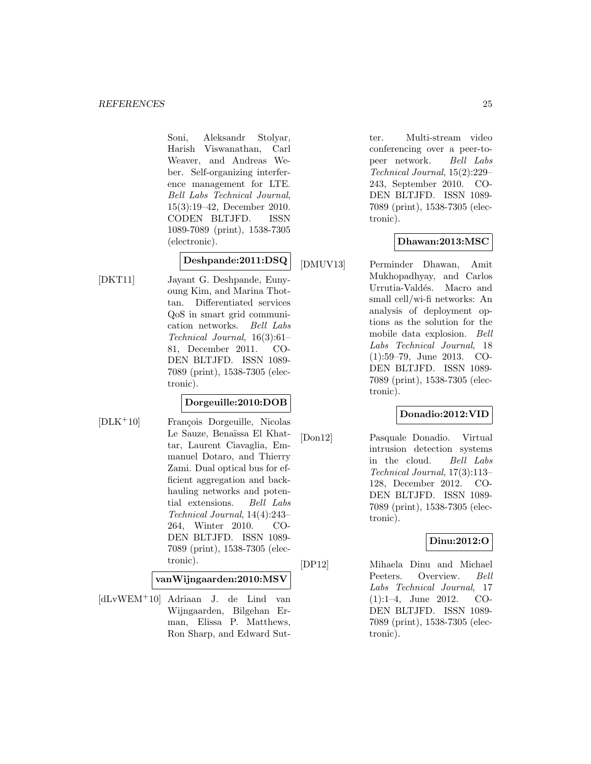Soni, Aleksandr Stolyar, Harish Viswanathan, Carl Weaver, and Andreas Weber. Self-organizing interference management for LTE. Bell Labs Technical Journal, 15(3):19–42, December 2010. CODEN BLTJFD. ISSN 1089-7089 (print), 1538-7305 (electronic).

## **Deshpande:2011:DSQ**

[DKT11] Jayant G. Deshpande, Eunyoung Kim, and Marina Thottan. Differentiated services QoS in smart grid communication networks. Bell Labs Technical Journal, 16(3):61– 81, December 2011. CO-DEN BLTJFD. ISSN 1089- 7089 (print), 1538-7305 (electronic).

## **Dorgeuille:2010:DOB**

[DLK<sup>+</sup>10] François Dorgeuille, Nicolas Le Sauze, Benaïssa El Khattar, Laurent Ciavaglia, Emmanuel Dotaro, and Thierry Zami. Dual optical bus for efficient aggregation and backhauling networks and potential extensions. Bell Labs Technical Journal, 14(4):243– 264, Winter 2010. CO-DEN BLTJFD. ISSN 1089- 7089 (print), 1538-7305 (electronic).

#### **vanWijngaarden:2010:MSV**

[dLvWEM<sup>+</sup>10] Adriaan J. de Lind van Wijngaarden, Bilgehan Erman, Elissa P. Matthews, Ron Sharp, and Edward Sut-

ter. Multi-stream video conferencing over a peer-topeer network. Bell Labs Technical Journal, 15(2):229– 243, September 2010. CO-DEN BLTJFD. ISSN 1089- 7089 (print), 1538-7305 (electronic).

## **Dhawan:2013:MSC**

[DMUV13] Perminder Dhawan, Amit Mukhopadhyay, and Carlos Urrutia-Valdés. Macro and small cell/wi-fi networks: An analysis of deployment options as the solution for the mobile data explosion. Bell Labs Technical Journal, 18 (1):59–79, June 2013. CO-DEN BLTJFD. ISSN 1089- 7089 (print), 1538-7305 (electronic).

## **Donadio:2012:VID**

[Don12] Pasquale Donadio. Virtual intrusion detection systems in the cloud. Bell Labs Technical Journal, 17(3):113– 128, December 2012. CO-DEN BLTJFD. ISSN 1089- 7089 (print), 1538-7305 (electronic).

## **Dinu:2012:O**

[DP12] Mihaela Dinu and Michael Peeters. Overview. Bell Labs Technical Journal, 17 (1):1–4, June 2012. CO-DEN BLTJFD. ISSN 1089- 7089 (print), 1538-7305 (electronic).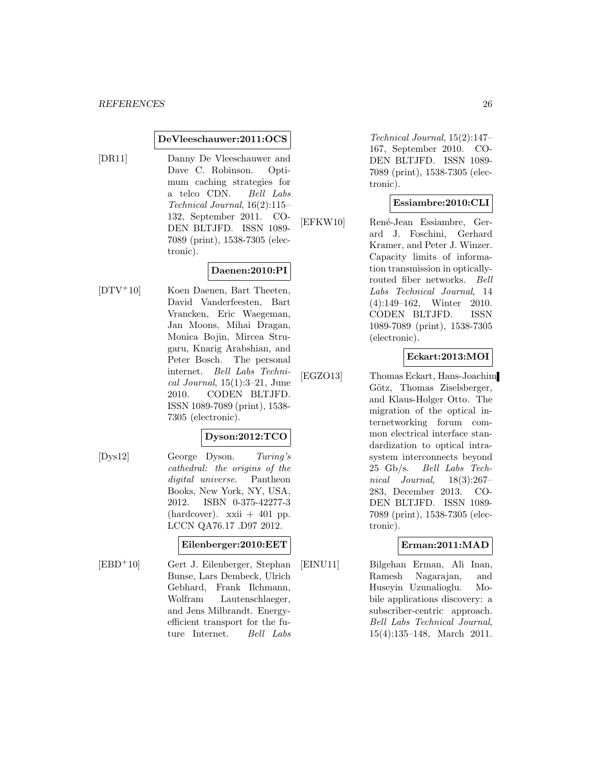#### **DeVleeschauwer:2011:OCS**

[DR11] Danny De Vleeschauwer and Dave C. Robinson. Optimum caching strategies for a telco CDN. Bell Labs Technical Journal, 16(2):115– 132, September 2011. CO-DEN BLTJFD. ISSN 1089- 7089 (print), 1538-7305 (electronic).

## **Daenen:2010:PI**

[DTV<sup>+</sup>10] Koen Daenen, Bart Theeten, David Vanderfeesten, Bart Vrancken, Eric Waegeman, Jan Moons, Mihai Dragan, Monica Bojin, Mircea Strugaru, Knarig Arabshian, and Peter Bosch. The personal internet. Bell Labs Technical Journal,  $15(1):3-21$ , June 2010. CODEN BLTJFD. ISSN 1089-7089 (print), 1538- 7305 (electronic).

#### **Dyson:2012:TCO**

[Dys12] George Dyson. Turing's cathedral: the origins of the digital universe. Pantheon Books, New York, NY, USA, 2012. ISBN 0-375-42277-3  $(hardcover)$ . xxii  $+401$  pp. LCCN QA76.17 .D97 2012.

#### **Eilenberger:2010:EET**

[EBD<sup>+</sup>10] Gert J. Eilenberger, Stephan Bunse, Lars Dembeck, Ulrich Gebhard, Frank Ilchmann, Wolfram Lautenschlaeger, and Jens Milbrandt. Energyefficient transport for the future Internet. Bell Labs

Technical Journal, 15(2):147– 167, September 2010. CO-DEN BLTJFD. ISSN 1089- 7089 (print), 1538-7305 (electronic).

#### **Essiambre:2010:CLI**

[EFKW10] René-Jean Essiambre, Gerard J. Foschini, Gerhard Kramer, and Peter J. Winzer. Capacity limits of information transmission in opticallyrouted fiber networks. Bell Labs Technical Journal, 14 (4):149–162, Winter 2010. CODEN BLTJFD. ISSN 1089-7089 (print), 1538-7305 (electronic).

#### **Eckart:2013:MOI**

[EGZO13] Thomas Eckart, Hans-Joachim Götz, Thomas Ziselsberger, and Klaus-Holger Otto. The migration of the optical internetworking forum common electrical interface standardization to optical intrasystem interconnects beyond 25 Gb/s. Bell Labs Technical Journal, 18(3):267– 283, December 2013. CO-DEN BLTJFD. ISSN 1089- 7089 (print), 1538-7305 (electronic).

## **Erman:2011:MAD**

[EINU11] Bilgehan Erman, Ali Inan, Ramesh Nagarajan, and Huseyin Uzunalioglu. Mobile applications discovery: a subscriber-centric approach. Bell Labs Technical Journal, 15(4):135–148, March 2011.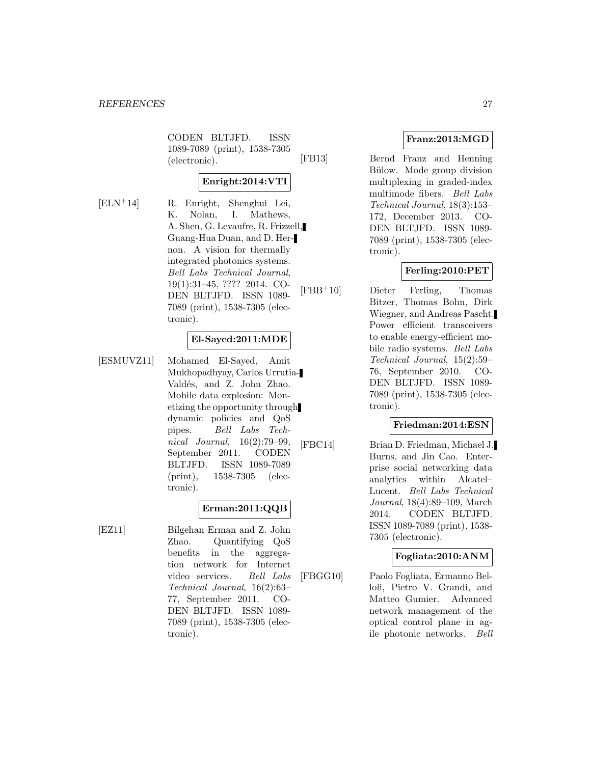CODEN BLTJFD. ISSN 1089-7089 (print), 1538-7305 (electronic).

## **Enright:2014:VTI**

- 
- [ELN<sup>+</sup>14] R. Enright, Shenghui Lei, K. Nolan, I. Mathews, A. Shen, G. Levaufre, R. Frizzell, Guang-Hua Duan, and D. Hernon. A vision for thermally integrated photonics systems. Bell Labs Technical Journal, 19(1):31–45, ???? 2014. CO-DEN BLTJFD. ISSN 1089- 7089 (print), 1538-7305 (electronic).

## **El-Sayed:2011:MDE**

[ESMUVZ11] Mohamed El-Sayed, Amit Mukhopadhyay, Carlos Urrutia-Valdés, and Z. John Zhao. Mobile data explosion: Monetizing the opportunity through dynamic policies and QoS pipes. Bell Labs Technical Journal, 16(2):79–99, September 2011. CODEN BLTJFD. ISSN 1089-7089 (print), 1538-7305 (electronic).

## **Erman:2011:QQB**

[EZ11] Bilgehan Erman and Z. John Zhao. Quantifying QoS benefits in the aggregation network for Internet video services. Bell Labs Technical Journal, 16(2):63– 77, September 2011. CO-DEN BLTJFD. ISSN 1089- 7089 (print), 1538-7305 (electronic).

## **Franz:2013:MGD**

[FB13] Bernd Franz and Henning Bülow. Mode group division multiplexing in graded-index multimode fibers. Bell Labs Technical Journal, 18(3):153– 172, December 2013. CO-DEN BLTJFD. ISSN 1089- 7089 (print), 1538-7305 (electronic).

## **Ferling:2010:PET**

[FBB<sup>+</sup>10] Dieter Ferling, Thomas Bitzer, Thomas Bohn, Dirk Wiegner, and Andreas Pascht. Power efficient transceivers to enable energy-efficient mobile radio systems. Bell Labs Technical Journal, 15(2):59– 76, September 2010. CO-DEN BLTJFD. ISSN 1089- 7089 (print), 1538-7305 (electronic).

## **Friedman:2014:ESN**

[FBC14] Brian D. Friedman, Michael J. Burns, and Jin Cao. Enterprise social networking data analytics within Alcatel– Lucent. Bell Labs Technical Journal, 18(4):89–109, March 2014. CODEN BLTJFD. ISSN 1089-7089 (print), 1538- 7305 (electronic).

## **Fogliata:2010:ANM**

[FBGG10] Paolo Fogliata, Ermanno Belloli, Pietro V. Grandi, and Matteo Gumier. Advanced network management of the optical control plane in agile photonic networks. Bell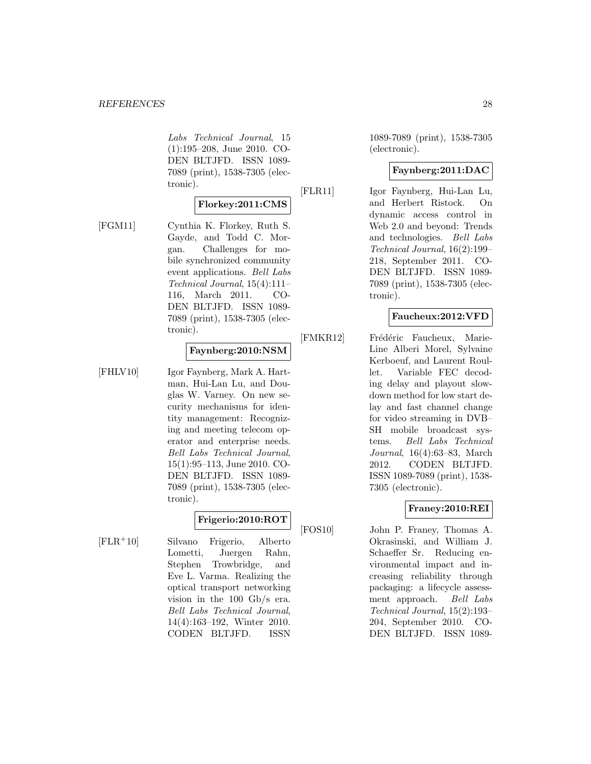Labs Technical Journal, 15 (1):195–208, June 2010. CO-DEN BLTJFD. ISSN 1089- 7089 (print), 1538-7305 (electronic).

#### **Florkey:2011:CMS**

[FGM11] Cynthia K. Florkey, Ruth S. Gayde, and Todd C. Morgan. Challenges for mobile synchronized community event applications. Bell Labs Technical Journal, 15(4):111– 116, March 2011. CO-DEN BLTJFD. ISSN 1089- 7089 (print), 1538-7305 (electronic).

#### **Faynberg:2010:NSM**

[FHLV10] Igor Faynberg, Mark A. Hartman, Hui-Lan Lu, and Douglas W. Varney. On new security mechanisms for identity management: Recognizing and meeting telecom operator and enterprise needs. Bell Labs Technical Journal, 15(1):95–113, June 2010. CO-DEN BLTJFD. ISSN 1089- 7089 (print), 1538-7305 (electronic).

## **Frigerio:2010:ROT**

[FLR<sup>+</sup>10] Silvano Frigerio, Alberto Lometti, Juergen Rahn, Stephen Trowbridge, and Eve L. Varma. Realizing the optical transport networking vision in the 100 Gb/s era. Bell Labs Technical Journal, 14(4):163–192, Winter 2010. CODEN BLTJFD. ISSN

1089-7089 (print), 1538-7305 (electronic).

## **Faynberg:2011:DAC**

[FLR11] Igor Faynberg, Hui-Lan Lu, and Herbert Ristock. On dynamic access control in Web 2.0 and beyond: Trends and technologies. Bell Labs Technical Journal, 16(2):199– 218, September 2011. CO-DEN BLTJFD. ISSN 1089- 7089 (print), 1538-7305 (electronic).

## **Faucheux:2012:VFD**

[FMKR12] Frédéric Faucheux, Marie-Line Alberi Morel, Sylvaine Kerboeuf, and Laurent Roullet. Variable FEC decoding delay and playout slowdown method for low start delay and fast channel change for video streaming in DVB– SH mobile broadcast systems. Bell Labs Technical Journal, 16(4):63–83, March 2012. CODEN BLTJFD. ISSN 1089-7089 (print), 1538- 7305 (electronic).

## **Franey:2010:REI**

[FOS10] John P. Franey, Thomas A. Okrasinski, and William J. Schaeffer Sr. Reducing environmental impact and increasing reliability through packaging: a lifecycle assessment approach. Bell Labs Technical Journal, 15(2):193– 204, September 2010. CO-DEN BLTJFD. ISSN 1089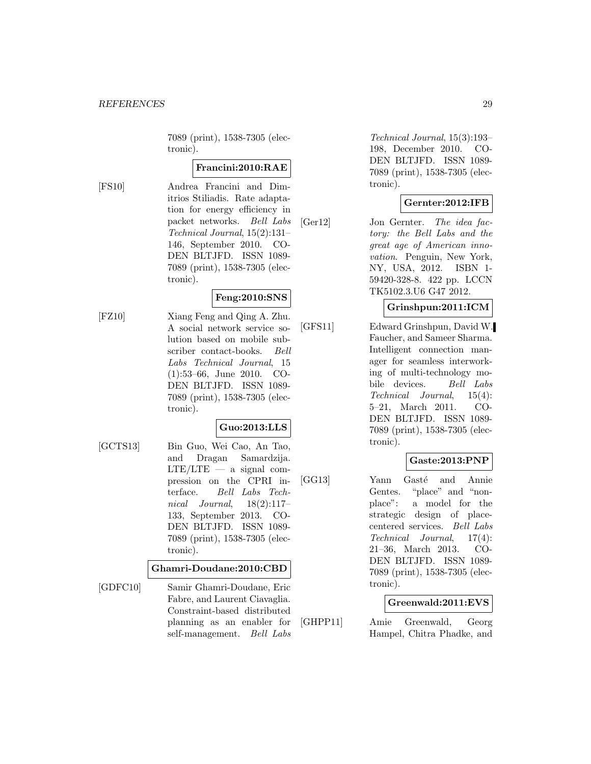7089 (print), 1538-7305 (electronic).

#### **Francini:2010:RAE**

[FS10] Andrea Francini and Dimitrios Stiliadis. Rate adaptation for energy efficiency in packet networks. Bell Labs Technical Journal, 15(2):131– 146, September 2010. CO-DEN BLTJFD. ISSN 1089- 7089 (print), 1538-7305 (electronic).

## **Feng:2010:SNS**

[FZ10] Xiang Feng and Qing A. Zhu. A social network service solution based on mobile subscriber contact-books. Bell Labs Technical Journal, 15 (1):53–66, June 2010. CO-DEN BLTJFD. ISSN 1089- 7089 (print), 1538-7305 (electronic).

## **Guo:2013:LLS**

[GCTS13] Bin Guo, Wei Cao, An Tao, and Dragan Samardzija.  $LTE/LTE$  — a signal compression on the CPRI interface. Bell Labs Technical Journal, 18(2):117– 133, September 2013. CO-DEN BLTJFD. ISSN 1089- 7089 (print), 1538-7305 (electronic).

#### **Ghamri-Doudane:2010:CBD**

[GDFC10] Samir Ghamri-Doudane, Eric Fabre, and Laurent Ciavaglia. Constraint-based distributed planning as an enabler for self-management. Bell Labs

Technical Journal, 15(3):193– 198, December 2010. CO-DEN BLTJFD. ISSN 1089- 7089 (print), 1538-7305 (electronic).

## **Gernter:2012:IFB**

[Ger12] Jon Gernter. The idea factory: the Bell Labs and the great age of American innovation. Penguin, New York, NY, USA, 2012. ISBN 1- 59420-328-8. 422 pp. LCCN TK5102.3.U6 G47 2012.

#### **Grinshpun:2011:ICM**

[GFS11] Edward Grinshpun, David W. Faucher, and Sameer Sharma. Intelligent connection manager for seamless interworking of multi-technology mobile devices. Bell Labs Technical Journal, 15(4): 5–21, March 2011. CO-DEN BLTJFD. ISSN 1089- 7089 (print), 1538-7305 (electronic).

## **Gaste:2013:PNP**

[GG13] Yann Gasté and Annie Gentes. "place" and "nonplace": a model for the strategic design of placecentered services. Bell Labs Technical Journal, 17(4): 21–36, March 2013. CO-DEN BLTJFD. ISSN 1089- 7089 (print), 1538-7305 (electronic).

## **Greenwald:2011:EVS**

[GHPP11] Amie Greenwald, Georg Hampel, Chitra Phadke, and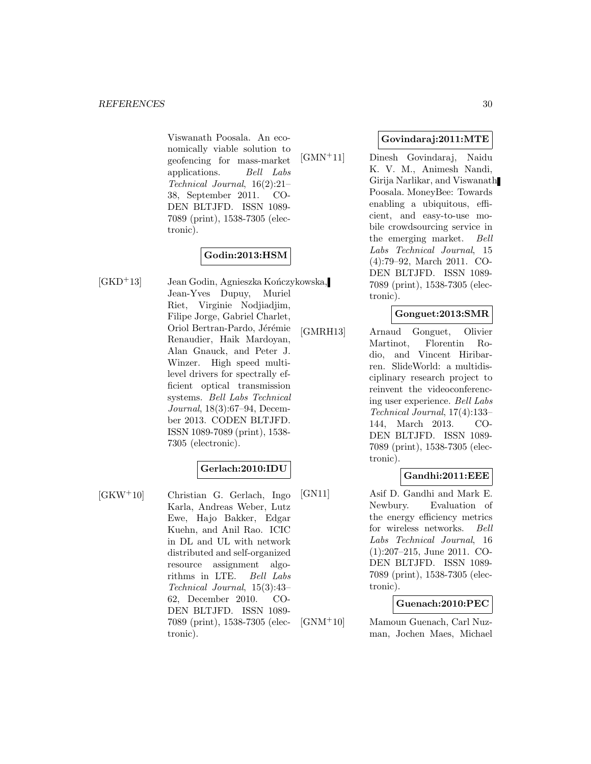Viswanath Poosala. An economically viable solution to geofencing for mass-market applications. Bell Labs Technical Journal, 16(2):21– 38, September 2011. CO-DEN BLTJFD. ISSN 1089- 7089 (print), 1538-7305 (electronic).

## **Godin:2013:HSM**

 $[GKD+13]$  Jean Godin, Agnieszka Kończykowska, Jean-Yves Dupuy, Muriel Riet, Virginie Nodjiadjim, Filipe Jorge, Gabriel Charlet, Oriol Bertran-Pardo, Jérémie Renaudier, Haik Mardoyan, Alan Gnauck, and Peter J. Winzer. High speed multilevel drivers for spectrally efficient optical transmission systems. Bell Labs Technical Journal, 18(3):67–94, December 2013. CODEN BLTJFD. ISSN 1089-7089 (print), 1538- 7305 (electronic).

## **Gerlach:2010:IDU**

[GKW<sup>+</sup>10] Christian G. Gerlach, Ingo Karla, Andreas Weber, Lutz Ewe, Hajo Bakker, Edgar Kuehn, and Anil Rao. ICIC in DL and UL with network distributed and self-organized resource assignment algorithms in LTE. Bell Labs Technical Journal, 15(3):43– 62, December 2010. CO-DEN BLTJFD. ISSN 1089- 7089 (print), 1538-7305 (electronic).

#### **Govindaraj:2011:MTE**

[GMN<sup>+</sup>11] Dinesh Govindaraj, Naidu K. V. M., Animesh Nandi, Girija Narlikar, and Viswanath Poosala. MoneyBee: Towards enabling a ubiquitous, efficient, and easy-to-use mobile crowdsourcing service in the emerging market. Bell Labs Technical Journal, 15 (4):79–92, March 2011. CO-DEN BLTJFD. ISSN 1089- 7089 (print), 1538-7305 (electronic).

#### **Gonguet:2013:SMR**

[GMRH13] Arnaud Gonguet, Olivier Martinot, Florentin Rodio, and Vincent Hiribarren. SlideWorld: a multidisciplinary research project to reinvent the videoconferencing user experience. Bell Labs Technical Journal, 17(4):133– 144, March 2013. CO-DEN BLTJFD. ISSN 1089- 7089 (print), 1538-7305 (electronic).

## **Gandhi:2011:EEE**

[GN11] Asif D. Gandhi and Mark E. Newbury. Evaluation of the energy efficiency metrics for wireless networks. Bell Labs Technical Journal, 16 (1):207–215, June 2011. CO-DEN BLTJFD. ISSN 1089- 7089 (print), 1538-7305 (electronic).

#### **Guenach:2010:PEC**

[GNM<sup>+</sup>10] Mamoun Guenach, Carl Nuzman, Jochen Maes, Michael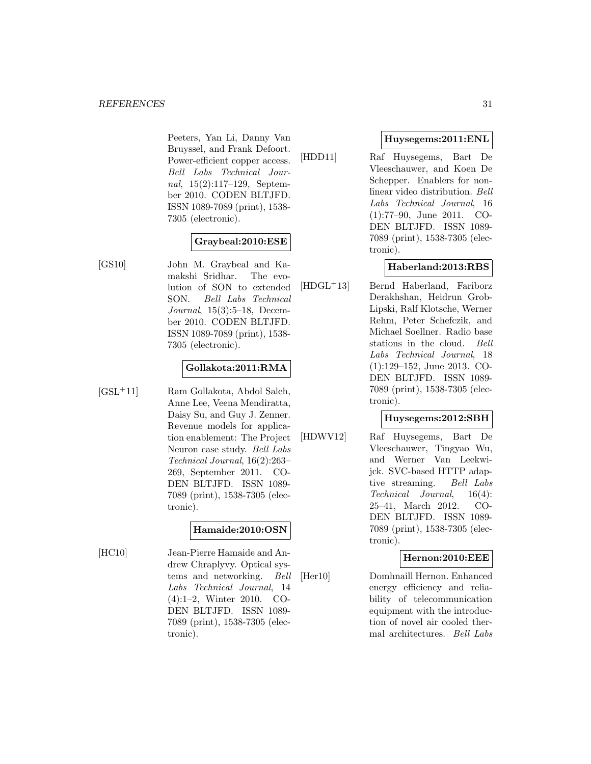Peeters, Yan Li, Danny Van Bruyssel, and Frank Defoort. Power-efficient copper access. Bell Labs Technical Journal, 15(2):117–129, September 2010. CODEN BLTJFD. ISSN 1089-7089 (print), 1538- 7305 (electronic).

## **Graybeal:2010:ESE**

[GS10] John M. Graybeal and Kamakshi Sridhar. The evolution of SON to extended SON. Bell Labs Technical Journal, 15(3):5–18, December 2010. CODEN BLTJFD. ISSN 1089-7089 (print), 1538- 7305 (electronic).

#### **Gollakota:2011:RMA**

[GSL<sup>+</sup>11] Ram Gollakota, Abdol Saleh, Anne Lee, Veena Mendiratta, Daisy Su, and Guy J. Zenner. Revenue models for application enablement: The Project Neuron case study. Bell Labs Technical Journal, 16(2):263– 269, September 2011. CO-DEN BLTJFD. ISSN 1089- 7089 (print), 1538-7305 (electronic).

## **Hamaide:2010:OSN**

[HC10] Jean-Pierre Hamaide and Andrew Chraplyvy. Optical systems and networking. Bell Labs Technical Journal, 14 (4):1–2, Winter 2010. CO-DEN BLTJFD. ISSN 1089- 7089 (print), 1538-7305 (electronic).

#### **Huysegems:2011:ENL**

[HDD11] Raf Huysegems, Bart De Vleeschauwer, and Koen De Schepper. Enablers for nonlinear video distribution. Bell Labs Technical Journal, 16 (1):77–90, June 2011. CO-DEN BLTJFD. ISSN 1089- 7089 (print), 1538-7305 (electronic).

## **Haberland:2013:RBS**

[HDGL<sup>+</sup>13] Bernd Haberland, Fariborz Derakhshan, Heidrun Grob-Lipski, Ralf Klotsche, Werner Rehm, Peter Schefczik, and Michael Soellner. Radio base stations in the cloud. Bell Labs Technical Journal, 18 (1):129–152, June 2013. CO-DEN BLTJFD. ISSN 1089- 7089 (print), 1538-7305 (electronic).

#### **Huysegems:2012:SBH**

[HDWV12] Raf Huysegems, Bart De Vleeschauwer, Tingyao Wu, and Werner Van Leekwijck. SVC-based HTTP adaptive streaming. Bell Labs Technical Journal, 16(4): 25–41, March 2012. CO-DEN BLTJFD. ISSN 1089- 7089 (print), 1538-7305 (electronic).

#### **Hernon:2010:EEE**

[Her10] Domhnaill Hernon. Enhanced energy efficiency and reliability of telecommunication equipment with the introduction of novel air cooled thermal architectures. Bell Labs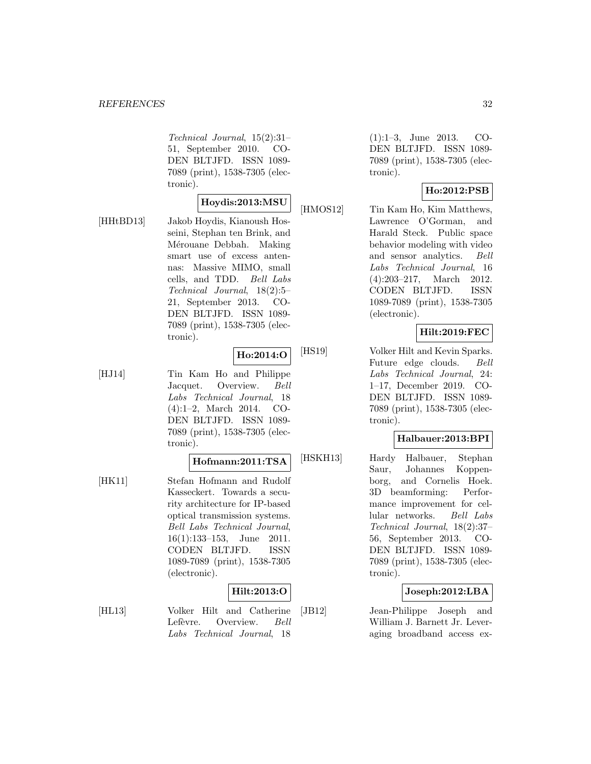Technical Journal, 15(2):31– 51, September 2010. CO-DEN BLTJFD. ISSN 1089- 7089 (print), 1538-7305 (electronic).

#### **Hoydis:2013:MSU**

[HHtBD13] Jakob Hoydis, Kianoush Hosseini, Stephan ten Brink, and Mérouane Debbah. Making smart use of excess antennas: Massive MIMO, small cells, and TDD. Bell Labs Technical Journal, 18(2):5– 21, September 2013. CO-DEN BLTJFD. ISSN 1089- 7089 (print), 1538-7305 (electronic).

## **Ho:2014:O**

[HJ14] Tin Kam Ho and Philippe Jacquet. Overview. Bell Labs Technical Journal, 18 (4):1–2, March 2014. CO-DEN BLTJFD. ISSN 1089- 7089 (print), 1538-7305 (electronic).

#### **Hofmann:2011:TSA**

[HK11] Stefan Hofmann and Rudolf Kasseckert. Towards a security architecture for IP-based optical transmission systems. Bell Labs Technical Journal, 16(1):133–153, June 2011. CODEN BLTJFD. ISSN 1089-7089 (print), 1538-7305 (electronic).

## **Hilt:2013:O**

[HL13] Volker Hilt and Catherine Lefèvre. Overview. Bell Labs Technical Journal, 18

(1):1–3, June 2013. CO-DEN BLTJFD. ISSN 1089- 7089 (print), 1538-7305 (electronic).

## **Ho:2012:PSB**

[HMOS12] Tin Kam Ho, Kim Matthews, Lawrence O'Gorman, and Harald Steck. Public space behavior modeling with video and sensor analytics. Bell Labs Technical Journal, 16 (4):203–217, March 2012. CODEN BLTJFD. ISSN 1089-7089 (print), 1538-7305 (electronic).

## **Hilt:2019:FEC**

[HS19] Volker Hilt and Kevin Sparks. Future edge clouds. Bell Labs Technical Journal, 24: 1–17, December 2019. CO-DEN BLTJFD. ISSN 1089- 7089 (print), 1538-7305 (electronic).

#### **Halbauer:2013:BPI**

[HSKH13] Hardy Halbauer, Stephan Saur, Johannes Koppenborg, and Cornelis Hoek. 3D beamforming: Performance improvement for cellular networks. Bell Labs Technical Journal, 18(2):37– 56, September 2013. CO-DEN BLTJFD. ISSN 1089- 7089 (print), 1538-7305 (electronic).

## **Joseph:2012:LBA**

[JB12] Jean-Philippe Joseph and William J. Barnett Jr. Leveraging broadband access ex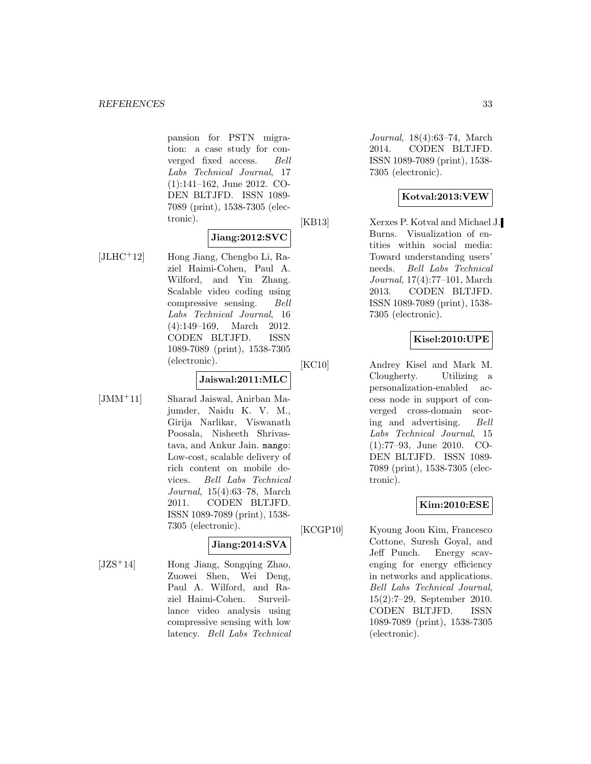pansion for PSTN migration: a case study for converged fixed access. Bell Labs Technical Journal, 17 (1):141–162, June 2012. CO-DEN BLTJFD. ISSN 1089- 7089 (print), 1538-7305 (electronic).

#### **Jiang:2012:SVC**

[JLHC<sup>+</sup>12] Hong Jiang, Chengbo Li, Raziel Haimi-Cohen, Paul A. Wilford, and Yin Zhang. Scalable video coding using compressive sensing. Bell Labs Technical Journal, 16 (4):149–169, March 2012. CODEN BLTJFD. ISSN 1089-7089 (print), 1538-7305 (electronic).

#### **Jaiswal:2011:MLC**

[JMM<sup>+</sup>11] Sharad Jaiswal, Anirban Majumder, Naidu K. V. M., Girija Narlikar, Viswanath Poosala, Nisheeth Shrivastava, and Ankur Jain. mango: Low-cost, scalable delivery of rich content on mobile devices. Bell Labs Technical Journal, 15(4):63–78, March 2011. CODEN BLTJFD. ISSN 1089-7089 (print), 1538- 7305 (electronic).

## **Jiang:2014:SVA**

 $[JZS^+14]$  Hong Jiang, Songqing Zhao, Zuowei Shen, Wei Deng, Paul A. Wilford, and Raziel Haimi-Cohen. Surveillance video analysis using compressive sensing with low latency. Bell Labs Technical

Journal, 18(4):63–74, March 2014. CODEN BLTJFD. ISSN 1089-7089 (print), 1538- 7305 (electronic).

## **Kotval:2013:VEW**

[KB13] Xerxes P. Kotval and Michael J. Burns. Visualization of entities within social media: Toward understanding users' needs. Bell Labs Technical Journal, 17(4):77–101, March 2013. CODEN BLTJFD. ISSN 1089-7089 (print), 1538- 7305 (electronic).

## **Kisel:2010:UPE**

[KC10] Andrey Kisel and Mark M. Clougherty. Utilizing a personalization-enabled access node in support of converged cross-domain scoring and advertising. Bell Labs Technical Journal, 15 (1):77–93, June 2010. CO-DEN BLTJFD. ISSN 1089- 7089 (print), 1538-7305 (electronic).

## **Kim:2010:ESE**

[KCGP10] Kyoung Joon Kim, Francesco Cottone, Suresh Goyal, and Jeff Punch. Energy scavenging for energy efficiency in networks and applications. Bell Labs Technical Journal, 15(2):7–29, September 2010. CODEN BLTJFD. ISSN 1089-7089 (print), 1538-7305 (electronic).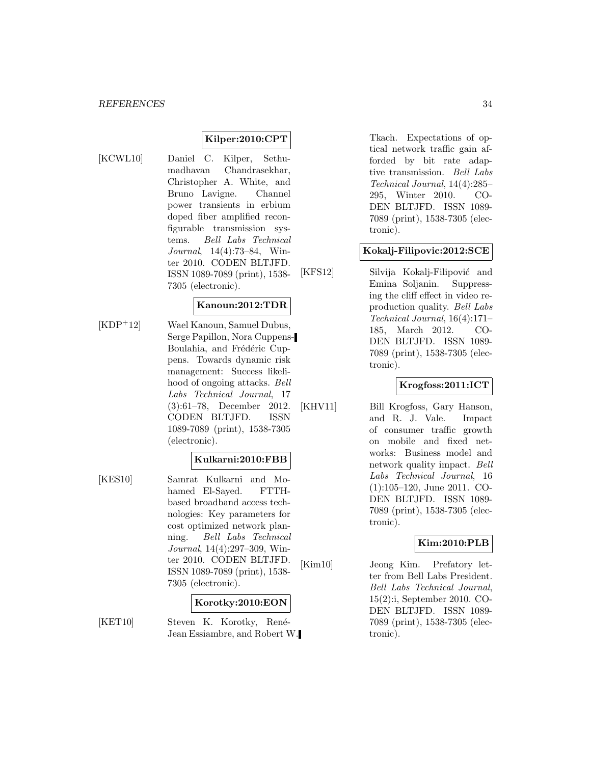## **Kilper:2010:CPT**

[KCWL10] Daniel C. Kilper, Sethumadhavan Chandrasekhar, Christopher A. White, and Bruno Lavigne. Channel power transients in erbium doped fiber amplified reconfigurable transmission systems. Bell Labs Technical Journal, 14(4):73–84, Winter 2010. CODEN BLTJFD. ISSN 1089-7089 (print), 1538- 7305 (electronic).

#### **Kanoun:2012:TDR**

[KDP<sup>+</sup>12] Wael Kanoun, Samuel Dubus, Serge Papillon, Nora Cuppens-Boulahia, and Frédéric Cuppens. Towards dynamic risk management: Success likelihood of ongoing attacks. Bell Labs Technical Journal, 17 (3):61–78, December 2012. CODEN BLTJFD. ISSN 1089-7089 (print), 1538-7305 (electronic).

## **Kulkarni:2010:FBB**

[KES10] Samrat Kulkarni and Mohamed El-Sayed. FTTHbased broadband access technologies: Key parameters for cost optimized network planning. Bell Labs Technical Journal, 14(4):297–309, Winter 2010. CODEN BLTJFD. ISSN 1089-7089 (print), 1538- 7305 (electronic).

#### **Korotky:2010:EON**

[KET10] Steven K. Korotky, René-Jean Essiambre, and Robert W.

Tkach. Expectations of optical network traffic gain afforded by bit rate adaptive transmission. Bell Labs Technical Journal, 14(4):285– 295, Winter 2010. CO-DEN BLTJFD. ISSN 1089- 7089 (print), 1538-7305 (electronic).

#### **Kokalj-Filipovic:2012:SCE**

[KFS12] Silvija Kokalj-Filipović and Emina Soljanin. Suppressing the cliff effect in video reproduction quality. Bell Labs Technical Journal, 16(4):171– 185, March 2012. CO-DEN BLTJFD. ISSN 1089- 7089 (print), 1538-7305 (electronic).

## **Krogfoss:2011:ICT**

[KHV11] Bill Krogfoss, Gary Hanson, and R. J. Vale. Impact of consumer traffic growth on mobile and fixed networks: Business model and network quality impact. Bell Labs Technical Journal, 16 (1):105–120, June 2011. CO-DEN BLTJFD. ISSN 1089- 7089 (print), 1538-7305 (electronic).

#### **Kim:2010:PLB**

[Kim10] Jeong Kim. Prefatory letter from Bell Labs President. Bell Labs Technical Journal, 15(2):i, September 2010. CO-DEN BLTJFD. ISSN 1089- 7089 (print), 1538-7305 (electronic).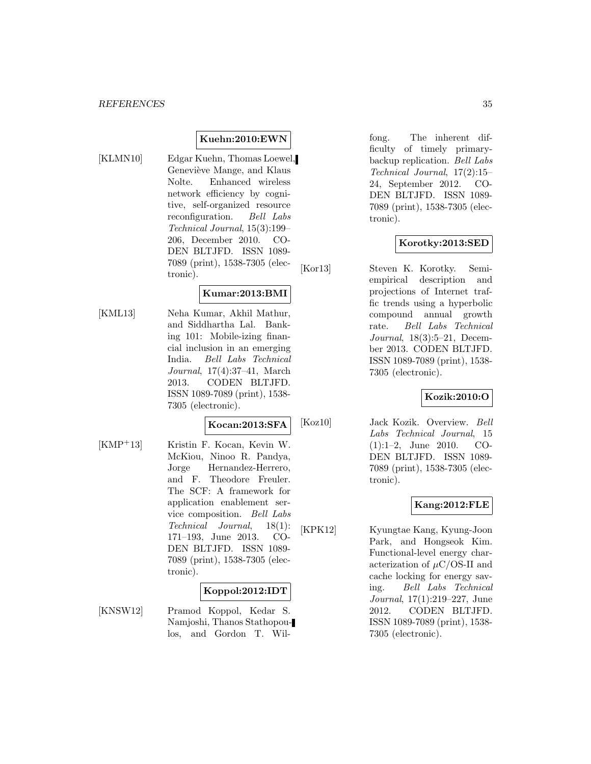#### **Kuehn:2010:EWN**

[KLMN10] Edgar Kuehn, Thomas Loewel, Geneviève Mange, and Klaus Nolte. Enhanced wireless network efficiency by cognitive, self-organized resource reconfiguration. Bell Labs Technical Journal, 15(3):199– 206, December 2010. CO-DEN BLTJFD. ISSN 1089- 7089 (print), 1538-7305 (electronic).

#### **Kumar:2013:BMI**

[KML13] Neha Kumar, Akhil Mathur, and Siddhartha Lal. Banking 101: Mobile-izing financial inclusion in an emerging India. Bell Labs Technical Journal, 17(4):37–41, March 2013. CODEN BLTJFD. ISSN 1089-7089 (print), 1538- 7305 (electronic).

#### **Kocan:2013:SFA**

[KMP<sup>+</sup>13] Kristin F. Kocan, Kevin W. McKiou, Ninoo R. Pandya, Jorge Hernandez-Herrero, and F. Theodore Freuler. The SCF: A framework for application enablement service composition. Bell Labs Technical Journal, 18(1): 171–193, June 2013. CO-DEN BLTJFD. ISSN 1089- 7089 (print), 1538-7305 (electronic).

#### **Koppol:2012:IDT**

[KNSW12] Pramod Koppol, Kedar S. Namjoshi, Thanos Stathopoulos, and Gordon T. Wil-

fong. The inherent difficulty of timely primarybackup replication. Bell Labs Technical Journal, 17(2):15– 24, September 2012. CO-DEN BLTJFD. ISSN 1089- 7089 (print), 1538-7305 (electronic).

#### **Korotky:2013:SED**

[Kor13] Steven K. Korotky. Semiempirical description and projections of Internet traffic trends using a hyperbolic compound annual growth rate. Bell Labs Technical Journal, 18(3):5–21, December 2013. CODEN BLTJFD. ISSN 1089-7089 (print), 1538- 7305 (electronic).

#### **Kozik:2010:O**

[Koz10] Jack Kozik. Overview. Bell Labs Technical Journal, 15 (1):1–2, June 2010. CO-DEN BLTJFD. ISSN 1089- 7089 (print), 1538-7305 (electronic).

## **Kang:2012:FLE**

[KPK12] Kyungtae Kang, Kyung-Joon Park, and Hongseok Kim. Functional-level energy characterization of  $\mu$ C/OS-II and cache locking for energy saving. Bell Labs Technical Journal, 17(1):219–227, June 2012. CODEN BLTJFD. ISSN 1089-7089 (print), 1538- 7305 (electronic).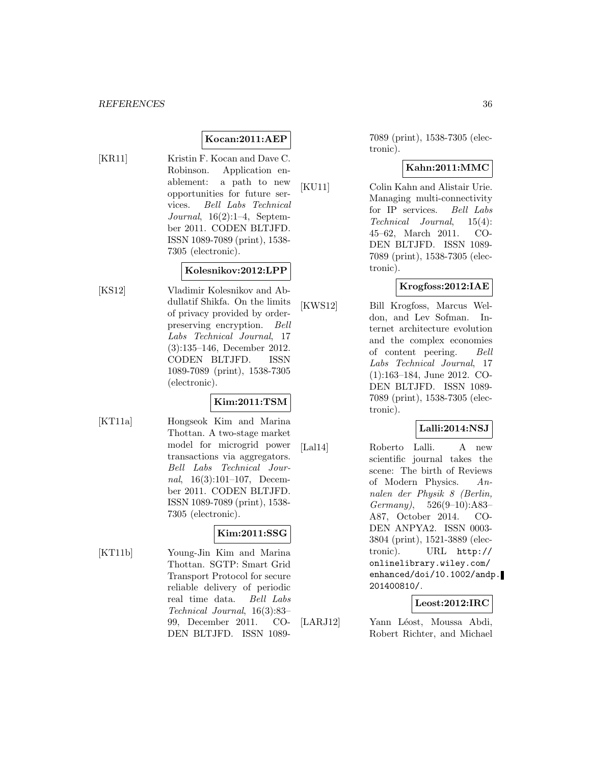## **Kocan:2011:AEP**

[KR11] Kristin F. Kocan and Dave C. Robinson. Application enablement: a path to new opportunities for future services. Bell Labs Technical Journal, 16(2):1–4, September 2011. CODEN BLTJFD. ISSN 1089-7089 (print), 1538- 7305 (electronic).

## **Kolesnikov:2012:LPP**

[KS12] Vladimir Kolesnikov and Abdullatif Shikfa. On the limits of privacy provided by orderpreserving encryption. Bell Labs Technical Journal, 17 (3):135–146, December 2012. CODEN BLTJFD. ISSN 1089-7089 (print), 1538-7305 (electronic).

## **Kim:2011:TSM**

[KT11a] Hongseok Kim and Marina Thottan. A two-stage market model for microgrid power transactions via aggregators. Bell Labs Technical Journal, 16(3):101–107, December 2011. CODEN BLTJFD. ISSN 1089-7089 (print), 1538- 7305 (electronic).

## **Kim:2011:SSG**

[KT11b] Young-Jin Kim and Marina Thottan. SGTP: Smart Grid Transport Protocol for secure reliable delivery of periodic real time data. Bell Labs Technical Journal, 16(3):83– 99, December 2011. CO-DEN BLTJFD. ISSN 1089-

7089 (print), 1538-7305 (electronic).

## **Kahn:2011:MMC**

[KU11] Colin Kahn and Alistair Urie. Managing multi-connectivity for IP services. Bell Labs Technical Journal, 15(4): 45–62, March 2011. CO-DEN BLTJFD. ISSN 1089- 7089 (print), 1538-7305 (electronic).

#### **Krogfoss:2012:IAE**

[KWS12] Bill Krogfoss, Marcus Weldon, and Lev Sofman. Internet architecture evolution and the complex economies of content peering. Bell Labs Technical Journal, 17 (1):163–184, June 2012. CO-DEN BLTJFD. ISSN 1089- 7089 (print), 1538-7305 (electronic).

## **Lalli:2014:NSJ**

[Lal14] Roberto Lalli. A new scientific journal takes the scene: The birth of Reviews of Modern Physics. Annalen der Physik 8 (Berlin, Germany), 526(9–10):A83– A87, October 2014. CO-DEN ANPYA2. ISSN 0003- 3804 (print), 1521-3889 (electronic). URL http:// onlinelibrary.wiley.com/ enhanced/doi/10.1002/andp. 201400810/.

## **Leost:2012:IRC**

[LARJ12] Yann Léost, Moussa Abdi, Robert Richter, and Michael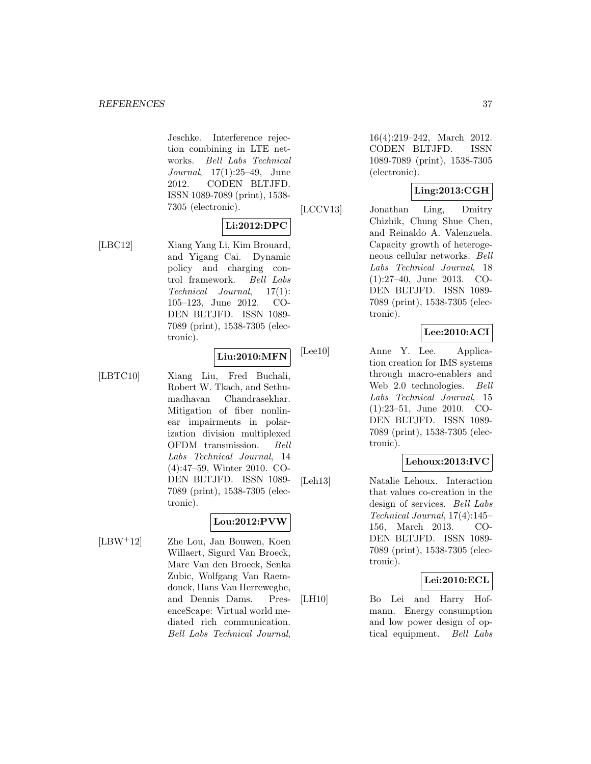Jeschke. Interference rejection combining in LTE networks. Bell Labs Technical Journal, 17(1):25–49, June 2012. CODEN BLTJFD. ISSN 1089-7089 (print), 1538- 7305 (electronic).

## **Li:2012:DPC**

[LBC12] Xiang Yang Li, Kim Brouard, and Yigang Cai. Dynamic policy and charging control framework. Bell Labs Technical Journal, 17(1): 105–123, June 2012. CO-DEN BLTJFD. ISSN 1089- 7089 (print), 1538-7305 (electronic).

#### **Liu:2010:MFN**

[LBTC10] Xiang Liu, Fred Buchali, Robert W. Tkach, and Sethumadhavan Chandrasekhar. Mitigation of fiber nonlinear impairments in polarization division multiplexed OFDM transmission. Bell Labs Technical Journal, 14 (4):47–59, Winter 2010. CO-DEN BLTJFD. ISSN 1089- 7089 (print), 1538-7305 (electronic).

## **Lou:2012:PVW**

[LBW<sup>+</sup>12] Zhe Lou, Jan Bouwen, Koen Willaert, Sigurd Van Broeck, Marc Van den Broeck, Senka Zubic, Wolfgang Van Raemdonck, Hans Van Herreweghe, and Dennis Dams. PresenceScape: Virtual world mediated rich communication. Bell Labs Technical Journal,

16(4):219–242, March 2012. CODEN BLTJFD. ISSN 1089-7089 (print), 1538-7305 (electronic).

## **Ling:2013:CGH**

[LCCV13] Jonathan Ling, Dmitry Chizhik, Chung Shue Chen, and Reinaldo A. Valenzuela. Capacity growth of heterogeneous cellular networks. Bell Labs Technical Journal, 18 (1):27–40, June 2013. CO-DEN BLTJFD. ISSN 1089- 7089 (print), 1538-7305 (electronic).

## **Lee:2010:ACI**

[Lee10] Anne Y. Lee. Application creation for IMS systems through macro-enablers and Web 2.0 technologies. Bell Labs Technical Journal, 15 (1):23–51, June 2010. CO-DEN BLTJFD. ISSN 1089- 7089 (print), 1538-7305 (electronic).

## **Lehoux:2013:IVC**

[Leh13] Natalie Lehoux. Interaction that values co-creation in the design of services. Bell Labs Technical Journal, 17(4):145– 156, March 2013. CO-DEN BLTJFD. ISSN 1089- 7089 (print), 1538-7305 (electronic).

## **Lei:2010:ECL**

[LH10] Bo Lei and Harry Hofmann. Energy consumption and low power design of optical equipment. Bell Labs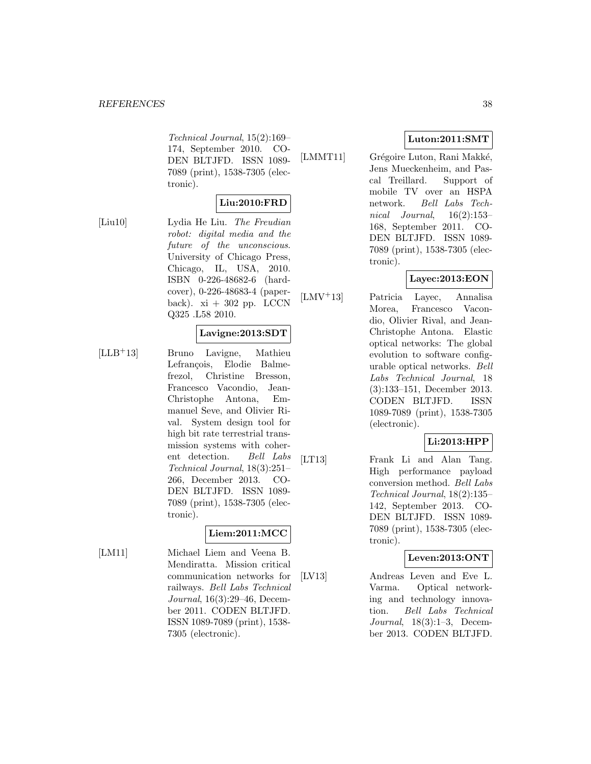Technical Journal, 15(2):169– 174, September 2010. CO-DEN BLTJFD. ISSN 1089- 7089 (print), 1538-7305 (electronic).

## **Liu:2010:FRD**

[Liu10] Lydia He Liu. The Freudian robot: digital media and the future of the unconscious. University of Chicago Press, Chicago, IL, USA, 2010. ISBN 0-226-48682-6 (hardcover), 0-226-48683-4 (paperback).  $xi + 302$  pp. LCCN Q325 .L58 2010.

#### **Lavigne:2013:SDT**

[LLB<sup>+</sup>13] Bruno Lavigne, Mathieu Lefrançois, Elodie Balmefrezol, Christine Bresson, Francesco Vacondio, Jean-Christophe Antona, Emmanuel Seve, and Olivier Rival. System design tool for high bit rate terrestrial transmission systems with coherent detection. Bell Labs Technical Journal, 18(3):251– 266, December 2013. CO-DEN BLTJFD. ISSN 1089- 7089 (print), 1538-7305 (electronic).

## **Liem:2011:MCC**

[LM11] Michael Liem and Veena B. Mendiratta. Mission critical communication networks for railways. Bell Labs Technical Journal, 16(3):29–46, December 2011. CODEN BLTJFD. ISSN 1089-7089 (print), 1538- 7305 (electronic).

## **Luton:2011:SMT**

[LMMT11] Grégoire Luton, Rani Makké, Jens Mueckenheim, and Pascal Treillard. Support of mobile TV over an HSPA network. Bell Labs Technical Journal, 16(2):153– 168, September 2011. CO-DEN BLTJFD. ISSN 1089- 7089 (print), 1538-7305 (electronic).

## **Layec:2013:EON**

[LMV<sup>+</sup>13] Patricia Layec, Annalisa Morea, Francesco Vacondio, Olivier Rival, and Jean-Christophe Antona. Elastic optical networks: The global evolution to software configurable optical networks. Bell Labs Technical Journal, 18 (3):133–151, December 2013. CODEN BLTJFD. ISSN 1089-7089 (print), 1538-7305 (electronic).

## **Li:2013:HPP**

[LT13] Frank Li and Alan Tang. High performance payload conversion method. Bell Labs Technical Journal, 18(2):135– 142, September 2013. CO-DEN BLTJFD. ISSN 1089- 7089 (print), 1538-7305 (electronic).

#### **Leven:2013:ONT**

[LV13] Andreas Leven and Eve L. Varma. Optical networking and technology innovation. Bell Labs Technical Journal, 18(3):1–3, December 2013. CODEN BLTJFD.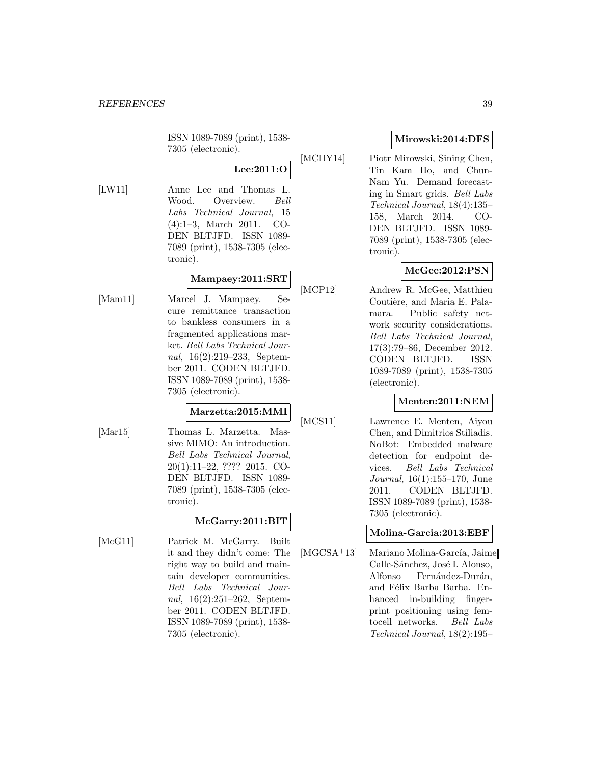ISSN 1089-7089 (print), 1538- 7305 (electronic).

## **Lee:2011:O**

[LW11] Anne Lee and Thomas L. Wood. Overview. Bell Labs Technical Journal, 15 (4):1–3, March 2011. CO-DEN BLTJFD. ISSN 1089- 7089 (print), 1538-7305 (electronic).

## **Mampaey:2011:SRT**

[Mam11] Marcel J. Mampaey. Secure remittance transaction to bankless consumers in a fragmented applications market. Bell Labs Technical Journal, 16(2):219–233, September 2011. CODEN BLTJFD. ISSN 1089-7089 (print), 1538- 7305 (electronic).

#### **Marzetta:2015:MMI**

[Mar15] Thomas L. Marzetta. Massive MIMO: An introduction. Bell Labs Technical Journal, 20(1):11–22, ???? 2015. CO-DEN BLTJFD. ISSN 1089- 7089 (print), 1538-7305 (electronic).

## **McGarry:2011:BIT**

[McG11] Patrick M. McGarry. Built it and they didn't come: The right way to build and maintain developer communities. Bell Labs Technical Journal, 16(2):251–262, September 2011. CODEN BLTJFD. ISSN 1089-7089 (print), 1538- 7305 (electronic).

## **Mirowski:2014:DFS**

[MCHY14] Piotr Mirowski, Sining Chen, Tin Kam Ho, and Chun-Nam Yu. Demand forecasting in Smart grids. Bell Labs Technical Journal, 18(4):135– 158, March 2014. CO-DEN BLTJFD. ISSN 1089- 7089 (print), 1538-7305 (electronic).

## **McGee:2012:PSN**

[MCP12] Andrew R. McGee, Matthieu Coutière, and Maria E. Palamara. Public safety network security considerations. Bell Labs Technical Journal, 17(3):79–86, December 2012. CODEN BLTJFD. ISSN 1089-7089 (print), 1538-7305 (electronic).

## **Menten:2011:NEM**

[MCS11] Lawrence E. Menten, Aiyou Chen, and Dimitrios Stiliadis. NoBot: Embedded malware detection for endpoint devices. Bell Labs Technical Journal, 16(1):155–170, June 2011. CODEN BLTJFD. ISSN 1089-7089 (print), 1538- 7305 (electronic).

## **Molina-Garcia:2013:EBF**

 $[MGCSA+13]$  Mariano Molina-García, Jaime Calle-Sánchez, José I. Alonso, Alfonso Fernández-Durán, and Félix Barba Barba. Enhanced in-building fingerprint positioning using femtocell networks. Bell Labs Technical Journal, 18(2):195–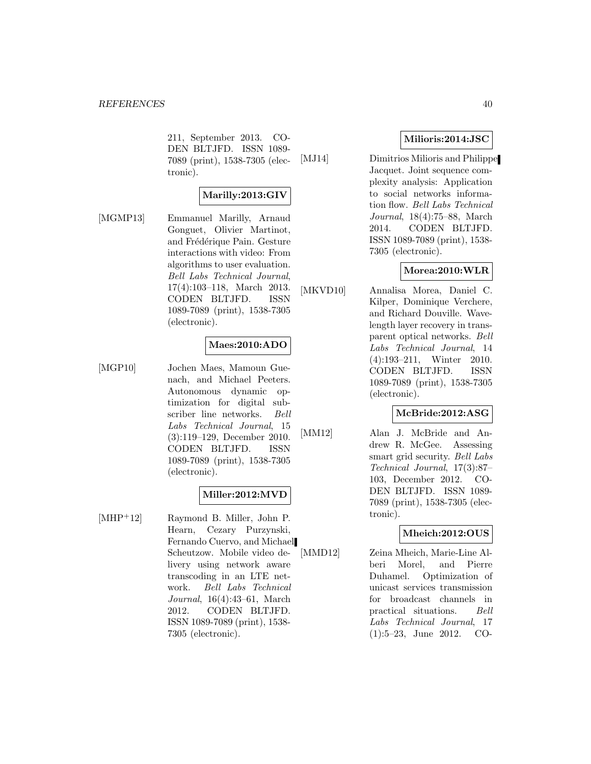211, September 2013. CO-DEN BLTJFD. ISSN 1089- 7089 (print), 1538-7305 (electronic).

## **Marilly:2013:GIV**

[MGMP13] Emmanuel Marilly, Arnaud Gonguet, Olivier Martinot, and Frédérique Pain. Gesture interactions with video: From algorithms to user evaluation. Bell Labs Technical Journal, 17(4):103–118, March 2013. CODEN BLTJFD. ISSN 1089-7089 (print), 1538-7305 (electronic).

## **Maes:2010:ADO**

[MGP10] Jochen Maes, Mamoun Guenach, and Michael Peeters. Autonomous dynamic optimization for digital subscriber line networks. Bell Labs Technical Journal, 15 (3):119–129, December 2010. CODEN BLTJFD. ISSN 1089-7089 (print), 1538-7305 (electronic).

## **Miller:2012:MVD**

[MHP<sup>+</sup>12] Raymond B. Miller, John P. Hearn, Cezary Purzynski, Fernando Cuervo, and Michael Scheutzow. Mobile video delivery using network aware transcoding in an LTE network. Bell Labs Technical Journal, 16(4):43–61, March 2012. CODEN BLTJFD. ISSN 1089-7089 (print), 1538- 7305 (electronic).

## **Milioris:2014:JSC**

[MJ14] Dimitrios Milioris and Philippe Jacquet. Joint sequence complexity analysis: Application to social networks information flow. Bell Labs Technical Journal, 18(4):75–88, March 2014. CODEN BLTJFD. ISSN 1089-7089 (print), 1538- 7305 (electronic).

## **Morea:2010:WLR**

[MKVD10] Annalisa Morea, Daniel C. Kilper, Dominique Verchere, and Richard Douville. Wavelength layer recovery in transparent optical networks. Bell Labs Technical Journal, 14 (4):193–211, Winter 2010. CODEN BLTJFD. ISSN 1089-7089 (print), 1538-7305 (electronic).

#### **McBride:2012:ASG**

[MM12] Alan J. McBride and Andrew R. McGee. Assessing smart grid security. Bell Labs Technical Journal, 17(3):87– 103, December 2012. CO-DEN BLTJFD. ISSN 1089- 7089 (print), 1538-7305 (electronic).

## **Mheich:2012:OUS**

[MMD12] Zeina Mheich, Marie-Line Alberi Morel, and Pierre Duhamel. Optimization of unicast services transmission for broadcast channels in practical situations. Bell Labs Technical Journal, 17 (1):5–23, June 2012. CO-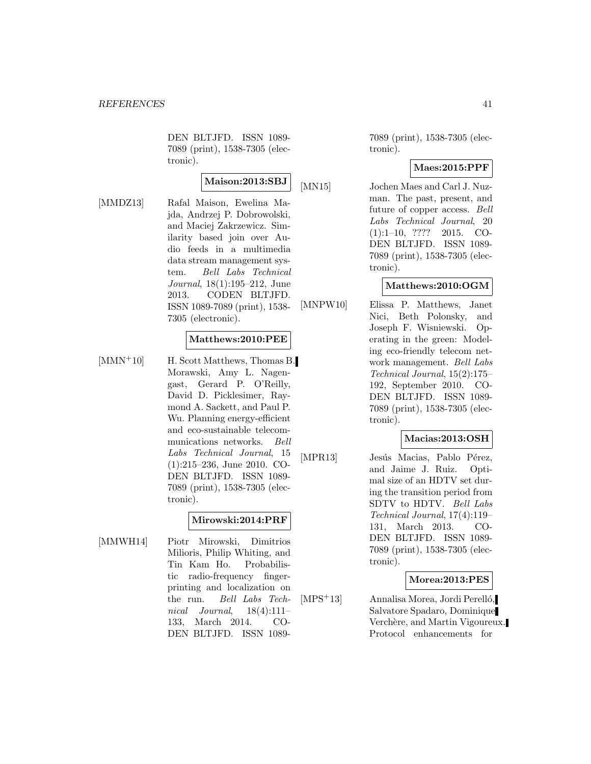DEN BLTJFD. ISSN 1089- 7089 (print), 1538-7305 (electronic).

**Maison:2013:SBJ**

[MMDZ13] Rafal Maison, Ewelina Majda, Andrzej P. Dobrowolski, and Maciej Zakrzewicz. Similarity based join over Audio feeds in a multimedia data stream management system. Bell Labs Technical Journal, 18(1):195–212, June 2013. CODEN BLTJFD. ISSN 1089-7089 (print), 1538- 7305 (electronic).

#### **Matthews:2010:PEE**

[MMN<sup>+</sup>10] H. Scott Matthews, Thomas B. Morawski, Amy L. Nagengast, Gerard P. O'Reilly, David D. Picklesimer, Raymond A. Sackett, and Paul P. Wu. Planning energy-efficient and eco-sustainable telecommunications networks. Bell Labs Technical Journal, 15 (1):215–236, June 2010. CO-DEN BLTJFD. ISSN 1089- 7089 (print), 1538-7305 (electronic).

#### **Mirowski:2014:PRF**

[MMWH14] Piotr Mirowski, Dimitrios Milioris, Philip Whiting, and Tin Kam Ho. Probabilistic radio-frequency fingerprinting and localization on the run. Bell Labs Technical Journal,  $18(4):111-$ 133, March 2014. CO-DEN BLTJFD. ISSN 1089-

7089 (print), 1538-7305 (electronic).

#### **Maes:2015:PPF**

[MN15] Jochen Maes and Carl J. Nuzman. The past, present, and future of copper access. Bell Labs Technical Journal, 20 (1):1–10, ???? 2015. CO-DEN BLTJFD. ISSN 1089- 7089 (print), 1538-7305 (electronic).

## **Matthews:2010:OGM**

[MNPW10] Elissa P. Matthews, Janet Nici, Beth Polonsky, and Joseph F. Wisniewski. Operating in the green: Modeling eco-friendly telecom network management. Bell Labs Technical Journal, 15(2):175– 192, September 2010. CO-DEN BLTJFD. ISSN 1089- 7089 (print), 1538-7305 (electronic).

#### **Macias:2013:OSH**

[MPR13] Jesús Macias, Pablo Pérez, and Jaime J. Ruiz. Optimal size of an HDTV set during the transition period from SDTV to HDTV. Bell Labs Technical Journal, 17(4):119– 131, March 2013. CO-DEN BLTJFD. ISSN 1089- 7089 (print), 1538-7305 (electronic).

#### **Morea:2013:PES**

[MPS<sup>+</sup>13] Annalisa Morea, Jordi Perelló, Salvatore Spadaro, Dominique Verchère, and Martin Vigoureux. Protocol enhancements for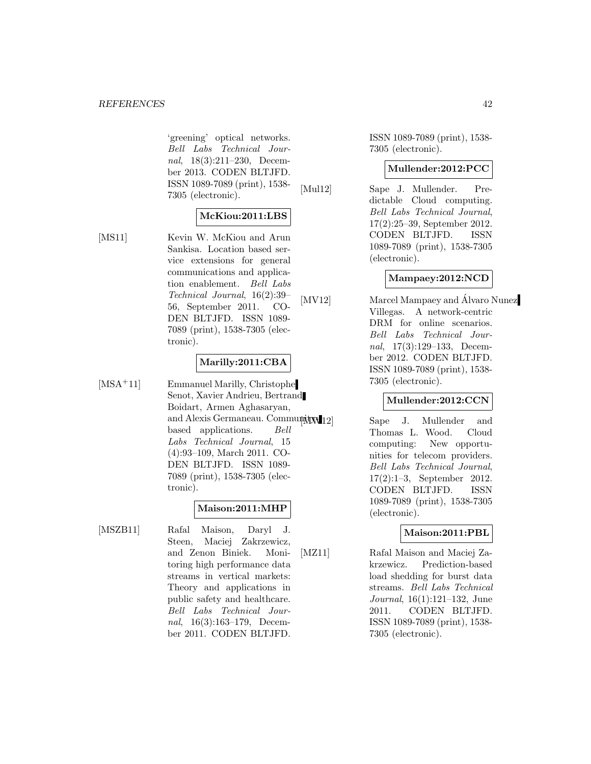#### *REFERENCES* 42

'greening' optical networks. Bell Labs Technical Journal, 18(3):211–230, December 2013. CODEN BLTJFD. ISSN 1089-7089 (print), 1538- 7305 (electronic).

#### **McKiou:2011:LBS**

[MS11] Kevin W. McKiou and Arun Sankisa. Location based service extensions for general communications and application enablement. Bell Labs Technical Journal, 16(2):39– 56, September 2011. CO-DEN BLTJFD. ISSN 1089- 7089 (print), 1538-7305 (electronic).

#### **Marilly:2011:CBA**

[MSA<sup>+</sup>11] Emmanuel Marilly, Christophe Senot, Xavier Andrieu, Bertrand Boidart, Armen Aghasaryan, and Alexis Germaneau. Community based applications. Bell Labs Technical Journal, 15 (4):93–109, March 2011. CO-DEN BLTJFD. ISSN 1089- 7089 (print), 1538-7305 (electronic).

## **Maison:2011:MHP**

[MSZB11] Rafal Maison, Daryl J. Steen, Maciej Zakrzewicz, and Zenon Biniek. Monitoring high performance data streams in vertical markets: Theory and applications in public safety and healthcare. Bell Labs Technical Journal, 16(3):163–179, December 2011. CODEN BLTJFD.

ISSN 1089-7089 (print), 1538- 7305 (electronic).

#### **Mullender:2012:PCC**

[Mul12] Sape J. Mullender. Predictable Cloud computing. Bell Labs Technical Journal, 17(2):25–39, September 2012. CODEN BLTJFD. ISSN 1089-7089 (print), 1538-7305 (electronic).

#### **Mampaey:2012:NCD**

[MV12] Marcel Mampaey and Alvaro Nunez Villegas. A network-centric DRM for online scenarios. Bell Labs Technical Journal, 17(3):129–133, December 2012. CODEN BLTJFD. ISSN 1089-7089 (print), 1538- 7305 (electronic).

#### **Mullender:2012:CCN**

Sape J. Mullender and Thomas L. Wood. Cloud computing: New opportunities for telecom providers. Bell Labs Technical Journal, 17(2):1–3, September 2012. CODEN BLTJFD. ISSN 1089-7089 (print), 1538-7305 (electronic).

## **Maison:2011:PBL**

[MZ11] Rafal Maison and Maciej Zakrzewicz. Prediction-based load shedding for burst data streams. Bell Labs Technical Journal, 16(1):121–132, June 2011. CODEN BLTJFD. ISSN 1089-7089 (print), 1538- 7305 (electronic).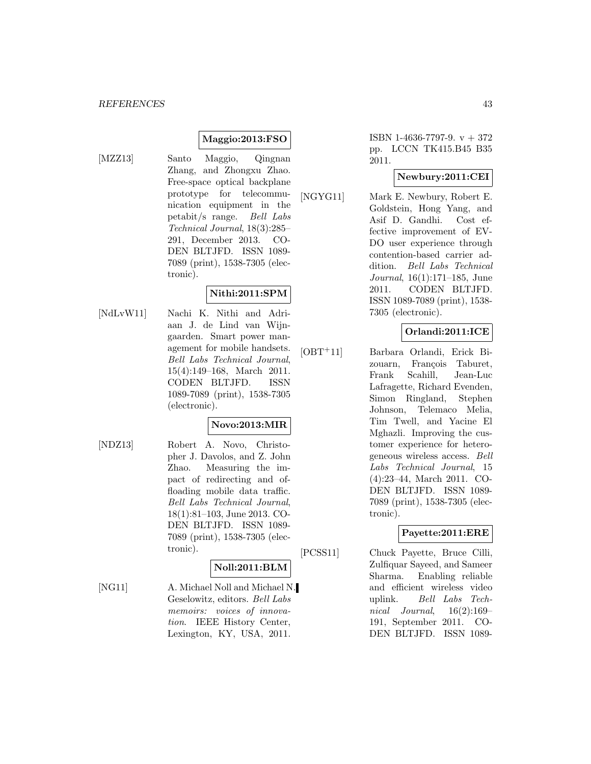## **Maggio:2013:FSO**

- 
- [MZZ13] Santo Maggio, Qingnan Zhang, and Zhongxu Zhao. Free-space optical backplane prototype for telecommunication equipment in the petabit/s range. Bell Labs Technical Journal, 18(3):285– 291, December 2013. CO-DEN BLTJFD. ISSN 1089- 7089 (print), 1538-7305 (electronic).

#### **Nithi:2011:SPM**

[NdLvW11] Nachi K. Nithi and Adriaan J. de Lind van Wijngaarden. Smart power management for mobile handsets. Bell Labs Technical Journal, 15(4):149–168, March 2011. CODEN BLTJFD. ISSN 1089-7089 (print), 1538-7305 (electronic).

## **Novo:2013:MIR**

[NDZ13] Robert A. Novo, Christopher J. Davolos, and Z. John Zhao. Measuring the impact of redirecting and offloading mobile data traffic. Bell Labs Technical Journal, 18(1):81–103, June 2013. CO-DEN BLTJFD. ISSN 1089- 7089 (print), 1538-7305 (electronic).

## **Noll:2011:BLM**

[NG11] A. Michael Noll and Michael N. Geselowitz, editors. Bell Labs memoirs: voices of innovation. IEEE History Center, Lexington, KY, USA, 2011.

ISBN 1-4636-7797-9. v + 372 pp. LCCN TK415.B45 B35 2011.

## **Newbury:2011:CEI**

[NGYG11] Mark E. Newbury, Robert E. Goldstein, Hong Yang, and Asif D. Gandhi. Cost effective improvement of EV-DO user experience through contention-based carrier addition. Bell Labs Technical Journal, 16(1):171–185, June 2011. CODEN BLTJFD. ISSN 1089-7089 (print), 1538- 7305 (electronic).

## **Orlandi:2011:ICE**

[OBT<sup>+</sup>11] Barbara Orlandi, Erick Bizouarn, François Taburet, Frank Scahill, Jean-Luc Lafragette, Richard Evenden, Simon Ringland, Stephen Johnson, Telemaco Melia, Tim Twell, and Yacine El Mghazli. Improving the customer experience for heterogeneous wireless access. Bell Labs Technical Journal, 15 (4):23–44, March 2011. CO-DEN BLTJFD. ISSN 1089- 7089 (print), 1538-7305 (electronic).

## **Payette:2011:ERE**

[PCSS11] Chuck Payette, Bruce Cilli, Zulfiquar Sayeed, and Sameer Sharma. Enabling reliable and efficient wireless video uplink. Bell Labs Technical Journal,  $16(2):169-$ 191, September 2011. CO-DEN BLTJFD. ISSN 1089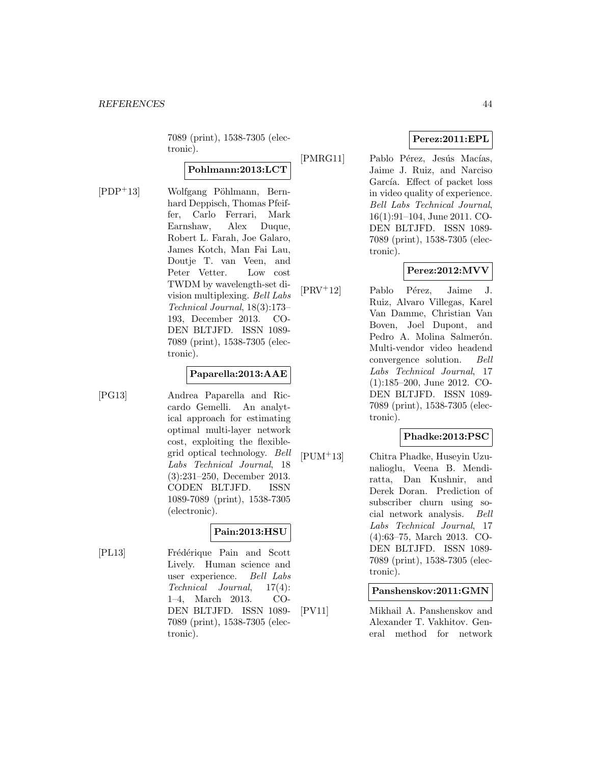7089 (print), 1538-7305 (electronic).

## **Pohlmann:2013:LCT**

 $[PDF<sup>+</sup>13]$  Wolfgang Pöhlmann, Bernhard Deppisch, Thomas Pfeiffer, Carlo Ferrari, Mark Earnshaw, Alex Duque, Robert L. Farah, Joe Galaro, James Kotch, Man Fai Lau, Doutje T. van Veen, and Peter Vetter. Low cost TWDM by wavelength-set division multiplexing. Bell Labs Technical Journal, 18(3):173– 193, December 2013. CO-DEN BLTJFD. ISSN 1089- 7089 (print), 1538-7305 (electronic).

#### **Paparella:2013:AAE**

[PG13] Andrea Paparella and Riccardo Gemelli. An analytical approach for estimating optimal multi-layer network cost, exploiting the flexiblegrid optical technology. Bell Labs Technical Journal, 18 (3):231–250, December 2013. CODEN BLTJFD. ISSN 1089-7089 (print), 1538-7305 (electronic).

## **Pain:2013:HSU**

[PL13] Frédérique Pain and Scott Lively. Human science and user experience. Bell Labs Technical Journal, 17(4): 1–4, March 2013. CO-DEN BLTJFD. ISSN 1089- 7089 (print), 1538-7305 (electronic).

## **Perez:2011:EPL**

[PMRG11] Pablo Pérez, Jesús Macías, Jaime J. Ruiz, and Narciso García. Effect of packet loss in video quality of experience. Bell Labs Technical Journal, 16(1):91–104, June 2011. CO-DEN BLTJFD. ISSN 1089- 7089 (print), 1538-7305 (electronic).

## **Perez:2012:MVV**

 $[PRV^+12]$  Pablo Pérez, Jaime J. Ruiz, Alvaro Villegas, Karel Van Damme, Christian Van Boven, Joel Dupont, and Pedro A. Molina Salmerón. Multi-vendor video headend convergence solution. Bell Labs Technical Journal, 17 (1):185–200, June 2012. CO-DEN BLTJFD. ISSN 1089- 7089 (print), 1538-7305 (electronic).

## **Phadke:2013:PSC**

[PUM<sup>+</sup>13] Chitra Phadke, Huseyin Uzunalioglu, Veena B. Mendiratta, Dan Kushnir, and Derek Doran. Prediction of subscriber churn using social network analysis. Bell Labs Technical Journal, 17 (4):63–75, March 2013. CO-DEN BLTJFD. ISSN 1089- 7089 (print), 1538-7305 (electronic).

#### **Panshenskov:2011:GMN**

[PV11] Mikhail A. Panshenskov and Alexander T. Vakhitov. General method for network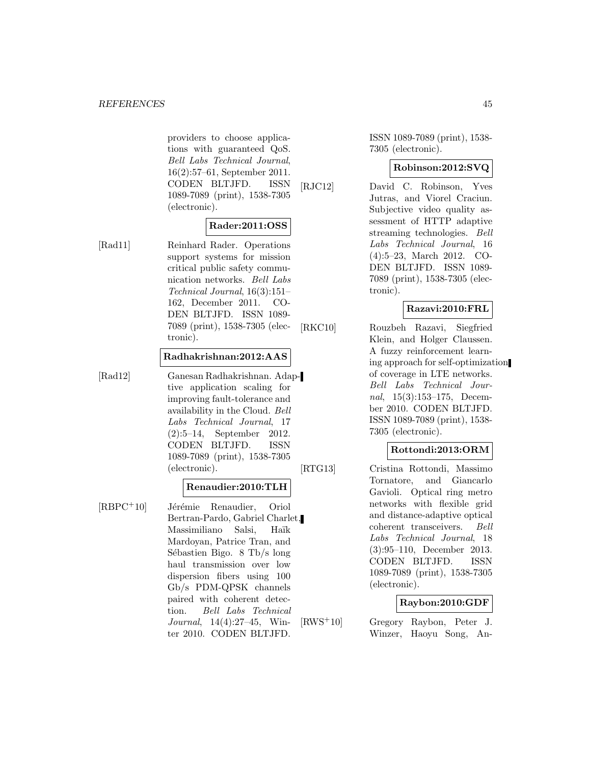#### *REFERENCES* 45

providers to choose applications with guaranteed QoS. Bell Labs Technical Journal, 16(2):57–61, September 2011. CODEN BLTJFD. ISSN 1089-7089 (print), 1538-7305 (electronic).

## **Rader:2011:OSS**

[Rad11] Reinhard Rader. Operations support systems for mission critical public safety communication networks. Bell Labs Technical Journal, 16(3):151– 162, December 2011. CO-DEN BLTJFD. ISSN 1089- 7089 (print), 1538-7305 (electronic).

#### **Radhakrishnan:2012:AAS**

[Rad12] Ganesan Radhakrishnan. Adaptive application scaling for improving fault-tolerance and availability in the Cloud. Bell Labs Technical Journal, 17 (2):5–14, September 2012. CODEN BLTJFD. ISSN 1089-7089 (print), 1538-7305 (electronic).

#### **Renaudier:2010:TLH**

[RBPC<sup>+</sup>10] Jérémie Renaudier, Oriol Bertran-Pardo, Gabriel Charlet, Massimiliano Salsi, Haïk Mardoyan, Patrice Tran, and Sébastien Bigo. 8 Tb/s long haul transmission over low dispersion fibers using 100 Gb/s PDM-QPSK channels paired with coherent detection. Bell Labs Technical Journal, 14(4):27–45, Winter 2010. CODEN BLTJFD.

ISSN 1089-7089 (print), 1538- 7305 (electronic).

#### **Robinson:2012:SVQ**

[RJC12] David C. Robinson, Yves Jutras, and Viorel Craciun. Subjective video quality assessment of HTTP adaptive streaming technologies. Bell Labs Technical Journal, 16 (4):5–23, March 2012. CO-DEN BLTJFD. ISSN 1089- 7089 (print), 1538-7305 (electronic).

#### **Razavi:2010:FRL**

[RKC10] Rouzbeh Razavi, Siegfried Klein, and Holger Claussen. A fuzzy reinforcement learning approach for self-optimization of coverage in LTE networks. Bell Labs Technical Journal, 15(3):153–175, December 2010. CODEN BLTJFD. ISSN 1089-7089 (print), 1538- 7305 (electronic).

#### **Rottondi:2013:ORM**

[RTG13] Cristina Rottondi, Massimo Tornatore, and Giancarlo Gavioli. Optical ring metro networks with flexible grid and distance-adaptive optical coherent transceivers. Bell Labs Technical Journal, 18 (3):95–110, December 2013. CODEN BLTJFD. ISSN 1089-7089 (print), 1538-7305 (electronic).

#### **Raybon:2010:GDF**

[RWS<sup>+</sup>10] Gregory Raybon, Peter J. Winzer, Haoyu Song, An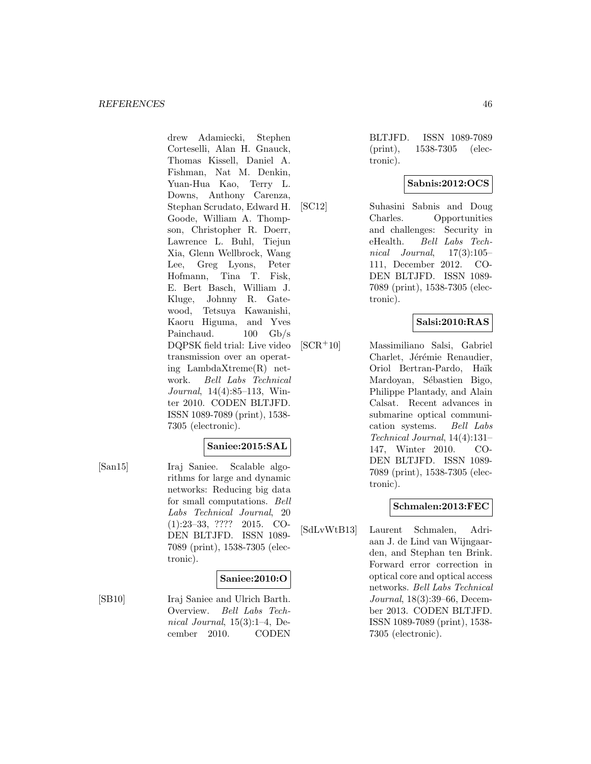drew Adamiecki, Stephen Corteselli, Alan H. Gnauck, Thomas Kissell, Daniel A. Fishman, Nat M. Denkin, Yuan-Hua Kao, Terry L. Downs, Anthony Carenza, Stephan Scrudato, Edward H. Goode, William A. Thompson, Christopher R. Doerr, Lawrence L. Buhl, Tiejun Xia, Glenn Wellbrock, Wang Lee, Greg Lyons, Peter Hofmann, Tina T. Fisk, E. Bert Basch, William J. Kluge, Johnny R. Gatewood, Tetsuya Kawanishi, Kaoru Higuma, and Yves Painchaud. 100 Gb/s DQPSK field trial: Live video transmission over an operating LambdaXtreme(R) network. Bell Labs Technical Journal, 14(4):85–113, Winter 2010. CODEN BLTJFD. ISSN 1089-7089 (print), 1538- 7305 (electronic).

## **Saniee:2015:SAL**

[San15] Iraj Saniee. Scalable algorithms for large and dynamic networks: Reducing big data for small computations. Bell Labs Technical Journal, 20 (1):23–33, ???? 2015. CO-DEN BLTJFD. ISSN 1089- 7089 (print), 1538-7305 (electronic).

## **Saniee:2010:O**

[SB10] Iraj Saniee and Ulrich Barth. Overview. Bell Labs Technical Journal, 15(3):1–4, December 2010. CODEN

BLTJFD. ISSN 1089-7089 (print), 1538-7305 (electronic).

## **Sabnis:2012:OCS**

[SC12] Suhasini Sabnis and Doug Charles. Opportunities and challenges: Security in eHealth. Bell Labs Technical Journal, 17(3):105– 111, December 2012. CO-DEN BLTJFD. ISSN 1089- 7089 (print), 1538-7305 (electronic).

## **Salsi:2010:RAS**

[SCR<sup>+</sup>10] Massimiliano Salsi, Gabriel Charlet, Jérémie Renaudier, Oriol Bertran-Pardo, Ha¨ık Mardoyan, Sébastien Bigo, Philippe Plantady, and Alain Calsat. Recent advances in submarine optical communication systems. Bell Labs Technical Journal, 14(4):131– 147, Winter 2010. CO-DEN BLTJFD. ISSN 1089- 7089 (print), 1538-7305 (electronic).

## **Schmalen:2013:FEC**

[SdLvWtB13] Laurent Schmalen, Adriaan J. de Lind van Wijngaarden, and Stephan ten Brink. Forward error correction in optical core and optical access networks. Bell Labs Technical Journal, 18(3):39–66, December 2013. CODEN BLTJFD. ISSN 1089-7089 (print), 1538- 7305 (electronic).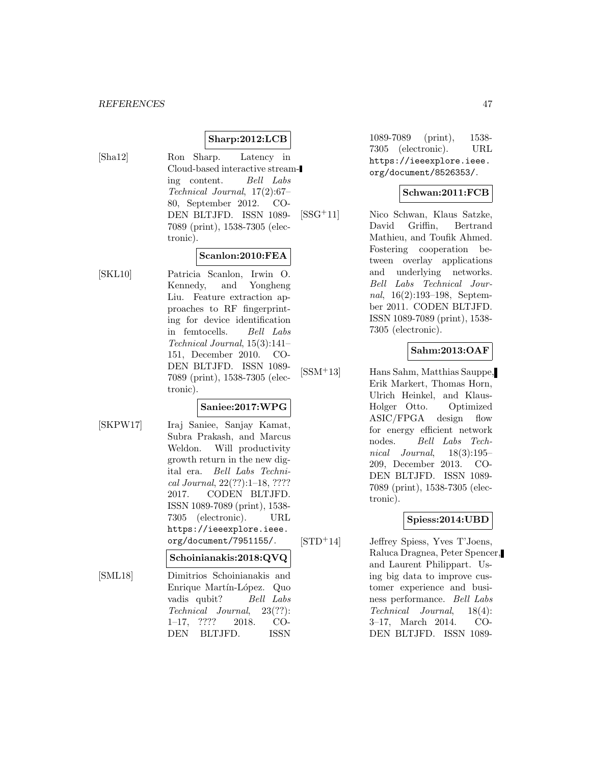#### **Sharp:2012:LCB**

- 
- [Sha12] Ron Sharp. Latency in Cloud-based interactive streaming content. Bell Labs Technical Journal, 17(2):67– 80, September 2012. CO-DEN BLTJFD. ISSN 1089- 7089 (print), 1538-7305 (electronic).

#### **Scanlon:2010:FEA**

[SKL10] Patricia Scanlon, Irwin O. Kennedy, and Yongheng Liu. Feature extraction approaches to RF fingerprinting for device identification in femtocells. Bell Labs Technical Journal, 15(3):141– 151, December 2010. CO-DEN BLTJFD. ISSN 1089- 7089 (print), 1538-7305 (electronic).

## **Saniee:2017:WPG**

- 
- [SKPW17] Iraj Saniee, Sanjay Kamat, Subra Prakash, and Marcus Weldon. Will productivity growth return in the new digital era. Bell Labs Technical Journal, 22(??):1–18, ???? 2017. CODEN BLTJFD. ISSN 1089-7089 (print), 1538- 7305 (electronic). URL https://ieeexplore.ieee. org/document/7951155/.

#### **Schoinianakis:2018:QVQ**

[SML18] Dimitrios Schoinianakis and Enrique Martín-López. Quo vadis qubit? Bell Labs Technical Journal, 23(??): 1–17, ???? 2018. CO-DEN BLTJFD. ISSN

1089-7089 (print), 1538- 7305 (electronic). URL https://ieeexplore.ieee. org/document/8526353/.

#### **Schwan:2011:FCB**

[SSG<sup>+</sup>11] Nico Schwan, Klaus Satzke, David Griffin, Bertrand Mathieu, and Toufik Ahmed. Fostering cooperation between overlay applications and underlying networks. Bell Labs Technical Journal, 16(2):193–198, September 2011. CODEN BLTJFD. ISSN 1089-7089 (print), 1538- 7305 (electronic).

## **Sahm:2013:OAF**

[SSM<sup>+</sup>13] Hans Sahm, Matthias Sauppe, Erik Markert, Thomas Horn, Ulrich Heinkel, and Klaus-Holger Otto. Optimized ASIC/FPGA design flow for energy efficient network nodes. Bell Labs Technical Journal, 18(3):195– 209, December 2013. CO-DEN BLTJFD. ISSN 1089- 7089 (print), 1538-7305 (electronic).

#### **Spiess:2014:UBD**

[STD<sup>+</sup>14] Jeffrey Spiess, Yves T'Joens, Raluca Dragnea, Peter Spencer, and Laurent Philippart. Using big data to improve customer experience and business performance. Bell Labs Technical Journal, 18(4): 3–17, March 2014. CO-DEN BLTJFD. ISSN 1089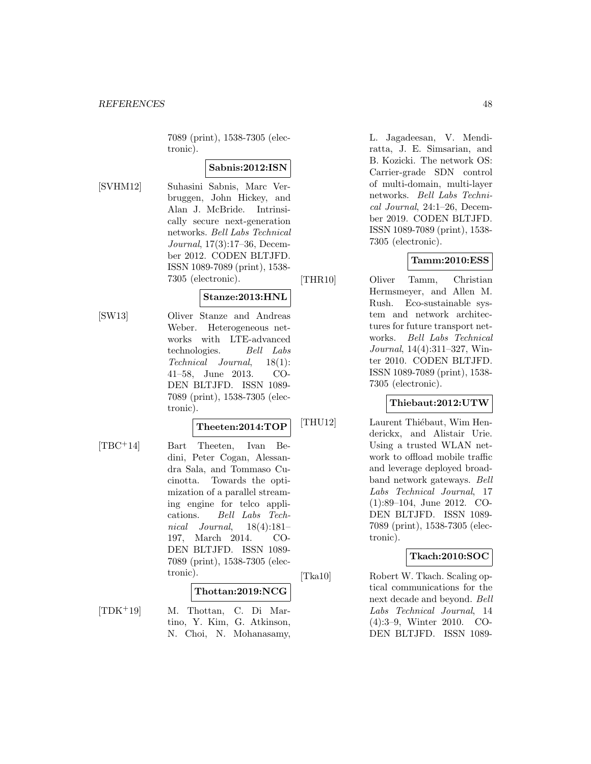7089 (print), 1538-7305 (electronic).

## **Sabnis:2012:ISN**

[SVHM12] Suhasini Sabnis, Marc Verbruggen, John Hickey, and Alan J. McBride. Intrinsically secure next-generation networks. Bell Labs Technical Journal, 17(3):17–36, December 2012. CODEN BLTJFD. ISSN 1089-7089 (print), 1538- 7305 (electronic).

## **Stanze:2013:HNL**

[SW13] Oliver Stanze and Andreas Weber. Heterogeneous networks with LTE-advanced technologies. Bell Labs Technical Journal, 18(1): 41–58, June 2013. CO-DEN BLTJFD. ISSN 1089- 7089 (print), 1538-7305 (electronic).

#### **Theeten:2014:TOP**

[TBC<sup>+</sup>14] Bart Theeten, Ivan Bedini, Peter Cogan, Alessandra Sala, and Tommaso Cucinotta. Towards the optimization of a parallel streaming engine for telco applications. Bell Labs Technical Journal, 18(4):181– 197, March 2014. CO-DEN BLTJFD. ISSN 1089- 7089 (print), 1538-7305 (electronic).

#### **Thottan:2019:NCG**

[TDK<sup>+</sup>19] M. Thottan, C. Di Martino, Y. Kim, G. Atkinson, N. Choi, N. Mohanasamy, L. Jagadeesan, V. Mendiratta, J. E. Simsarian, and B. Kozicki. The network OS: Carrier-grade SDN control of multi-domain, multi-layer networks. Bell Labs Technical Journal, 24:1–26, December 2019. CODEN BLTJFD. ISSN 1089-7089 (print), 1538- 7305 (electronic).

#### **Tamm:2010:ESS**

[THR10] Oliver Tamm, Christian Hermsmeyer, and Allen M. Rush. Eco-sustainable system and network architectures for future transport networks. Bell Labs Technical Journal, 14(4):311–327, Winter 2010. CODEN BLTJFD. ISSN 1089-7089 (print), 1538- 7305 (electronic).

#### **Thiebaut:2012:UTW**

[THU12] Laurent Thiébaut, Wim Henderickx, and Alistair Urie. Using a trusted WLAN network to offload mobile traffic and leverage deployed broadband network gateways. Bell Labs Technical Journal, 17 (1):89–104, June 2012. CO-DEN BLTJFD. ISSN 1089- 7089 (print), 1538-7305 (electronic).

## **Tkach:2010:SOC**

[Tka10] Robert W. Tkach. Scaling optical communications for the next decade and beyond. Bell Labs Technical Journal, 14 (4):3–9, Winter 2010. CO-DEN BLTJFD. ISSN 1089-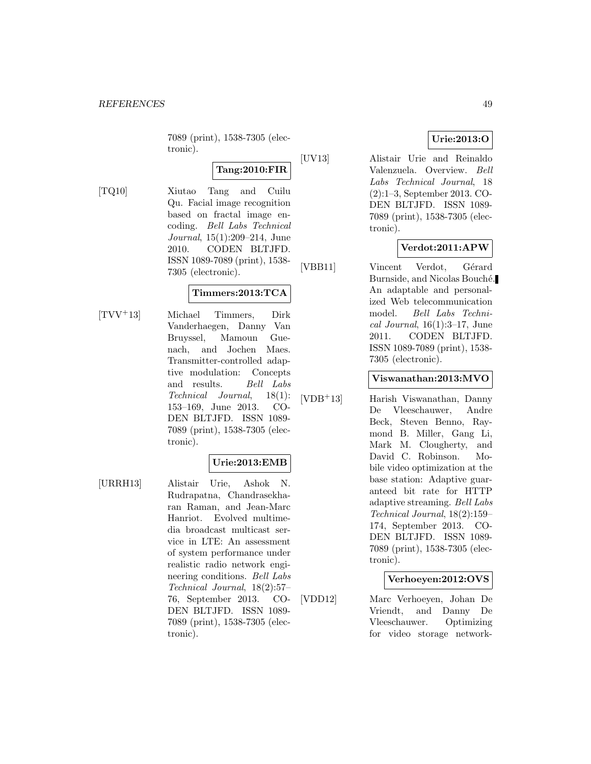7089 (print), 1538-7305 (electronic).

## **Tang:2010:FIR**

[TQ10] Xiutao Tang and Cuilu Qu. Facial image recognition based on fractal image encoding. Bell Labs Technical Journal, 15(1):209–214, June 2010. CODEN BLTJFD. ISSN 1089-7089 (print), 1538- 7305 (electronic).

## **Timmers:2013:TCA**

[TVV<sup>+</sup>13] Michael Timmers, Dirk Vanderhaegen, Danny Van Bruyssel, Mamoun Guenach, and Jochen Maes. Transmitter-controlled adaptive modulation: Concepts and results. Bell Labs Technical Journal, 18(1): 153–169, June 2013. CO-DEN BLTJFD. ISSN 1089- 7089 (print), 1538-7305 (electronic).

## **Urie:2013:EMB**

[URRH13] Alistair Urie, Ashok N. Rudrapatna, Chandrasekharan Raman, and Jean-Marc Hanriot. Evolved multimedia broadcast multicast service in LTE: An assessment of system performance under realistic radio network engineering conditions. Bell Labs Technical Journal, 18(2):57– 76, September 2013. CO-DEN BLTJFD. ISSN 1089- 7089 (print), 1538-7305 (electronic).

## **Urie:2013:O**

[UV13] Alistair Urie and Reinaldo Valenzuela. Overview. Bell Labs Technical Journal, 18 (2):1–3, September 2013. CO-DEN BLTJFD. ISSN 1089- 7089 (print), 1538-7305 (electronic).

## **Verdot:2011:APW**

[VBB11] Vincent Verdot, Gérard Burnside, and Nicolas Bouché. An adaptable and personalized Web telecommunication model. Bell Labs Techni $cal Journal, 16(1):3-17, June$ 2011. CODEN BLTJFD. ISSN 1089-7089 (print), 1538- 7305 (electronic).

#### **Viswanathan:2013:MVO**

[VDB<sup>+</sup>13] Harish Viswanathan, Danny De Vleeschauwer, Andre Beck, Steven Benno, Raymond B. Miller, Gang Li, Mark M. Clougherty, and David C. Robinson. Mobile video optimization at the base station: Adaptive guaranteed bit rate for HTTP adaptive streaming. Bell Labs Technical Journal, 18(2):159– 174, September 2013. CO-DEN BLTJFD. ISSN 1089- 7089 (print), 1538-7305 (electronic).

#### **Verhoeyen:2012:OVS**

[VDD12] Marc Verhoeyen, Johan De Vriendt, and Danny De Vleeschauwer. Optimizing for video storage network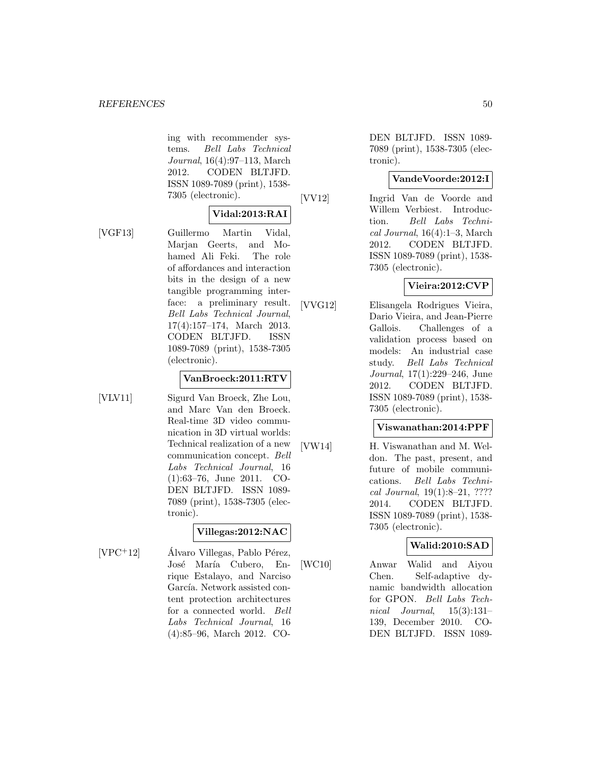ing with recommender systems. Bell Labs Technical Journal, 16(4):97–113, March 2012. CODEN BLTJFD. ISSN 1089-7089 (print), 1538- 7305 (electronic).

#### **Vidal:2013:RAI**

[VGF13] Guillermo Martin Vidal, Marjan Geerts, and Mohamed Ali Feki. The role of affordances and interaction bits in the design of a new tangible programming interface: a preliminary result. Bell Labs Technical Journal, 17(4):157–174, March 2013. CODEN BLTJFD. ISSN 1089-7089 (print), 1538-7305 (electronic).

#### **VanBroeck:2011:RTV**

[VLV11] Sigurd Van Broeck, Zhe Lou, and Marc Van den Broeck. Real-time 3D video communication in 3D virtual worlds: Technical realization of a new communication concept. Bell Labs Technical Journal, 16 (1):63–76, June 2011. CO-DEN BLTJFD. ISSN 1089- 7089 (print), 1538-7305 (electronic).

## **Villegas:2012:NAC**

 $[VPC+12]$  Álvaro Villegas, Pablo Pérez, José María Cubero, Enrique Estalayo, and Narciso García. Network assisted content protection architectures for a connected world. Bell Labs Technical Journal, 16 (4):85–96, March 2012. CO-

DEN BLTJFD. ISSN 1089- 7089 (print), 1538-7305 (electronic).

#### **VandeVoorde:2012:I**

[VV12] Ingrid Van de Voorde and Willem Verbiest. Introduction. Bell Labs Technical Journal, 16(4):1–3, March 2012. CODEN BLTJFD. ISSN 1089-7089 (print), 1538- 7305 (electronic).

## **Vieira:2012:CVP**

[VVG12] Elisangela Rodrigues Vieira, Dario Vieira, and Jean-Pierre Gallois. Challenges of a validation process based on models: An industrial case study. Bell Labs Technical Journal, 17(1):229–246, June 2012. CODEN BLTJFD. ISSN 1089-7089 (print), 1538- 7305 (electronic).

## **Viswanathan:2014:PPF**

[VW14] H. Viswanathan and M. Weldon. The past, present, and future of mobile communications. Bell Labs Technical Journal, 19(1):8–21, ???? 2014. CODEN BLTJFD. ISSN 1089-7089 (print), 1538- 7305 (electronic).

#### **Walid:2010:SAD**

[WC10] Anwar Walid and Aiyou Chen. Self-adaptive dynamic bandwidth allocation for GPON. Bell Labs Technical Journal, 15(3):131– 139, December 2010. CO-DEN BLTJFD. ISSN 1089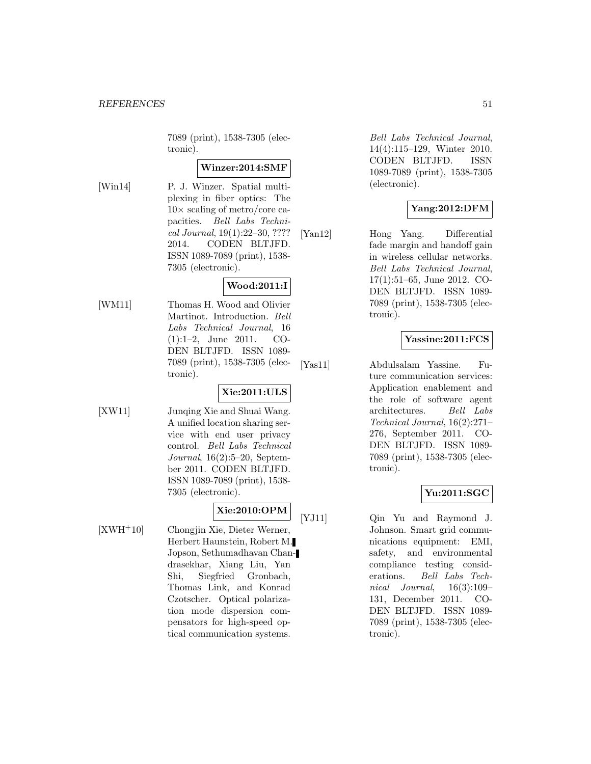7089 (print), 1538-7305 (electronic).

#### **Winzer:2014:SMF**

[Win14] P. J. Winzer. Spatial multiplexing in fiber optics: The  $10\times$  scaling of metro/core capacities. Bell Labs Technical Journal, 19(1):22–30, ???? 2014. CODEN BLTJFD. ISSN 1089-7089 (print), 1538- 7305 (electronic).

## **Wood:2011:I**

[WM11] Thomas H. Wood and Olivier Martinot. Introduction. Bell Labs Technical Journal, 16 (1):1–2, June 2011. CO-DEN BLTJFD. ISSN 1089- 7089 (print), 1538-7305 (electronic).

## **Xie:2011:ULS**

[XW11] Junqing Xie and Shuai Wang. A unified location sharing service with end user privacy control. Bell Labs Technical Journal, 16(2):5–20, September 2011. CODEN BLTJFD. ISSN 1089-7089 (print), 1538- 7305 (electronic).

**Xie:2010:OPM**

- 
- [XWH<sup>+</sup>10] Chongjin Xie, Dieter Werner, Herbert Haunstein, Robert M. Jopson, Sethumadhavan Chandrasekhar, Xiang Liu, Yan Shi, Siegfried Gronbach, Thomas Link, and Konrad Czotscher. Optical polarization mode dispersion compensators for high-speed optical communication systems.

Bell Labs Technical Journal, 14(4):115–129, Winter 2010. CODEN BLTJFD. ISSN 1089-7089 (print), 1538-7305 (electronic).

## **Yang:2012:DFM**

[Yan12] Hong Yang. Differential fade margin and handoff gain in wireless cellular networks. Bell Labs Technical Journal, 17(1):51–65, June 2012. CO-DEN BLTJFD. ISSN 1089- 7089 (print), 1538-7305 (electronic).

## **Yassine:2011:FCS**

[Yas11] Abdulsalam Yassine. Future communication services: Application enablement and the role of software agent architectures. Bell Labs Technical Journal, 16(2):271– 276, September 2011. CO-DEN BLTJFD. ISSN 1089- 7089 (print), 1538-7305 (electronic).

## **Yu:2011:SGC**

[YJ11] Qin Yu and Raymond J. Johnson. Smart grid communications equipment: EMI, safety, and environmental compliance testing considerations. Bell Labs Technical Journal, 16(3):109– 131, December 2011. CO-DEN BLTJFD. ISSN 1089- 7089 (print), 1538-7305 (electronic).